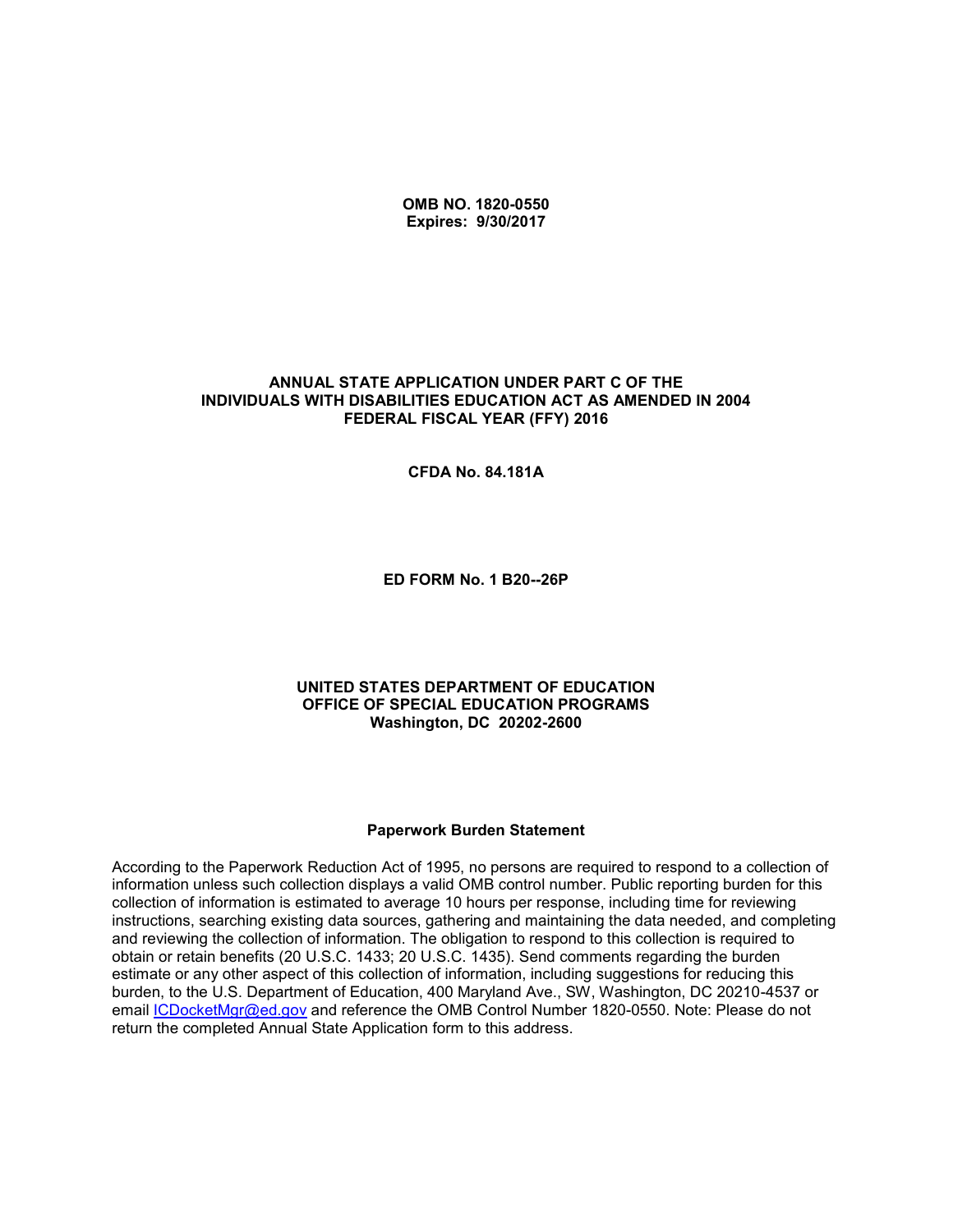**OMB NO. 1820-0550 Expires: 9/30/2017**

#### **ANNUAL STATE APPLICATION UNDER PART C OF THE INDIVIDUALS WITH DISABILITIES EDUCATION ACT AS AMENDED IN 2004 FEDERAL FISCAL YEAR (FFY) 2016**

**CFDA No. 84.181A**

**ED FORM No. 1 B20--26P**

#### **UNITED STATES DEPARTMENT OF EDUCATION OFFICE OF SPECIAL EDUCATION PROGRAMS Washington, DC 20202-2600**

#### **Paperwork Burden Statement**

According to the Paperwork Reduction Act of 1995, no persons are required to respond to a collection of information unless such collection displays a valid OMB control number. Public reporting burden for this collection of information is estimated to average 10 hours per response, including time for reviewing instructions, searching existing data sources, gathering and maintaining the data needed, and completing and reviewing the collection of information. The obligation to respond to this collection is required to obtain or retain benefits (20 U.S.C. 1433; 20 U.S.C. 1435). Send comments regarding the burden estimate or any other aspect of this collection of information, including suggestions for reducing this burden, to the U.S. Department of Education, 400 Maryland Ave., SW, Washington, DC 20210-4537 or email [ICDocketMgr@ed.gov](mailto:ICDocketMgr@ed.gov) and reference the OMB Control Number 1820-0550. Note: Please do not return the completed Annual State Application form to this address.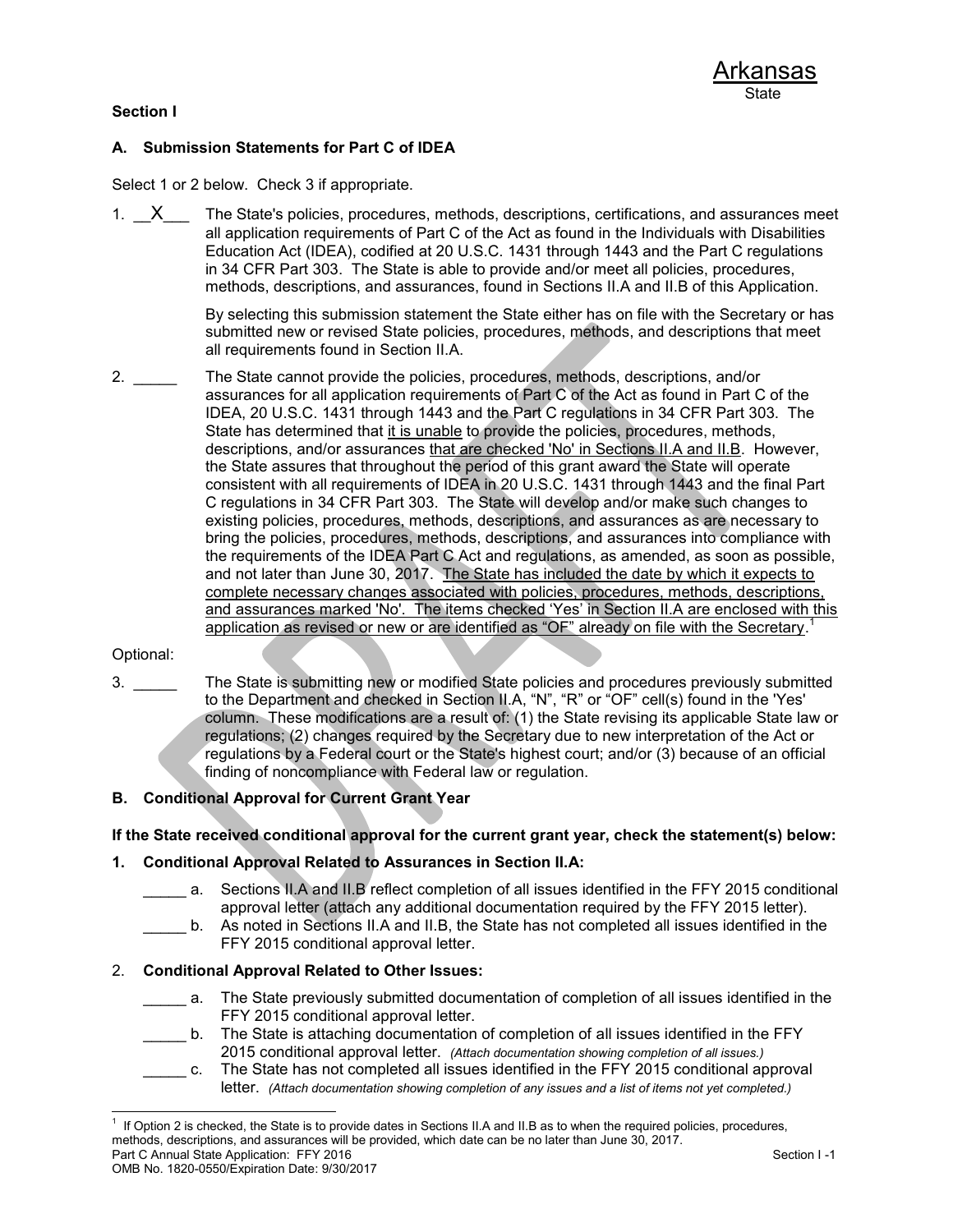### **Section I**

### **A. Submission Statements for Part C of IDEA**

Select 1 or 2 below. Check 3 if appropriate.

1.  $X$  The State's policies, procedures, methods, descriptions, certifications, and assurances meet all application requirements of Part C of the Act as found in the Individuals with Disabilities Education Act (IDEA), codified at 20 U.S.C. 1431 through 1443 and the Part C regulations in 34 CFR Part 303. The State is able to provide and/or meet all policies, procedures, methods, descriptions, and assurances, found in Sections II.A and II.B of this Application.

> By selecting this submission statement the State either has on file with the Secretary or has submitted new or revised State policies, procedures, methods, and descriptions that meet all requirements found in Section II.A.

2.  $\Box$  The State cannot provide the policies, procedures, methods, descriptions, and/or assurances for all application requirements of Part C of the Act as found in Part C of the IDEA, 20 U.S.C. 1431 through 1443 and the Part C regulations in 34 CFR Part 303. The State has determined that it is unable to provide the policies, procedures, methods, descriptions, and/or assurances that are checked 'No' in Sections II.A and II.B. However, the State assures that throughout the period of this grant award the State will operate consistent with all requirements of IDEA in 20 U.S.C. 1431 through 1443 and the final Part C regulations in 34 CFR Part 303. The State will develop and/or make such changes to existing policies, procedures, methods, descriptions, and assurances as are necessary to bring the policies, procedures, methods, descriptions, and assurances into compliance with the requirements of the IDEA Part C Act and regulations, as amended, as soon as possible, and not later than June 30, 2017. The State has included the date by which it expects to complete necessary changes associated with policies, procedures, methods, descriptions, and assurances marked 'No'. The items checked 'Yes' in Section II.A are enclosed with this application as revised or new or are identified as "OF" already on file with the Secretary.<sup>1</sup>

#### Optional:

3. The State is submitting new or modified State policies and procedures previously submitted to the Department and checked in Section II.A, "N", "R" or "OF" cell(s) found in the 'Yes' column. These modifications are a result of: (1) the State revising its applicable State law or regulations; (2) changes required by the Secretary due to new interpretation of the Act or regulations by a Federal court or the State's highest court; and/or (3) because of an official finding of noncompliance with Federal law or regulation.

### **B. Conditional Approval for Current Grant Year**

**If the State received conditional approval for the current grant year, check the statement(s) below:**

#### **1. Conditional Approval Related to Assurances in Section II.A:**

- a. Sections II.A and II.B reflect completion of all issues identified in the FFY 2015 conditional approval letter (attach any additional documentation required by the FFY 2015 letter).
- \_\_\_\_\_ b. As noted in Sections II.A and II.B, the State has not completed all issues identified in the FFY 2015 conditional approval letter.

### 2. **Conditional Approval Related to Other Issues:**

- \_\_\_\_\_ a. The State previously submitted documentation of completion of all issues identified in the FFY 2015 conditional approval letter.
- \_\_\_\_\_ b. The State is attaching documentation of completion of all issues identified in the FFY 2015 conditional approval letter. *(Attach documentation showing completion of all issues.)*
	- c. The State has not completed all issues identified in the FFY 2015 conditional approval letter. *(Attach documentation showing completion of any issues and a list of items not yet completed.)*

Part C Annual State Application: FFY 2016 Section I -1 l 1 If Option 2 is checked, the State is to provide dates in Sections II.A and II.B as to when the required policies, procedures, methods, descriptions, and assurances will be provided, which date can be no later than June 30, 2017.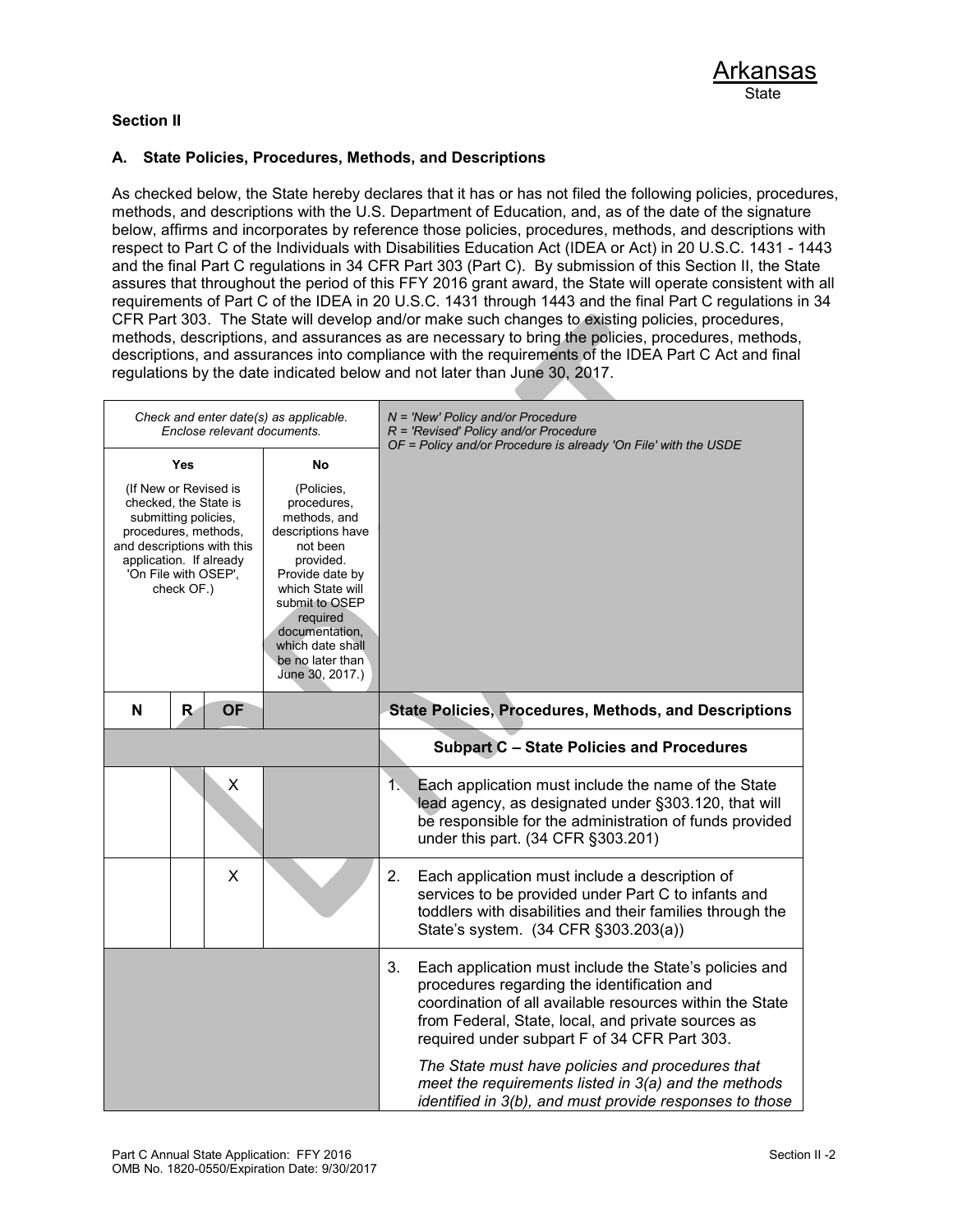### **Section II**

### **A. State Policies, Procedures, Methods, and Descriptions**

As checked below, the State hereby declares that it has or has not filed the following policies, procedures, methods, and descriptions with the U.S. Department of Education, and, as of the date of the signature below, affirms and incorporates by reference those policies, procedures, methods, and descriptions with respect to Part C of the Individuals with Disabilities Education Act (IDEA or Act) in 20 U.S.C. 1431 - 1443 and the final Part C regulations in 34 CFR Part 303 (Part C). By submission of this Section II, the State assures that throughout the period of this FFY 2016 grant award, the State will operate consistent with all requirements of Part C of the IDEA in 20 U.S.C. 1431 through 1443 and the final Part C regulations in 34 CFR Part 303. The State will develop and/or make such changes to existing policies, procedures, methods, descriptions, and assurances as are necessary to bring the policies, procedures, methods, descriptions, and assurances into compliance with the requirements of the IDEA Part C Act and final regulations by the date indicated below and not later than June 30, 2017.

|                                                       |                                                                                                                                             |           | Check and enter date(s) as applicable.<br>Enclose relevant documents.                                                                                                                                                                           |    | $N = 'New' Policy and/or Procedure$<br>R = 'Revised' Policy and/or Procedure<br>OF = Policy and/or Procedure is already 'On File' with the USDE                                                                                                                                                                             |
|-------------------------------------------------------|---------------------------------------------------------------------------------------------------------------------------------------------|-----------|-------------------------------------------------------------------------------------------------------------------------------------------------------------------------------------------------------------------------------------------------|----|-----------------------------------------------------------------------------------------------------------------------------------------------------------------------------------------------------------------------------------------------------------------------------------------------------------------------------|
| and descriptions with this<br>application. If already | Yes<br>(If New or Revised is<br>checked, the State is<br>submitting policies,<br>procedures, methods,<br>'On File with OSEP',<br>check OF.) |           | No<br>(Policies,<br>procedures,<br>methods, and<br>descriptions have<br>not been<br>provided.<br>Provide date by<br>which State will<br>submit to OSEP<br>required<br>documentation,<br>which date shall<br>be no later than<br>June 30, 2017.) |    |                                                                                                                                                                                                                                                                                                                             |
| N                                                     | R.                                                                                                                                          | <b>OF</b> |                                                                                                                                                                                                                                                 |    | <b>State Policies, Procedures, Methods, and Descriptions</b>                                                                                                                                                                                                                                                                |
|                                                       |                                                                                                                                             |           |                                                                                                                                                                                                                                                 |    | <b>Subpart C - State Policies and Procedures</b>                                                                                                                                                                                                                                                                            |
|                                                       |                                                                                                                                             | X         |                                                                                                                                                                                                                                                 | 1. | Each application must include the name of the State<br>lead agency, as designated under §303.120, that will<br>be responsible for the administration of funds provided<br>under this part. (34 CFR §303.201)                                                                                                                |
|                                                       |                                                                                                                                             | X         |                                                                                                                                                                                                                                                 | 2. | Each application must include a description of<br>services to be provided under Part C to infants and<br>toddlers with disabilities and their families through the<br>State's system. (34 CFR §303.203(a))                                                                                                                  |
|                                                       |                                                                                                                                             |           |                                                                                                                                                                                                                                                 | 3. | Each application must include the State's policies and<br>procedures regarding the identification and<br>coordination of all available resources within the State<br>from Federal, State, local, and private sources as<br>required under subpart F of 34 CFR Part 303.<br>The State must have policies and procedures that |
|                                                       |                                                                                                                                             |           |                                                                                                                                                                                                                                                 |    | meet the requirements listed in 3(a) and the methods<br>identified in 3(b), and must provide responses to those                                                                                                                                                                                                             |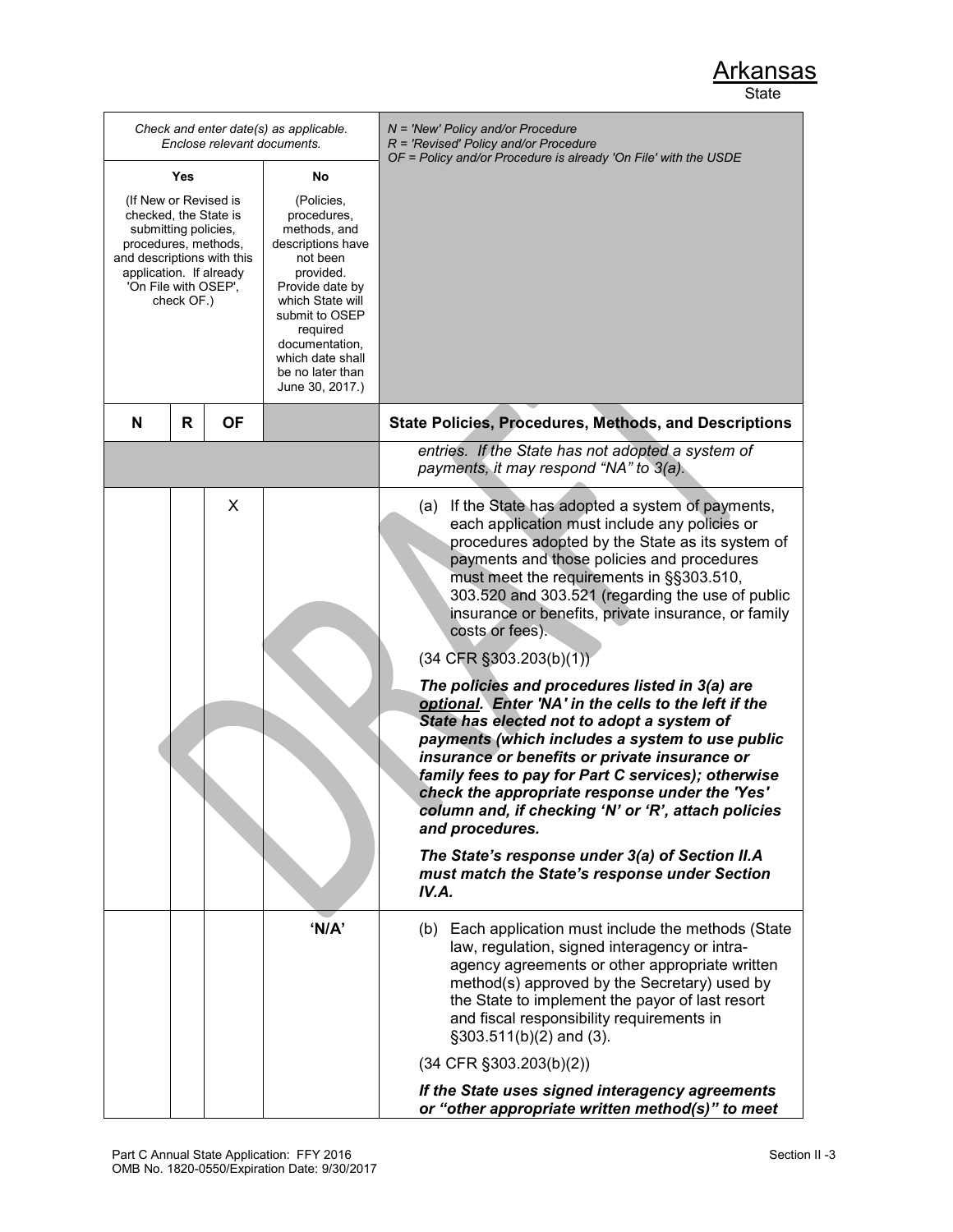| Check and enter date(s) as applicable.<br>Enclose relevant documents.                                                                                                                         |   |                                                                                                                                                                                                                                           |                                                                 | N = 'New' Policy and/or Procedure<br>$R$ = 'Revised' Policy and/or Procedure                                                                                                                                                                                                                                                                                                                                                                                                                                                                                                                                                                                                                                                                                                                                                                                                                                                                                               |
|-----------------------------------------------------------------------------------------------------------------------------------------------------------------------------------------------|---|-------------------------------------------------------------------------------------------------------------------------------------------------------------------------------------------------------------------------------------------|-----------------------------------------------------------------|----------------------------------------------------------------------------------------------------------------------------------------------------------------------------------------------------------------------------------------------------------------------------------------------------------------------------------------------------------------------------------------------------------------------------------------------------------------------------------------------------------------------------------------------------------------------------------------------------------------------------------------------------------------------------------------------------------------------------------------------------------------------------------------------------------------------------------------------------------------------------------------------------------------------------------------------------------------------------|
| Yes<br>No                                                                                                                                                                                     |   |                                                                                                                                                                                                                                           | OF = Policy and/or Procedure is already 'On File' with the USDE |                                                                                                                                                                                                                                                                                                                                                                                                                                                                                                                                                                                                                                                                                                                                                                                                                                                                                                                                                                            |
| (If New or Revised is<br>checked, the State is<br>submitting policies,<br>procedures, methods,<br>and descriptions with this<br>application. If already<br>'On File with OSEP',<br>check OF.) |   | (Policies,<br>procedures,<br>methods, and<br>descriptions have<br>not been<br>provided.<br>Provide date by<br>which State will<br>submit to OSEP<br>required<br>documentation,<br>which date shall<br>be no later than<br>June 30, 2017.) |                                                                 |                                                                                                                                                                                                                                                                                                                                                                                                                                                                                                                                                                                                                                                                                                                                                                                                                                                                                                                                                                            |
| N                                                                                                                                                                                             | R | <b>OF</b>                                                                                                                                                                                                                                 |                                                                 | <b>State Policies, Procedures, Methods, and Descriptions</b>                                                                                                                                                                                                                                                                                                                                                                                                                                                                                                                                                                                                                                                                                                                                                                                                                                                                                                               |
|                                                                                                                                                                                               |   |                                                                                                                                                                                                                                           |                                                                 | entries. If the State has not adopted a system of<br>payments, it may respond "NA" to 3(a).                                                                                                                                                                                                                                                                                                                                                                                                                                                                                                                                                                                                                                                                                                                                                                                                                                                                                |
|                                                                                                                                                                                               |   | X                                                                                                                                                                                                                                         |                                                                 | If the State has adopted a system of payments,<br>(a)<br>each application must include any policies or<br>procedures adopted by the State as its system of<br>payments and those policies and procedures<br>must meet the requirements in §§303.510,<br>303.520 and 303.521 (regarding the use of public<br>insurance or benefits, private insurance, or family<br>costs or fees).<br>$(34$ CFR §303.203(b)(1))<br>The policies and procedures listed in 3(a) are<br>optional. Enter 'NA' in the cells to the left if the<br>State has elected not to adopt a system of<br>payments (which includes a system to use public<br>insurance or benefits or private insurance or<br>family fees to pay for Part C services); otherwise<br>check the appropriate response under the 'Yes'<br>column and, if checking 'N' or 'R', attach policies<br>and procedures.<br>The State's response under 3(a) of Section II.A<br>must match the State's response under Section<br>IV.A. |
|                                                                                                                                                                                               |   |                                                                                                                                                                                                                                           | 'N/A'                                                           | (b) Each application must include the methods (State<br>law, regulation, signed interagency or intra-<br>agency agreements or other appropriate written<br>method(s) approved by the Secretary) used by<br>the State to implement the payor of last resort<br>and fiscal responsibility requirements in<br>§303.511(b)(2) and (3).                                                                                                                                                                                                                                                                                                                                                                                                                                                                                                                                                                                                                                         |
|                                                                                                                                                                                               |   |                                                                                                                                                                                                                                           |                                                                 | $(34$ CFR §303.203(b)(2))                                                                                                                                                                                                                                                                                                                                                                                                                                                                                                                                                                                                                                                                                                                                                                                                                                                                                                                                                  |
|                                                                                                                                                                                               |   |                                                                                                                                                                                                                                           |                                                                 | If the State uses signed interagency agreements<br>or "other appropriate written method(s)" to meet                                                                                                                                                                                                                                                                                                                                                                                                                                                                                                                                                                                                                                                                                                                                                                                                                                                                        |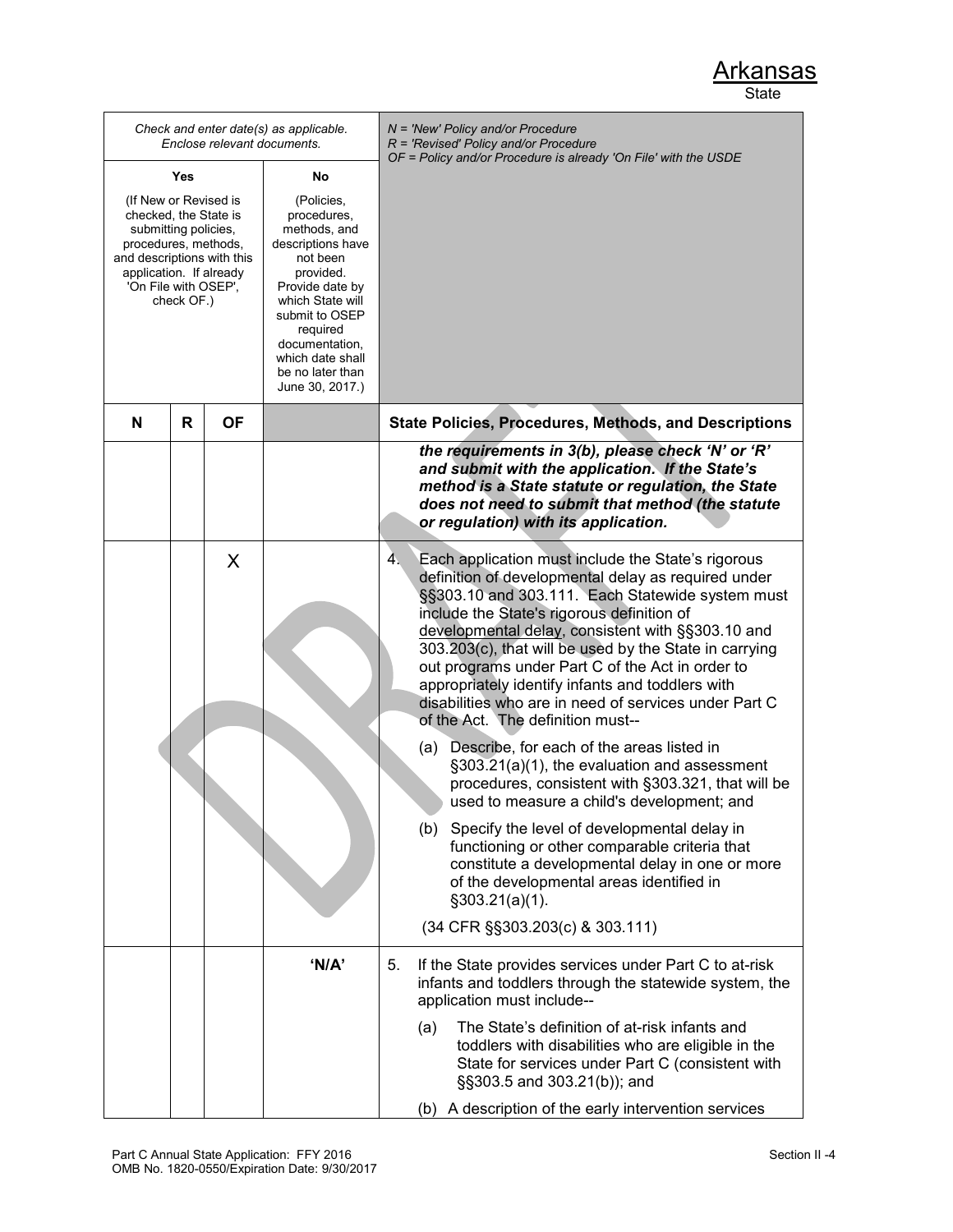*Check and enter date(s) as applicable. Enclose relevant documents. N = 'New' Policy and/or Procedure R = 'Revised' Policy and/or Procedure OF = Policy and/or Procedure is already 'On File' with the USDE* **Yes** (If New or Revised is checked, the State is submitting policies, procedures, methods, and descriptions with this application. If already 'On File with OSEP', check OF.) **No** (Policies, procedures, methods, and descriptions have not been provided. Provide date by which State will submit to OSEP required documentation, which date shall be no later than June 30, 2017.) **N R OF State Policies, Procedures, Methods, and Descriptions** *the requirements in 3(b), please check 'N' or 'R' and submit with the application. If the State's method is a State statute or regulation, the State does not need to submit that method (the statute or regulation) with its application.*  $\times$   $\vert$  4. Each application must include the State's rigorous definition of developmental delay as required under §§303.10 and 303.111. Each Statewide system must include the State's rigorous definition of developmental delay, consistent with §§303.10 and 303.203(c), that will be used by the State in carrying out programs under Part C of the Act in order to appropriately identify infants and toddlers with disabilities who are in need of services under Part C of the Act. The definition must-- (a) Describe, for each of the areas listed in §303.21(a)(1), the evaluation and assessment procedures, consistent with §303.321, that will be used to measure a child's development; and (b) Specify the level of developmental delay in functioning or other comparable criteria that constitute a developmental delay in one or more of the developmental areas identified in §303.21(a)(1). (34 CFR §§303.203(c) & 303.111)  **'N/A'** 5. If the State provides services under Part C to at-risk infants and toddlers through the statewide system, the application must include-- (a) The State's definition of at-risk infants and toddlers with disabilities who are eligible in the State for services under Part C (consistent with §§303.5 and 303.21(b)); and (b) A description of the early intervention services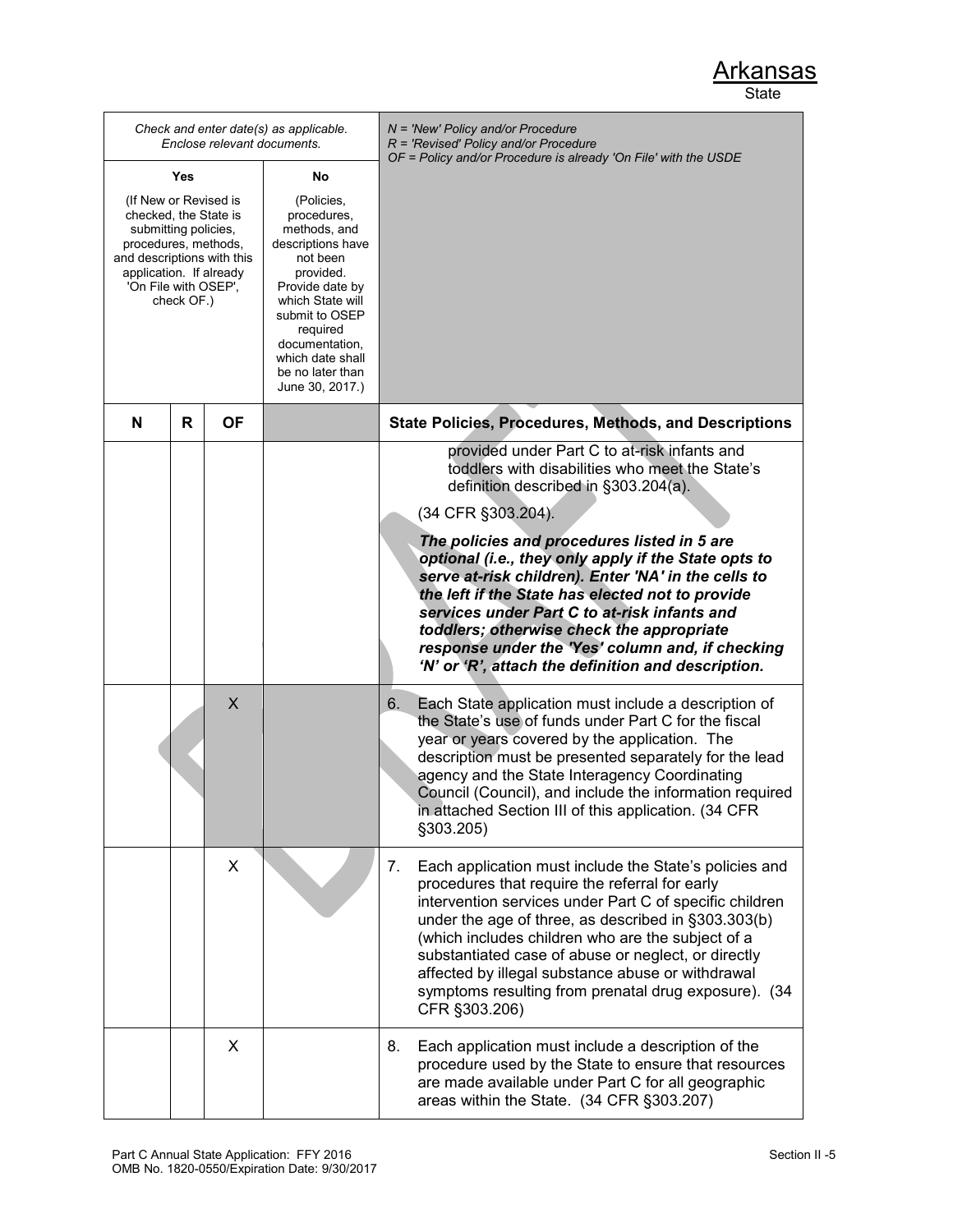| Check and enter date(s) as applicable.<br>Enclose relevant documents.                                                                                                                         |   |           |                                                                                                                                                                                                                                           | N = 'New' Policy and/or Procedure<br>$R$ = 'Revised' Policy and/or Procedure<br>OF = Policy and/or Procedure is already 'On File' with the USDE                                                                                                                                                                                                                                                                                                                            |
|-----------------------------------------------------------------------------------------------------------------------------------------------------------------------------------------------|---|-----------|-------------------------------------------------------------------------------------------------------------------------------------------------------------------------------------------------------------------------------------------|----------------------------------------------------------------------------------------------------------------------------------------------------------------------------------------------------------------------------------------------------------------------------------------------------------------------------------------------------------------------------------------------------------------------------------------------------------------------------|
| Yes<br>No                                                                                                                                                                                     |   |           |                                                                                                                                                                                                                                           |                                                                                                                                                                                                                                                                                                                                                                                                                                                                            |
| (If New or Revised is<br>checked, the State is<br>submitting policies,<br>procedures, methods,<br>and descriptions with this<br>application. If already<br>'On File with OSEP',<br>check OF.) |   |           | (Policies,<br>procedures,<br>methods, and<br>descriptions have<br>not been<br>provided.<br>Provide date by<br>which State will<br>submit to OSEP<br>required<br>documentation,<br>which date shall<br>be no later than<br>June 30, 2017.) |                                                                                                                                                                                                                                                                                                                                                                                                                                                                            |
| N                                                                                                                                                                                             | R | <b>OF</b> |                                                                                                                                                                                                                                           | <b>State Policies, Procedures, Methods, and Descriptions</b>                                                                                                                                                                                                                                                                                                                                                                                                               |
|                                                                                                                                                                                               |   |           |                                                                                                                                                                                                                                           | provided under Part C to at-risk infants and<br>toddlers with disabilities who meet the State's<br>definition described in §303.204(a).                                                                                                                                                                                                                                                                                                                                    |
|                                                                                                                                                                                               |   |           |                                                                                                                                                                                                                                           | (34 CFR §303.204).                                                                                                                                                                                                                                                                                                                                                                                                                                                         |
|                                                                                                                                                                                               |   |           |                                                                                                                                                                                                                                           | The policies and procedures listed in 5 are<br>optional (i.e., they only apply if the State opts to<br>serve at-risk children). Enter 'NA' in the cells to<br>the left if the State has elected not to provide<br>services under Part C to at-risk infants and<br>toddlers; otherwise check the appropriate<br>response under the 'Yes' column and, if checking<br>'N' or 'R', attach the definition and description.                                                      |
|                                                                                                                                                                                               |   | X         |                                                                                                                                                                                                                                           | Each State application must include a description of<br>6.<br>the State's use of funds under Part C for the fiscal<br>year or years covered by the application. The<br>description must be presented separately for the lead<br>agency and the State Interagency Coordinating<br>Council (Council), and include the information required<br>in attached Section III of this application. (34 CFR<br>§303.205)                                                              |
|                                                                                                                                                                                               |   | X         |                                                                                                                                                                                                                                           | 7.<br>Each application must include the State's policies and<br>procedures that require the referral for early<br>intervention services under Part C of specific children<br>under the age of three, as described in §303.303(b)<br>(which includes children who are the subject of a<br>substantiated case of abuse or neglect, or directly<br>affected by illegal substance abuse or withdrawal<br>symptoms resulting from prenatal drug exposure). (34<br>CFR §303.206) |
|                                                                                                                                                                                               |   | X         |                                                                                                                                                                                                                                           | 8.<br>Each application must include a description of the<br>procedure used by the State to ensure that resources<br>are made available under Part C for all geographic<br>areas within the State. (34 CFR §303.207)                                                                                                                                                                                                                                                        |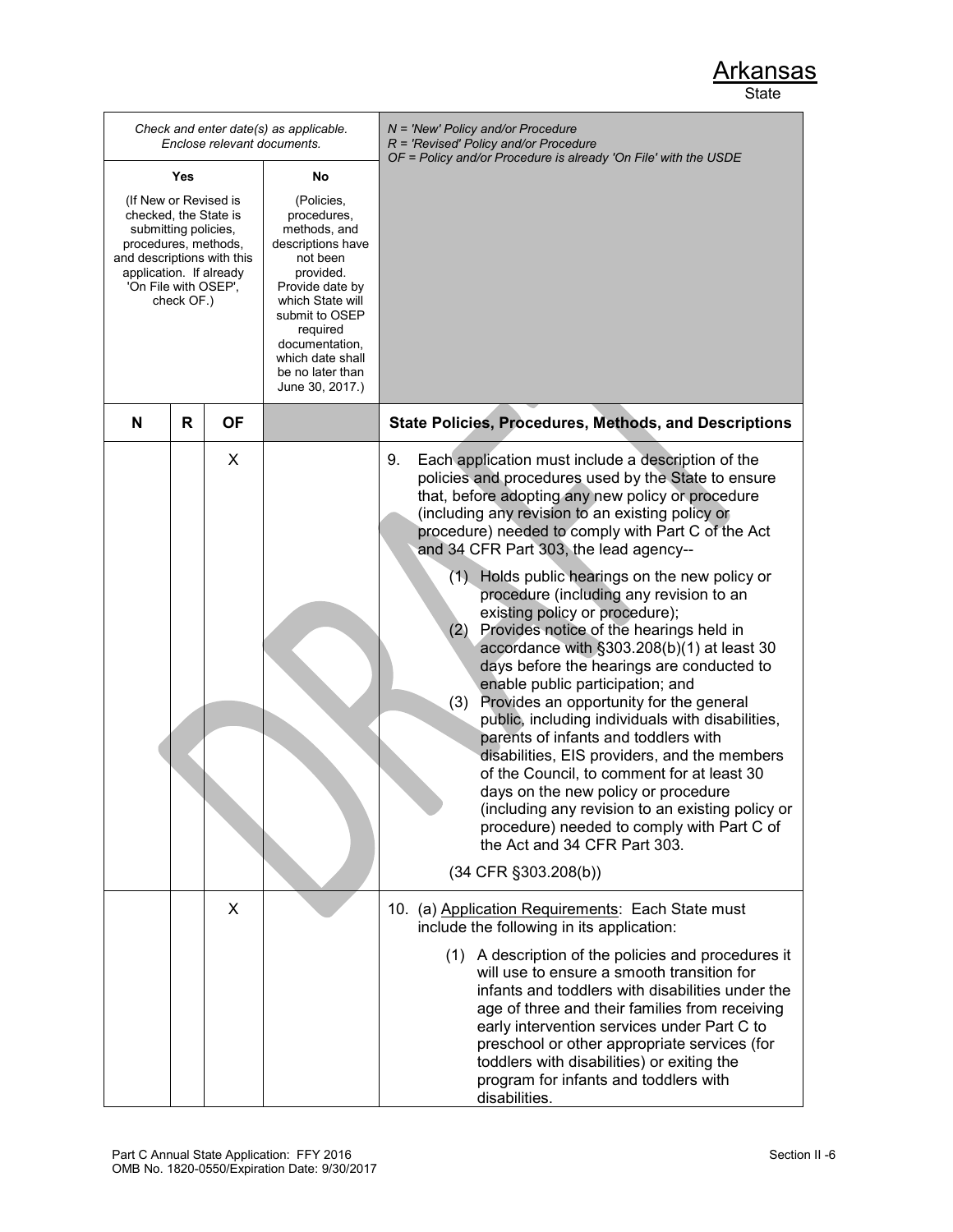|                                                                                                                                                                                               |     |           | Check and enter date(s) as applicable.<br>Enclose relevant documents.                                                                                                                                                                     | $N =$ 'New' Policy and/or Procedure<br>$R$ = 'Revised' Policy and/or Procedure                                                                                                                                                                                                                                                                                                                                                                                                                                                                                                                                                                                                                                                                                                                                                                                                                                                                                                                                                                                                              |
|-----------------------------------------------------------------------------------------------------------------------------------------------------------------------------------------------|-----|-----------|-------------------------------------------------------------------------------------------------------------------------------------------------------------------------------------------------------------------------------------------|---------------------------------------------------------------------------------------------------------------------------------------------------------------------------------------------------------------------------------------------------------------------------------------------------------------------------------------------------------------------------------------------------------------------------------------------------------------------------------------------------------------------------------------------------------------------------------------------------------------------------------------------------------------------------------------------------------------------------------------------------------------------------------------------------------------------------------------------------------------------------------------------------------------------------------------------------------------------------------------------------------------------------------------------------------------------------------------------|
|                                                                                                                                                                                               | Yes |           | No                                                                                                                                                                                                                                        | OF = Policy and/or Procedure is already 'On File' with the USDE                                                                                                                                                                                                                                                                                                                                                                                                                                                                                                                                                                                                                                                                                                                                                                                                                                                                                                                                                                                                                             |
| (If New or Revised is<br>checked, the State is<br>submitting policies,<br>procedures, methods,<br>and descriptions with this<br>application. If already<br>'On File with OSEP',<br>check OF.) |     |           | (Policies,<br>procedures,<br>methods, and<br>descriptions have<br>not been<br>provided.<br>Provide date by<br>which State will<br>submit to OSEP<br>required<br>documentation,<br>which date shall<br>be no later than<br>June 30, 2017.) |                                                                                                                                                                                                                                                                                                                                                                                                                                                                                                                                                                                                                                                                                                                                                                                                                                                                                                                                                                                                                                                                                             |
| N                                                                                                                                                                                             | R   | <b>OF</b> |                                                                                                                                                                                                                                           | <b>State Policies, Procedures, Methods, and Descriptions</b>                                                                                                                                                                                                                                                                                                                                                                                                                                                                                                                                                                                                                                                                                                                                                                                                                                                                                                                                                                                                                                |
|                                                                                                                                                                                               |     | X         |                                                                                                                                                                                                                                           | Each application must include a description of the<br>9.<br>policies and procedures used by the State to ensure<br>that, before adopting any new policy or procedure<br>(including any revision to an existing policy or<br>procedure) needed to comply with Part C of the Act<br>and 34 CFR Part 303, the lead agency--<br>(1) Holds public hearings on the new policy or<br>procedure (including any revision to an<br>existing policy or procedure);<br>Provides notice of the hearings held in<br>(2)<br>accordance with §303.208(b)(1) at least 30<br>days before the hearings are conducted to<br>enable public participation; and<br>Provides an opportunity for the general<br>(3)<br>public, including individuals with disabilities,<br>parents of infants and toddlers with<br>disabilities, EIS providers, and the members<br>of the Council, to comment for at least 30<br>days on the new policy or procedure<br>(including any revision to an existing policy or<br>procedure) needed to comply with Part C of<br>the Act and 34 CFR Part 303.<br>$(34$ CFR $\S 303.208(b))$ |
|                                                                                                                                                                                               |     | X         |                                                                                                                                                                                                                                           | 10. (a) Application Requirements: Each State must<br>include the following in its application:<br>(1) A description of the policies and procedures it<br>will use to ensure a smooth transition for<br>infants and toddlers with disabilities under the<br>age of three and their families from receiving<br>early intervention services under Part C to<br>preschool or other appropriate services (for<br>toddlers with disabilities) or exiting the<br>program for infants and toddlers with<br>disabilities.                                                                                                                                                                                                                                                                                                                                                                                                                                                                                                                                                                            |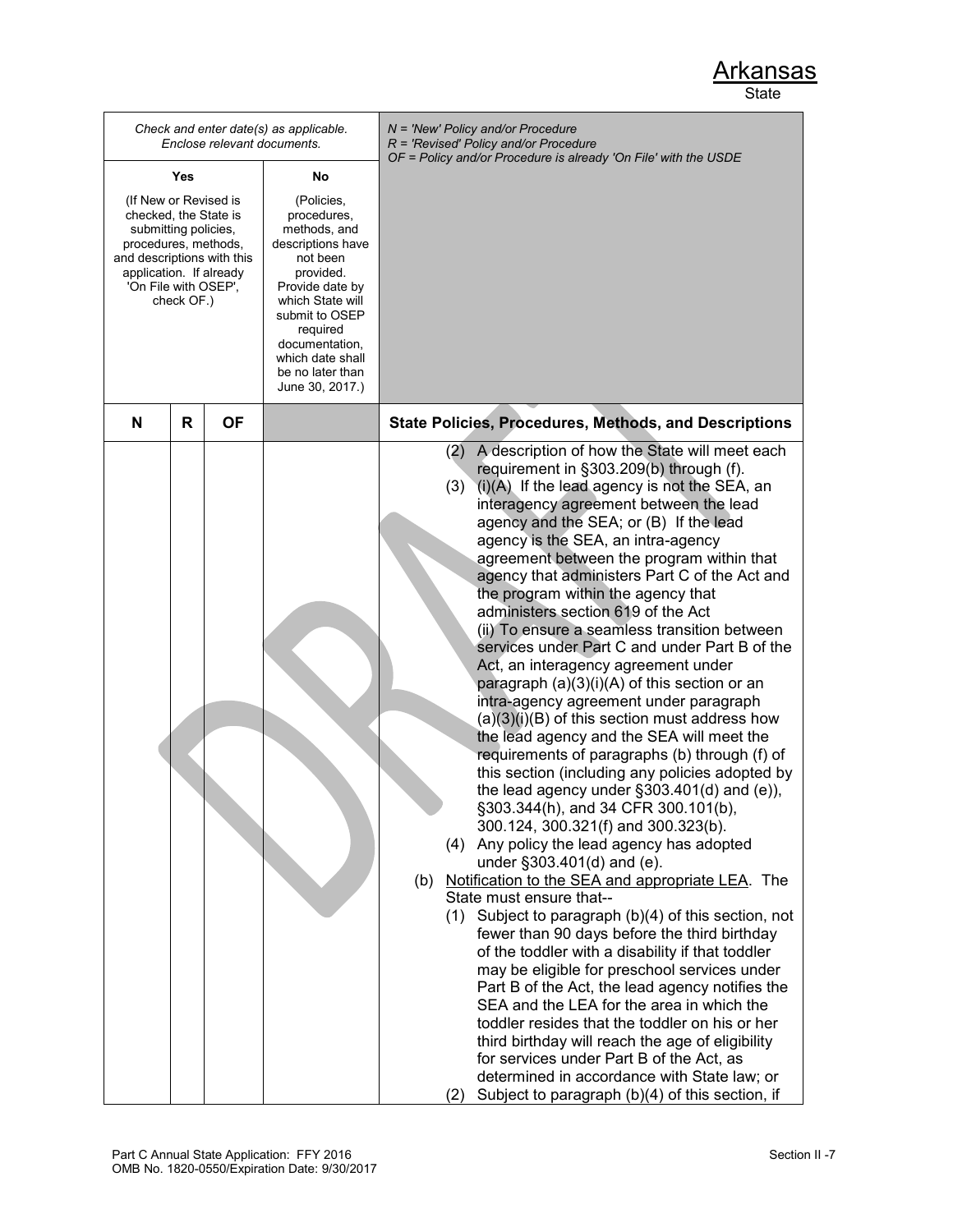|                                                                                                                                                                                               |   |           | Check and enter date(s) as applicable.<br>Enclose relevant documents.                                                                                                                                                                     |     | N = 'New' Policy and/or Procedure<br>$R$ = 'Revised' Policy and/or Procedure<br>OF = Policy and/or Procedure is already 'On File' with the USDE                                                                                                                                                                                                                                                                                                                                                                                                                                                                                                                                                                                                                                                                                                                                                                                                                                                                                                                                                                                                                                                                                                                                                                                                                                                                                                                                                                                                                                                                                                                                                                                                                           |
|-----------------------------------------------------------------------------------------------------------------------------------------------------------------------------------------------|---|-----------|-------------------------------------------------------------------------------------------------------------------------------------------------------------------------------------------------------------------------------------------|-----|---------------------------------------------------------------------------------------------------------------------------------------------------------------------------------------------------------------------------------------------------------------------------------------------------------------------------------------------------------------------------------------------------------------------------------------------------------------------------------------------------------------------------------------------------------------------------------------------------------------------------------------------------------------------------------------------------------------------------------------------------------------------------------------------------------------------------------------------------------------------------------------------------------------------------------------------------------------------------------------------------------------------------------------------------------------------------------------------------------------------------------------------------------------------------------------------------------------------------------------------------------------------------------------------------------------------------------------------------------------------------------------------------------------------------------------------------------------------------------------------------------------------------------------------------------------------------------------------------------------------------------------------------------------------------------------------------------------------------------------------------------------------------|
| Yes                                                                                                                                                                                           |   | No        |                                                                                                                                                                                                                                           |     |                                                                                                                                                                                                                                                                                                                                                                                                                                                                                                                                                                                                                                                                                                                                                                                                                                                                                                                                                                                                                                                                                                                                                                                                                                                                                                                                                                                                                                                                                                                                                                                                                                                                                                                                                                           |
| (If New or Revised is<br>checked, the State is<br>submitting policies,<br>procedures, methods,<br>and descriptions with this<br>application. If already<br>'On File with OSEP',<br>check OF.) |   |           | (Policies,<br>procedures,<br>methods, and<br>descriptions have<br>not been<br>provided.<br>Provide date by<br>which State will<br>submit to OSEP<br>required<br>documentation,<br>which date shall<br>be no later than<br>June 30, 2017.) |     |                                                                                                                                                                                                                                                                                                                                                                                                                                                                                                                                                                                                                                                                                                                                                                                                                                                                                                                                                                                                                                                                                                                                                                                                                                                                                                                                                                                                                                                                                                                                                                                                                                                                                                                                                                           |
| N                                                                                                                                                                                             | R | <b>OF</b> |                                                                                                                                                                                                                                           |     | State Policies, Procedures, Methods, and Descriptions                                                                                                                                                                                                                                                                                                                                                                                                                                                                                                                                                                                                                                                                                                                                                                                                                                                                                                                                                                                                                                                                                                                                                                                                                                                                                                                                                                                                                                                                                                                                                                                                                                                                                                                     |
|                                                                                                                                                                                               |   |           |                                                                                                                                                                                                                                           | (b) | A description of how the State will meet each<br>(2)<br>requirement in §303.209(b) through (f).<br>$(i)(A)$ If the lead agency is not the SEA, an<br>(3)<br>interagency agreement between the lead<br>agency and the SEA; or (B) If the lead<br>agency is the SEA, an intra-agency<br>agreement between the program within that<br>agency that administers Part C of the Act and<br>the program within the agency that<br>administers section 619 of the Act<br>(ii) To ensure a seamless transition between<br>services under Part C and under Part B of the<br>Act, an interagency agreement under<br>paragraph (a)(3)(i)(A) of this section or an<br>intra-agency agreement under paragraph<br>$(a)(3)(i)(B)$ of this section must address how<br>the lead agency and the SEA will meet the<br>requirements of paragraphs (b) through (f) of<br>this section (including any policies adopted by<br>the lead agency under $\S303.401(d)$ and (e)),<br>§303.344(h), and 34 CFR 300.101(b),<br>300.124, 300.321(f) and 300.323(b).<br>(4) Any policy the lead agency has adopted<br>under §303.401(d) and (e).<br>Notification to the SEA and appropriate LEA. The<br>State must ensure that--<br>$(1)$ Subject to paragraph $(b)(4)$ of this section, not<br>fewer than 90 days before the third birthday<br>of the toddler with a disability if that toddler<br>may be eligible for preschool services under<br>Part B of the Act, the lead agency notifies the<br>SEA and the LEA for the area in which the<br>toddler resides that the toddler on his or her<br>third birthday will reach the age of eligibility<br>for services under Part B of the Act, as<br>determined in accordance with State law; or<br>Subject to paragraph (b)(4) of this section, if<br>(2) |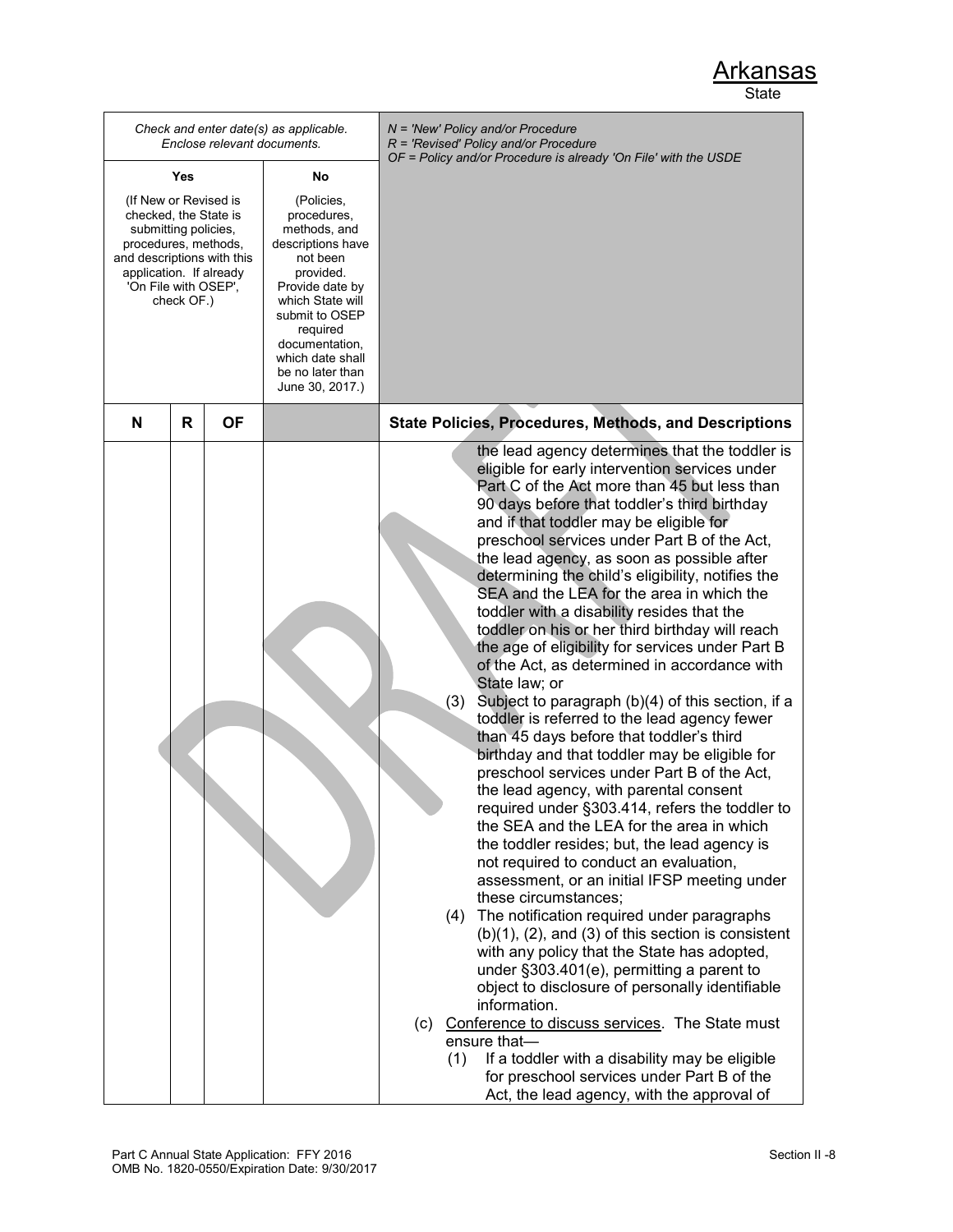|                                                                                                                                                                                               |     |   | Enclose relevant documents. | Check and enter date(s) as applicable.                                                                                                                                                                                                    | $N =$ 'New' Policy and/or Procedure<br>$R$ = 'Revised' Policy and/or Procedure                                                                                                                                                                                                                                                                                                                                                                                                                                                                                                                                                                                                                                                                                                                                                                                                                                                                                                                                                                                                                                                                                                                                                                                                                                                                                                                                                                                                                                                                                                                                                                                                                                                                   |
|-----------------------------------------------------------------------------------------------------------------------------------------------------------------------------------------------|-----|---|-----------------------------|-------------------------------------------------------------------------------------------------------------------------------------------------------------------------------------------------------------------------------------------|--------------------------------------------------------------------------------------------------------------------------------------------------------------------------------------------------------------------------------------------------------------------------------------------------------------------------------------------------------------------------------------------------------------------------------------------------------------------------------------------------------------------------------------------------------------------------------------------------------------------------------------------------------------------------------------------------------------------------------------------------------------------------------------------------------------------------------------------------------------------------------------------------------------------------------------------------------------------------------------------------------------------------------------------------------------------------------------------------------------------------------------------------------------------------------------------------------------------------------------------------------------------------------------------------------------------------------------------------------------------------------------------------------------------------------------------------------------------------------------------------------------------------------------------------------------------------------------------------------------------------------------------------------------------------------------------------------------------------------------------------|
|                                                                                                                                                                                               | Yes |   |                             | No                                                                                                                                                                                                                                        | OF = Policy and/or Procedure is already 'On File' with the USDE                                                                                                                                                                                                                                                                                                                                                                                                                                                                                                                                                                                                                                                                                                                                                                                                                                                                                                                                                                                                                                                                                                                                                                                                                                                                                                                                                                                                                                                                                                                                                                                                                                                                                  |
| (If New or Revised is<br>checked, the State is<br>submitting policies,<br>procedures, methods,<br>and descriptions with this<br>application. If already<br>'On File with OSEP',<br>check OF.) |     |   |                             | (Policies,<br>procedures,<br>methods, and<br>descriptions have<br>not been<br>provided.<br>Provide date by<br>which State will<br>submit to OSEP<br>required<br>documentation,<br>which date shall<br>be no later than<br>June 30, 2017.) |                                                                                                                                                                                                                                                                                                                                                                                                                                                                                                                                                                                                                                                                                                                                                                                                                                                                                                                                                                                                                                                                                                                                                                                                                                                                                                                                                                                                                                                                                                                                                                                                                                                                                                                                                  |
|                                                                                                                                                                                               | N   | R | <b>OF</b>                   |                                                                                                                                                                                                                                           | <b>State Policies, Procedures, Methods, and Descriptions</b>                                                                                                                                                                                                                                                                                                                                                                                                                                                                                                                                                                                                                                                                                                                                                                                                                                                                                                                                                                                                                                                                                                                                                                                                                                                                                                                                                                                                                                                                                                                                                                                                                                                                                     |
|                                                                                                                                                                                               |     |   |                             |                                                                                                                                                                                                                                           | the lead agency determines that the toddler is<br>eligible for early intervention services under<br>Part C of the Act more than 45 but less than<br>90 days before that toddler's third birthday<br>and if that toddler may be eligible for<br>preschool services under Part B of the Act,<br>the lead agency, as soon as possible after<br>determining the child's eligibility, notifies the<br>SEA and the LEA for the area in which the<br>toddler with a disability resides that the<br>toddler on his or her third birthday will reach<br>the age of eligibility for services under Part B<br>of the Act, as determined in accordance with<br>State law; or<br>(3)<br>Subject to paragraph (b)(4) of this section, if a<br>toddler is referred to the lead agency fewer<br>than 45 days before that toddler's third<br>birthday and that toddler may be eligible for<br>preschool services under Part B of the Act,<br>the lead agency, with parental consent<br>required under §303.414, refers the toddler to<br>the SEA and the LEA for the area in which<br>the toddler resides; but, the lead agency is<br>not required to conduct an evaluation,<br>assessment, or an initial IFSP meeting under<br>these circumstances;<br>The notification required under paragraphs<br>(4)<br>$(b)(1)$ , $(2)$ , and $(3)$ of this section is consistent<br>with any policy that the State has adopted,<br>under §303.401(e), permitting a parent to<br>object to disclosure of personally identifiable<br>information.<br>(c) Conference to discuss services. The State must<br>ensure that-<br>(1)<br>If a toddler with a disability may be eligible<br>for preschool services under Part B of the<br>Act, the lead agency, with the approval of |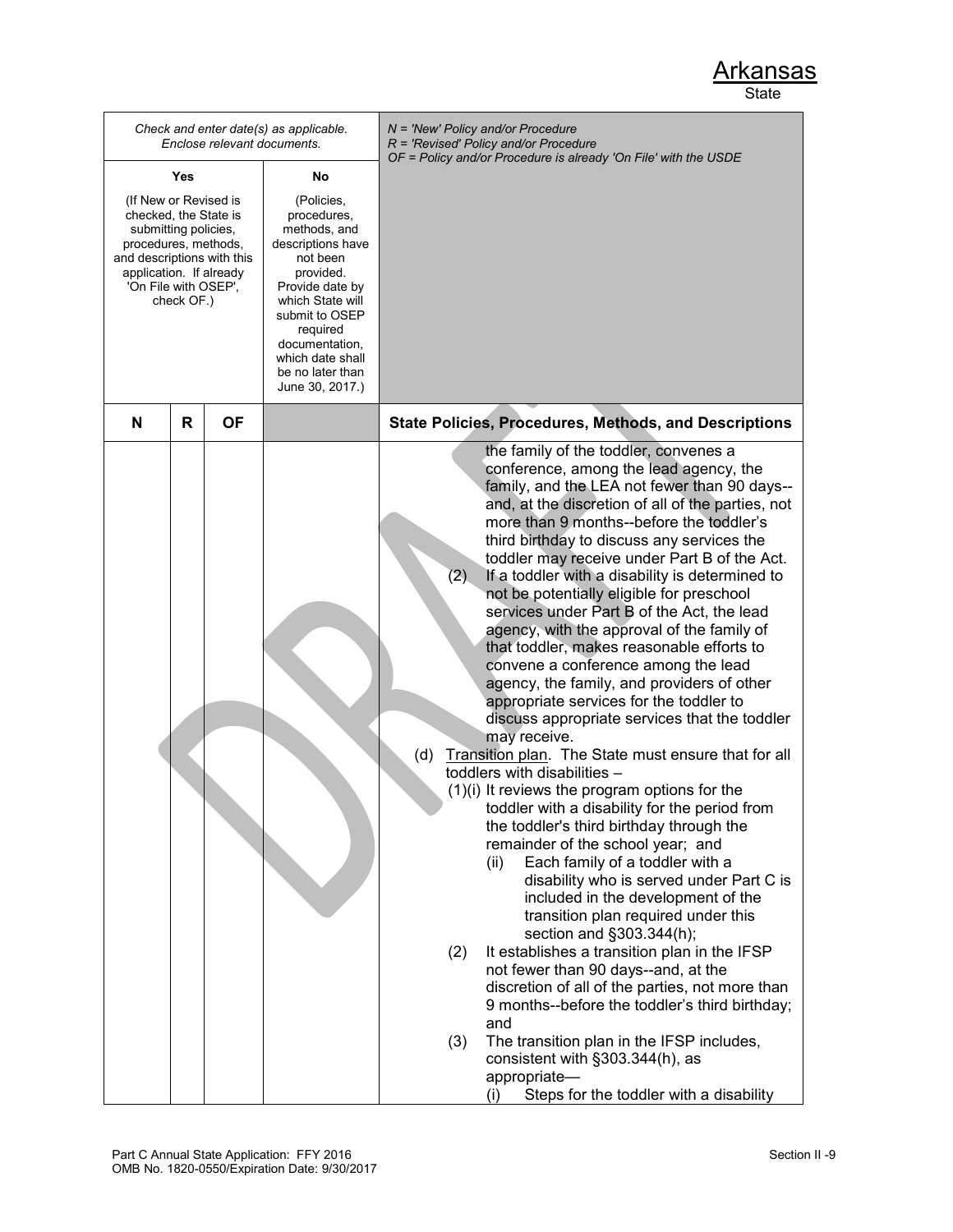|                                                                                                                                                                                               | Enclose relevant documents. | Check and enter date(s) as applicable.                                                                                                                                                                                                    | $N = 'New' Policy and/or Procedure$<br>$R$ = 'Revised' Policy and/or Procedure<br>OF = Policy and/or Procedure is already 'On File' with the USDE                                                                                                                                                                                                                                                                                                                                                                                                                                                                                                                                                                                                                                                                                                                                                                                                                                                                                                                                                                                                                                                                                                                                                                                                                                                                                                                                                                                                                                                                                     |
|-----------------------------------------------------------------------------------------------------------------------------------------------------------------------------------------------|-----------------------------|-------------------------------------------------------------------------------------------------------------------------------------------------------------------------------------------------------------------------------------------|---------------------------------------------------------------------------------------------------------------------------------------------------------------------------------------------------------------------------------------------------------------------------------------------------------------------------------------------------------------------------------------------------------------------------------------------------------------------------------------------------------------------------------------------------------------------------------------------------------------------------------------------------------------------------------------------------------------------------------------------------------------------------------------------------------------------------------------------------------------------------------------------------------------------------------------------------------------------------------------------------------------------------------------------------------------------------------------------------------------------------------------------------------------------------------------------------------------------------------------------------------------------------------------------------------------------------------------------------------------------------------------------------------------------------------------------------------------------------------------------------------------------------------------------------------------------------------------------------------------------------------------|
| Yes                                                                                                                                                                                           |                             | No                                                                                                                                                                                                                                        |                                                                                                                                                                                                                                                                                                                                                                                                                                                                                                                                                                                                                                                                                                                                                                                                                                                                                                                                                                                                                                                                                                                                                                                                                                                                                                                                                                                                                                                                                                                                                                                                                                       |
| (If New or Revised is<br>checked, the State is<br>submitting policies,<br>procedures, methods,<br>and descriptions with this<br>application. If already<br>'On File with OSEP',<br>check OF.) |                             | (Policies,<br>procedures,<br>methods, and<br>descriptions have<br>not been<br>provided.<br>Provide date by<br>which State will<br>submit to OSEP<br>required<br>documentation,<br>which date shall<br>be no later than<br>June 30, 2017.) |                                                                                                                                                                                                                                                                                                                                                                                                                                                                                                                                                                                                                                                                                                                                                                                                                                                                                                                                                                                                                                                                                                                                                                                                                                                                                                                                                                                                                                                                                                                                                                                                                                       |
| R<br>N                                                                                                                                                                                        | <b>OF</b>                   |                                                                                                                                                                                                                                           | <b>State Policies, Procedures, Methods, and Descriptions</b>                                                                                                                                                                                                                                                                                                                                                                                                                                                                                                                                                                                                                                                                                                                                                                                                                                                                                                                                                                                                                                                                                                                                                                                                                                                                                                                                                                                                                                                                                                                                                                          |
|                                                                                                                                                                                               |                             |                                                                                                                                                                                                                                           | the family of the toddler, convenes a<br>conference, among the lead agency, the<br>family, and the LEA not fewer than 90 days--<br>and, at the discretion of all of the parties, not<br>more than 9 months--before the toddler's<br>third birthday to discuss any services the<br>toddler may receive under Part B of the Act.<br>(2)<br>If a toddler with a disability is determined to<br>not be potentially eligible for preschool<br>services under Part B of the Act, the lead<br>agency, with the approval of the family of<br>that toddler, makes reasonable efforts to<br>convene a conference among the lead<br>agency, the family, and providers of other<br>appropriate services for the toddler to<br>discuss appropriate services that the toddler<br>may receive.<br>(d)<br>Transition plan. The State must ensure that for all<br>toddlers with disabilities -<br>$(1)(i)$ It reviews the program options for the<br>toddler with a disability for the period from<br>the toddler's third birthday through the<br>remainder of the school year; and<br>Each family of a toddler with a<br>(ii)<br>disability who is served under Part C is<br>included in the development of the<br>transition plan required under this<br>section and §303.344(h);<br>It establishes a transition plan in the IFSP<br>(2)<br>not fewer than 90 days--and, at the<br>discretion of all of the parties, not more than<br>9 months--before the toddler's third birthday;<br>and<br>The transition plan in the IFSP includes,<br>(3)<br>consistent with §303.344(h), as<br>appropriate-<br>Steps for the toddler with a disability<br>(i) |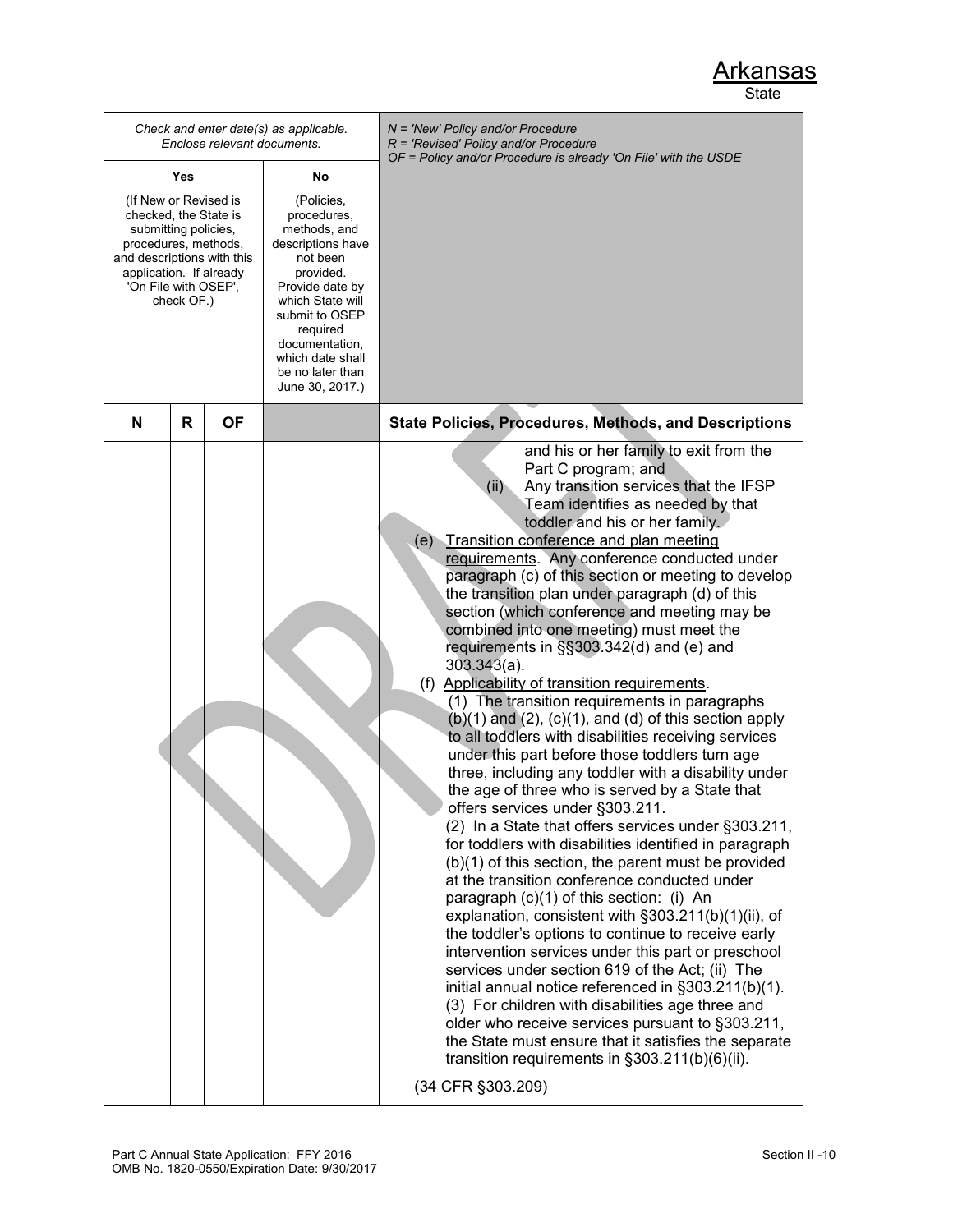|                                                                                                                                                                                               |           | Check and enter date(s) as applicable.<br>Enclose relevant documents.                                                                                                                                                                     | $N = 'New' Policy and/or Procedure$<br>$R$ = 'Revised' Policy and/or Procedure<br>OF = Policy and/or Procedure is already 'On File' with the USDE                                                                                                                                                                                                                                                                                                                                                                                                                                                                                                                                                                                                                                                                                                                                                                                                                                                                                                                                                                                                                                                                                                                                                                                                                                                                                                                                                                                                                                                                                                                                                                                                                             |
|-----------------------------------------------------------------------------------------------------------------------------------------------------------------------------------------------|-----------|-------------------------------------------------------------------------------------------------------------------------------------------------------------------------------------------------------------------------------------------|-------------------------------------------------------------------------------------------------------------------------------------------------------------------------------------------------------------------------------------------------------------------------------------------------------------------------------------------------------------------------------------------------------------------------------------------------------------------------------------------------------------------------------------------------------------------------------------------------------------------------------------------------------------------------------------------------------------------------------------------------------------------------------------------------------------------------------------------------------------------------------------------------------------------------------------------------------------------------------------------------------------------------------------------------------------------------------------------------------------------------------------------------------------------------------------------------------------------------------------------------------------------------------------------------------------------------------------------------------------------------------------------------------------------------------------------------------------------------------------------------------------------------------------------------------------------------------------------------------------------------------------------------------------------------------------------------------------------------------------------------------------------------------|
| Yes                                                                                                                                                                                           |           | No                                                                                                                                                                                                                                        |                                                                                                                                                                                                                                                                                                                                                                                                                                                                                                                                                                                                                                                                                                                                                                                                                                                                                                                                                                                                                                                                                                                                                                                                                                                                                                                                                                                                                                                                                                                                                                                                                                                                                                                                                                               |
| (If New or Revised is<br>checked, the State is<br>submitting policies,<br>procedures, methods,<br>and descriptions with this<br>application. If already<br>'On File with OSEP',<br>check OF.) |           | (Policies,<br>procedures,<br>methods, and<br>descriptions have<br>not been<br>provided.<br>Provide date by<br>which State will<br>submit to OSEP<br>required<br>documentation,<br>which date shall<br>be no later than<br>June 30, 2017.) |                                                                                                                                                                                                                                                                                                                                                                                                                                                                                                                                                                                                                                                                                                                                                                                                                                                                                                                                                                                                                                                                                                                                                                                                                                                                                                                                                                                                                                                                                                                                                                                                                                                                                                                                                                               |
| R<br>N                                                                                                                                                                                        | <b>OF</b> |                                                                                                                                                                                                                                           | <b>State Policies, Procedures, Methods, and Descriptions</b>                                                                                                                                                                                                                                                                                                                                                                                                                                                                                                                                                                                                                                                                                                                                                                                                                                                                                                                                                                                                                                                                                                                                                                                                                                                                                                                                                                                                                                                                                                                                                                                                                                                                                                                  |
|                                                                                                                                                                                               |           |                                                                                                                                                                                                                                           | and his or her family to exit from the<br>Part C program; and<br>Any transition services that the IFSP<br>(ii)<br>Team identifies as needed by that<br>toddler and his or her family.<br>(e) Transition conference and plan meeting<br>requirements. Any conference conducted under<br>paragraph (c) of this section or meeting to develop<br>the transition plan under paragraph (d) of this<br>section (which conference and meeting may be<br>combined into one meeting) must meet the<br>requirements in §§303.342(d) and (e) and<br>$303.343(a)$ .<br>(f) Applicability of transition requirements.<br>(1) The transition requirements in paragraphs<br>$(b)(1)$ and $(2)$ , $(c)(1)$ , and $(d)$ of this section apply<br>to all toddlers with disabilities receiving services<br>under this part before those toddlers turn age<br>three, including any toddler with a disability under<br>the age of three who is served by a State that<br>offers services under §303.211.<br>(2) In a State that offers services under §303.211,<br>for toddlers with disabilities identified in paragraph<br>$(b)(1)$ of this section, the parent must be provided<br>at the transition conference conducted under<br>paragraph (c)(1) of this section: (i) An<br>explanation, consistent with §303.211(b)(1)(ii), of<br>the toddler's options to continue to receive early<br>intervention services under this part or preschool<br>services under section 619 of the Act; (ii) The<br>initial annual notice referenced in §303.211(b)(1).<br>(3) For children with disabilities age three and<br>older who receive services pursuant to §303.211,<br>the State must ensure that it satisfies the separate<br>transition requirements in §303.211(b)(6)(ii).<br>(34 CFR §303.209) |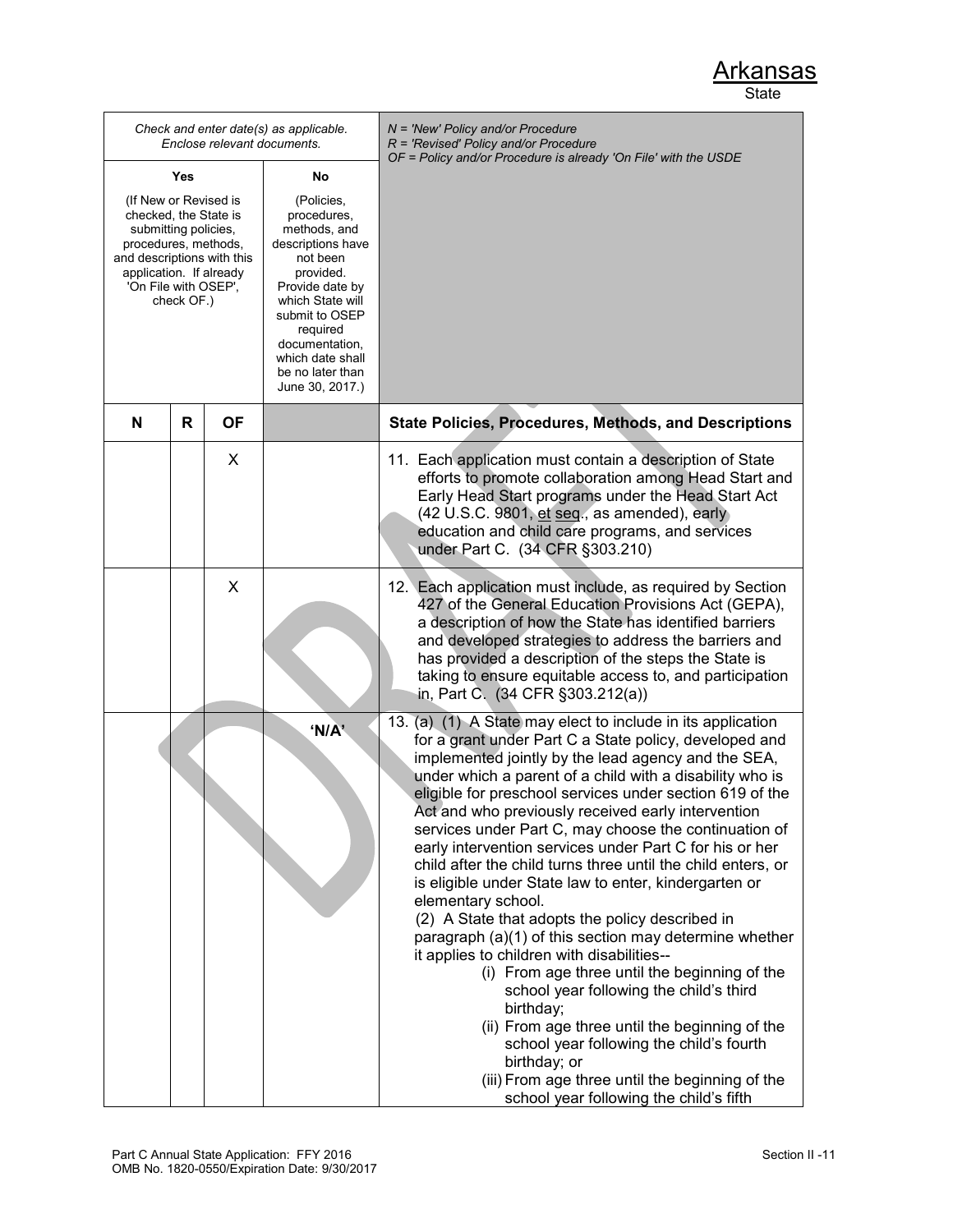|                                                                                                                                                                                               |     |           | Check and enter date(s) as applicable.<br>Enclose relevant documents.                                                                                                                                                                     | N = 'New' Policy and/or Procedure<br>$R$ = 'Revised' Policy and/or Procedure                                                                                                                                                                                                                                                                                                                                                                                                                                                                                                                                                                                                                                                                                                                                                                                                                                                                                                                                                                                                                                  |
|-----------------------------------------------------------------------------------------------------------------------------------------------------------------------------------------------|-----|-----------|-------------------------------------------------------------------------------------------------------------------------------------------------------------------------------------------------------------------------------------------|---------------------------------------------------------------------------------------------------------------------------------------------------------------------------------------------------------------------------------------------------------------------------------------------------------------------------------------------------------------------------------------------------------------------------------------------------------------------------------------------------------------------------------------------------------------------------------------------------------------------------------------------------------------------------------------------------------------------------------------------------------------------------------------------------------------------------------------------------------------------------------------------------------------------------------------------------------------------------------------------------------------------------------------------------------------------------------------------------------------|
|                                                                                                                                                                                               | Yes |           | No                                                                                                                                                                                                                                        | OF = Policy and/or Procedure is already 'On File' with the USDE                                                                                                                                                                                                                                                                                                                                                                                                                                                                                                                                                                                                                                                                                                                                                                                                                                                                                                                                                                                                                                               |
| (If New or Revised is<br>checked, the State is<br>submitting policies,<br>procedures, methods,<br>and descriptions with this<br>application. If already<br>'On File with OSEP',<br>check OF.) |     |           | (Policies,<br>procedures,<br>methods, and<br>descriptions have<br>not been<br>provided.<br>Provide date by<br>which State will<br>submit to OSEP<br>required<br>documentation,<br>which date shall<br>be no later than<br>June 30, 2017.) |                                                                                                                                                                                                                                                                                                                                                                                                                                                                                                                                                                                                                                                                                                                                                                                                                                                                                                                                                                                                                                                                                                               |
| N                                                                                                                                                                                             | R   | <b>OF</b> |                                                                                                                                                                                                                                           | <b>State Policies, Procedures, Methods, and Descriptions</b>                                                                                                                                                                                                                                                                                                                                                                                                                                                                                                                                                                                                                                                                                                                                                                                                                                                                                                                                                                                                                                                  |
|                                                                                                                                                                                               |     | X         |                                                                                                                                                                                                                                           | 11. Each application must contain a description of State<br>efforts to promote collaboration among Head Start and<br>Early Head Start programs under the Head Start Act<br>(42 U.S.C. 9801, et seq., as amended), early<br>education and child care programs, and services<br>under Part C. (34 CFR §303.210)                                                                                                                                                                                                                                                                                                                                                                                                                                                                                                                                                                                                                                                                                                                                                                                                 |
|                                                                                                                                                                                               |     | X         |                                                                                                                                                                                                                                           | 12. Each application must include, as required by Section<br>427 of the General Education Provisions Act (GEPA),<br>a description of how the State has identified barriers<br>and developed strategies to address the barriers and<br>has provided a description of the steps the State is<br>taking to ensure equitable access to, and participation<br>in, Part C. (34 CFR §303.212(a))                                                                                                                                                                                                                                                                                                                                                                                                                                                                                                                                                                                                                                                                                                                     |
|                                                                                                                                                                                               |     |           | 'N/A'                                                                                                                                                                                                                                     | 13. (a) (1) A State may elect to include in its application<br>for a grant under Part C a State policy, developed and<br>implemented jointly by the lead agency and the SEA,<br>under which a parent of a child with a disability who is<br>eligible for preschool services under section 619 of the<br>Act and who previously received early intervention<br>services under Part C, may choose the continuation of<br>early intervention services under Part C for his or her<br>child after the child turns three until the child enters, or<br>is eligible under State law to enter, kindergarten or<br>elementary school.<br>(2) A State that adopts the policy described in<br>paragraph (a)(1) of this section may determine whether<br>it applies to children with disabilities--<br>(i) From age three until the beginning of the<br>school year following the child's third<br>birthday;<br>(ii) From age three until the beginning of the<br>school year following the child's fourth<br>birthday; or<br>(iii) From age three until the beginning of the<br>school year following the child's fifth |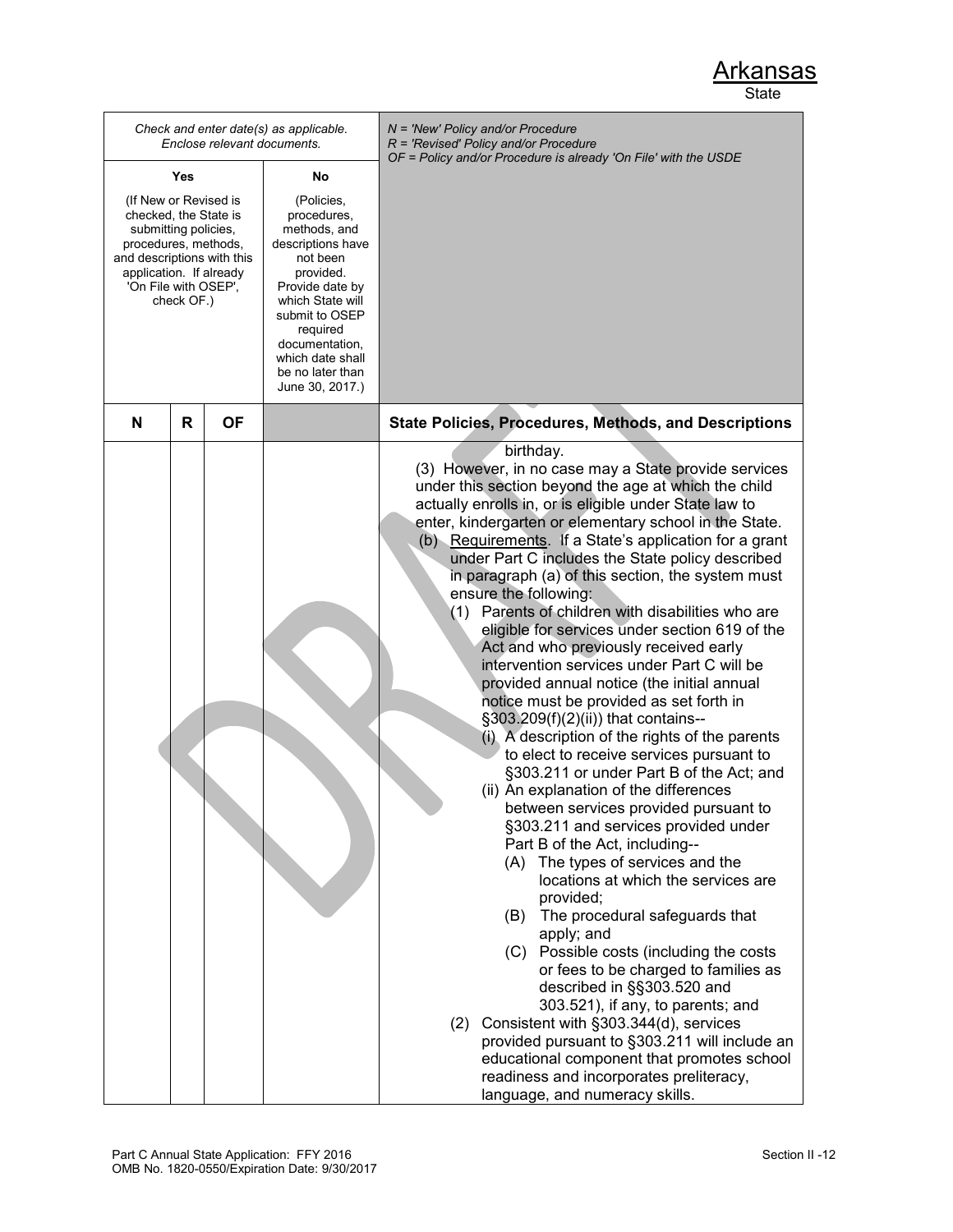|                                                                                                                                                                                               | Enclose relevant documents. | Check and enter date(s) as applicable.                                                                                                                                                                                                    | N = 'New' Policy and/or Procedure<br>$R$ = 'Revised' Policy and/or Procedure<br>OF = Policy and/or Procedure is already 'On File' with the USDE                                                                                                                                                                                                                                                                                                                                                                                                                                                                                                                                                                                                                                                                                                                                                                                                                                                                                                                                                                                                                                                                                                                                                                                                                                                                                                                                                                                                                                                               |
|-----------------------------------------------------------------------------------------------------------------------------------------------------------------------------------------------|-----------------------------|-------------------------------------------------------------------------------------------------------------------------------------------------------------------------------------------------------------------------------------------|---------------------------------------------------------------------------------------------------------------------------------------------------------------------------------------------------------------------------------------------------------------------------------------------------------------------------------------------------------------------------------------------------------------------------------------------------------------------------------------------------------------------------------------------------------------------------------------------------------------------------------------------------------------------------------------------------------------------------------------------------------------------------------------------------------------------------------------------------------------------------------------------------------------------------------------------------------------------------------------------------------------------------------------------------------------------------------------------------------------------------------------------------------------------------------------------------------------------------------------------------------------------------------------------------------------------------------------------------------------------------------------------------------------------------------------------------------------------------------------------------------------------------------------------------------------------------------------------------------------|
| Yes                                                                                                                                                                                           |                             | No                                                                                                                                                                                                                                        |                                                                                                                                                                                                                                                                                                                                                                                                                                                                                                                                                                                                                                                                                                                                                                                                                                                                                                                                                                                                                                                                                                                                                                                                                                                                                                                                                                                                                                                                                                                                                                                                               |
| (If New or Revised is<br>checked, the State is<br>submitting policies,<br>procedures, methods,<br>and descriptions with this<br>application. If already<br>'On File with OSEP',<br>check OF.) |                             | (Policies,<br>procedures,<br>methods, and<br>descriptions have<br>not been<br>provided.<br>Provide date by<br>which State will<br>submit to OSEP<br>required<br>documentation,<br>which date shall<br>be no later than<br>June 30, 2017.) |                                                                                                                                                                                                                                                                                                                                                                                                                                                                                                                                                                                                                                                                                                                                                                                                                                                                                                                                                                                                                                                                                                                                                                                                                                                                                                                                                                                                                                                                                                                                                                                                               |
| N<br>R                                                                                                                                                                                        | ΟF                          |                                                                                                                                                                                                                                           | <b>State Policies, Procedures, Methods, and Descriptions</b>                                                                                                                                                                                                                                                                                                                                                                                                                                                                                                                                                                                                                                                                                                                                                                                                                                                                                                                                                                                                                                                                                                                                                                                                                                                                                                                                                                                                                                                                                                                                                  |
|                                                                                                                                                                                               |                             |                                                                                                                                                                                                                                           | birthday.<br>(3) However, in no case may a State provide services<br>under this section beyond the age at which the child<br>actually enrolls in, or is eligible under State law to<br>enter, kindergarten or elementary school in the State.<br>(b) Requirements. If a State's application for a grant<br>under Part C includes the State policy described<br>in paragraph (a) of this section, the system must<br>ensure the following:<br>(1) Parents of children with disabilities who are<br>eligible for services under section 619 of the<br>Act and who previously received early<br>intervention services under Part C will be<br>provided annual notice (the initial annual<br>notice must be provided as set forth in<br>§303.209(f)(2)(ii)) that contains--<br>(i) A description of the rights of the parents<br>to elect to receive services pursuant to<br>§303.211 or under Part B of the Act; and<br>(ii) An explanation of the differences<br>between services provided pursuant to<br>§303.211 and services provided under<br>Part B of the Act, including--<br>(A) The types of services and the<br>locations at which the services are<br>provided;<br>The procedural safeguards that<br>(B)<br>apply; and<br>(C) Possible costs (including the costs<br>or fees to be charged to families as<br>described in §§303.520 and<br>303.521), if any, to parents; and<br>(2) Consistent with §303.344(d), services<br>provided pursuant to §303.211 will include an<br>educational component that promotes school<br>readiness and incorporates preliteracy,<br>language, and numeracy skills. |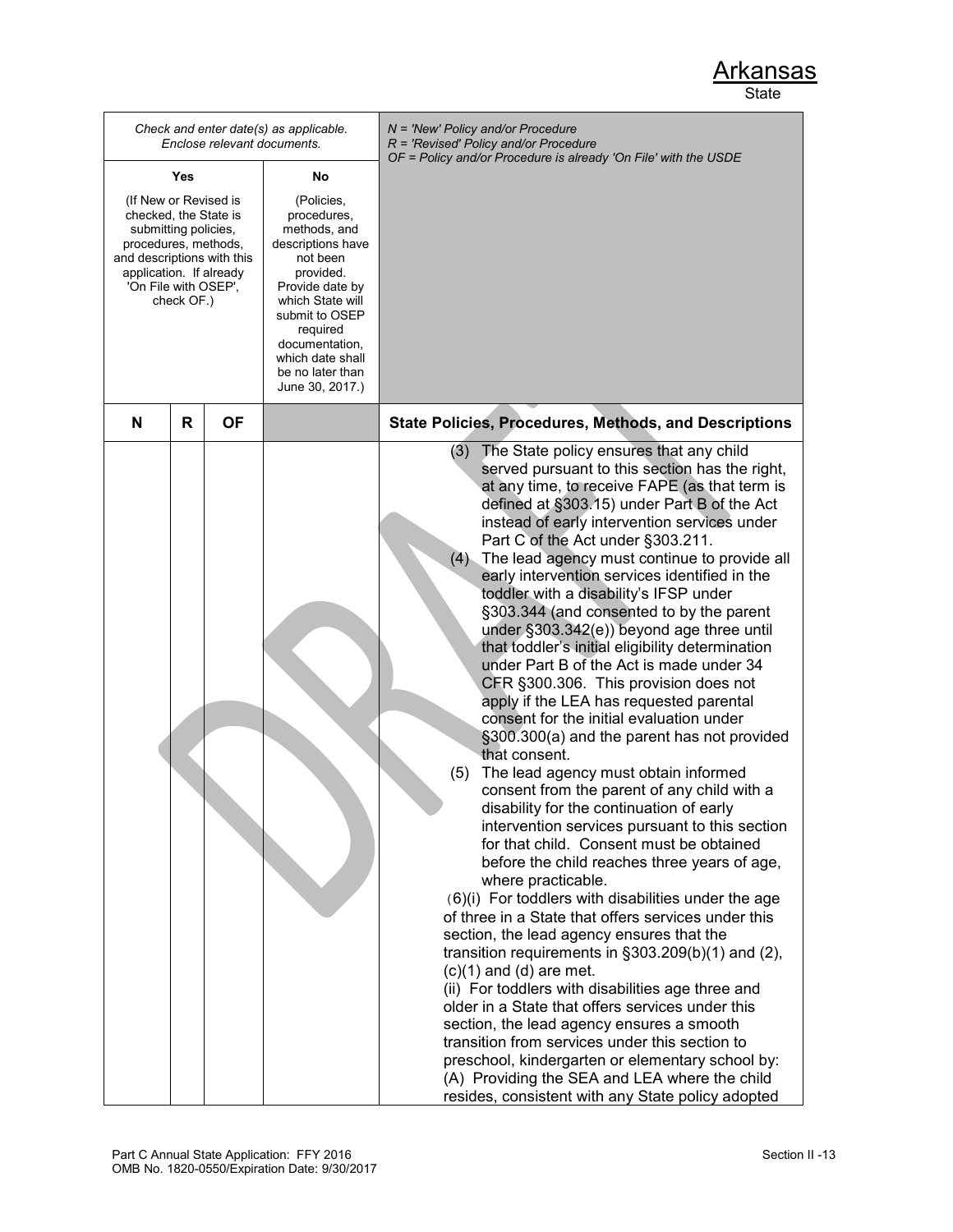|                                                                                                                                                                                               |   | Enclose relevant documents. | Check and enter date(s) as applicable.                                                                                                                                                                                                    | N = 'New' Policy and/or Procedure<br>R = 'Revised' Policy and/or Procedure<br>OF = Policy and/or Procedure is already 'On File' with the USDE                                                                                                                                                                                                                                                                                                                                                                                                                                                                                                                                                                                                                                                                                                                                                                                                                                                                                                                                                                                                                                                                                                                                                                                                                                                                                                                                                                                                                                                                                                                                                                                                                        |
|-----------------------------------------------------------------------------------------------------------------------------------------------------------------------------------------------|---|-----------------------------|-------------------------------------------------------------------------------------------------------------------------------------------------------------------------------------------------------------------------------------------|----------------------------------------------------------------------------------------------------------------------------------------------------------------------------------------------------------------------------------------------------------------------------------------------------------------------------------------------------------------------------------------------------------------------------------------------------------------------------------------------------------------------------------------------------------------------------------------------------------------------------------------------------------------------------------------------------------------------------------------------------------------------------------------------------------------------------------------------------------------------------------------------------------------------------------------------------------------------------------------------------------------------------------------------------------------------------------------------------------------------------------------------------------------------------------------------------------------------------------------------------------------------------------------------------------------------------------------------------------------------------------------------------------------------------------------------------------------------------------------------------------------------------------------------------------------------------------------------------------------------------------------------------------------------------------------------------------------------------------------------------------------------|
| Yes                                                                                                                                                                                           |   | No                          |                                                                                                                                                                                                                                           |                                                                                                                                                                                                                                                                                                                                                                                                                                                                                                                                                                                                                                                                                                                                                                                                                                                                                                                                                                                                                                                                                                                                                                                                                                                                                                                                                                                                                                                                                                                                                                                                                                                                                                                                                                      |
| (If New or Revised is<br>checked, the State is<br>submitting policies,<br>procedures, methods,<br>and descriptions with this<br>application. If already<br>'On File with OSEP',<br>check OF.) |   |                             | (Policies,<br>procedures,<br>methods, and<br>descriptions have<br>not been<br>provided.<br>Provide date by<br>which State will<br>submit to OSEP<br>required<br>documentation,<br>which date shall<br>be no later than<br>June 30, 2017.) |                                                                                                                                                                                                                                                                                                                                                                                                                                                                                                                                                                                                                                                                                                                                                                                                                                                                                                                                                                                                                                                                                                                                                                                                                                                                                                                                                                                                                                                                                                                                                                                                                                                                                                                                                                      |
| N                                                                                                                                                                                             | R | <b>OF</b>                   |                                                                                                                                                                                                                                           | <b>State Policies, Procedures, Methods, and Descriptions</b>                                                                                                                                                                                                                                                                                                                                                                                                                                                                                                                                                                                                                                                                                                                                                                                                                                                                                                                                                                                                                                                                                                                                                                                                                                                                                                                                                                                                                                                                                                                                                                                                                                                                                                         |
|                                                                                                                                                                                               |   |                             |                                                                                                                                                                                                                                           | The State policy ensures that any child<br>(3)<br>served pursuant to this section has the right,<br>at any time, to receive FAPE (as that term is<br>defined at §303.15) under Part B of the Act<br>instead of early intervention services under<br>Part C of the Act under §303.211.<br>(4)<br>The lead agency must continue to provide all<br>early intervention services identified in the<br>toddler with a disability's IFSP under<br>§303.344 (and consented to by the parent<br>under §303.342(e)) beyond age three until<br>that toddler's initial eligibility determination<br>under Part B of the Act is made under 34<br>CFR §300.306. This provision does not<br>apply if the LEA has requested parental<br>consent for the initial evaluation under<br>§300.300(a) and the parent has not provided<br>that consent.<br>(5)<br>The lead agency must obtain informed<br>consent from the parent of any child with a<br>disability for the continuation of early<br>intervention services pursuant to this section<br>for that child. Consent must be obtained<br>before the child reaches three years of age,<br>where practicable.<br>(6)(i) For toddlers with disabilities under the age<br>of three in a State that offers services under this<br>section, the lead agency ensures that the<br>transition requirements in $\S 303.209(b)(1)$ and (2),<br>$(c)(1)$ and $(d)$ are met.<br>(ii) For toddlers with disabilities age three and<br>older in a State that offers services under this<br>section, the lead agency ensures a smooth<br>transition from services under this section to<br>preschool, kindergarten or elementary school by:<br>(A) Providing the SEA and LEA where the child<br>resides, consistent with any State policy adopted |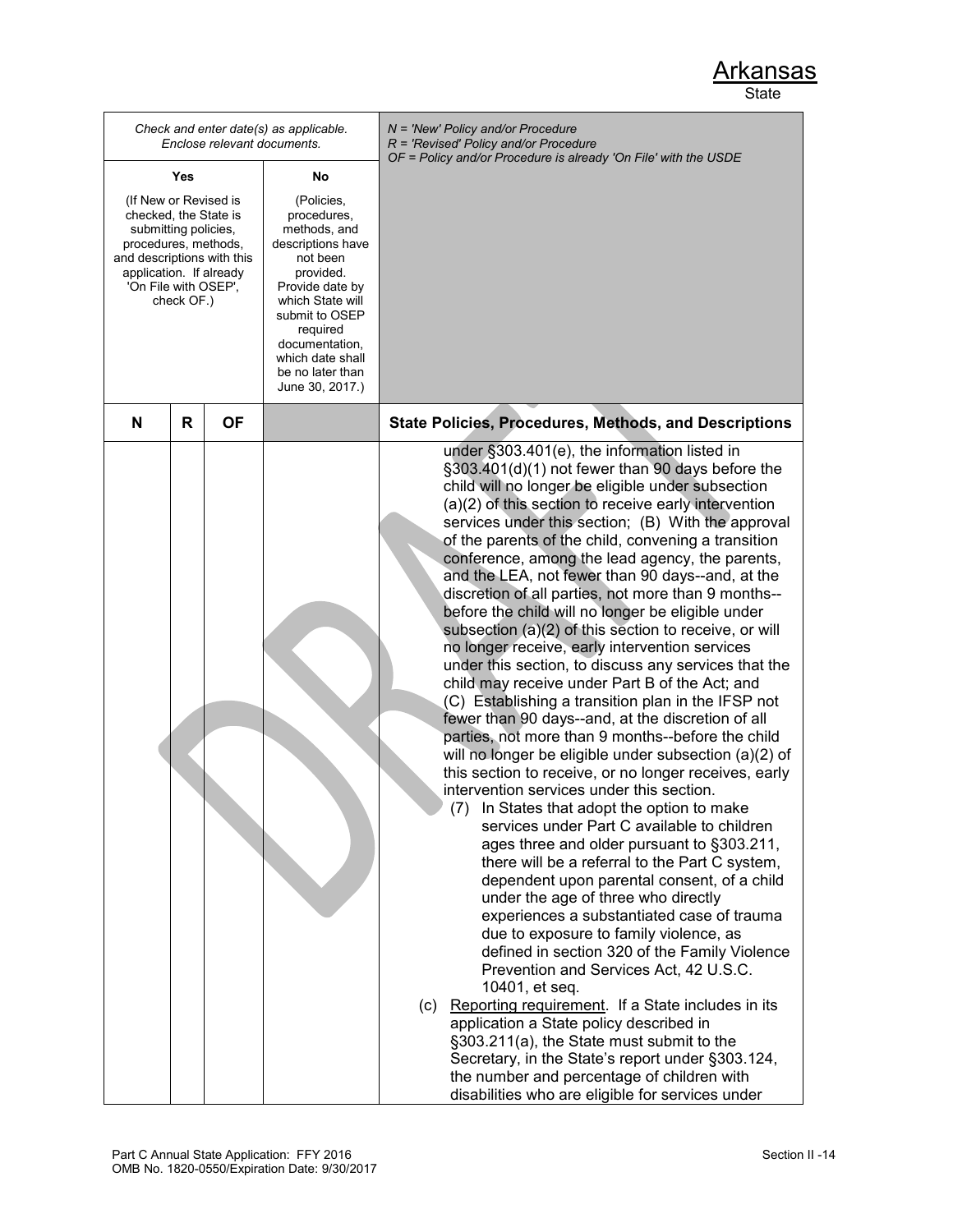|                                                                                                                                                                                               |     | Enclose relevant documents. | Check and enter date(s) as applicable.                                                                                                                                                                                                    | $N =$ 'New' Policy and/or Procedure<br>$R$ = 'Revised' Policy and/or Procedure<br>OF = Policy and/or Procedure is already 'On File' with the USDE                                                                                                                                                                                                                                                                                                                                                                                                                                                                                                                                                                                                                                                                                                                                                                                                                                                                                                                                                                                                                                                                                                                                                                                                                                                                                                                                                                                                                                                                                                                                                                                                                                                                                                                                                 |
|-----------------------------------------------------------------------------------------------------------------------------------------------------------------------------------------------|-----|-----------------------------|-------------------------------------------------------------------------------------------------------------------------------------------------------------------------------------------------------------------------------------------|---------------------------------------------------------------------------------------------------------------------------------------------------------------------------------------------------------------------------------------------------------------------------------------------------------------------------------------------------------------------------------------------------------------------------------------------------------------------------------------------------------------------------------------------------------------------------------------------------------------------------------------------------------------------------------------------------------------------------------------------------------------------------------------------------------------------------------------------------------------------------------------------------------------------------------------------------------------------------------------------------------------------------------------------------------------------------------------------------------------------------------------------------------------------------------------------------------------------------------------------------------------------------------------------------------------------------------------------------------------------------------------------------------------------------------------------------------------------------------------------------------------------------------------------------------------------------------------------------------------------------------------------------------------------------------------------------------------------------------------------------------------------------------------------------------------------------------------------------------------------------------------------------|
|                                                                                                                                                                                               | Yes |                             | No                                                                                                                                                                                                                                        |                                                                                                                                                                                                                                                                                                                                                                                                                                                                                                                                                                                                                                                                                                                                                                                                                                                                                                                                                                                                                                                                                                                                                                                                                                                                                                                                                                                                                                                                                                                                                                                                                                                                                                                                                                                                                                                                                                   |
| (If New or Revised is<br>checked, the State is<br>submitting policies,<br>procedures, methods,<br>and descriptions with this<br>application. If already<br>'On File with OSEP',<br>check OF.) |     |                             | (Policies,<br>procedures,<br>methods, and<br>descriptions have<br>not been<br>provided.<br>Provide date by<br>which State will<br>submit to OSEP<br>required<br>documentation,<br>which date shall<br>be no later than<br>June 30, 2017.) |                                                                                                                                                                                                                                                                                                                                                                                                                                                                                                                                                                                                                                                                                                                                                                                                                                                                                                                                                                                                                                                                                                                                                                                                                                                                                                                                                                                                                                                                                                                                                                                                                                                                                                                                                                                                                                                                                                   |
| N                                                                                                                                                                                             | R   | ΟF                          |                                                                                                                                                                                                                                           | <b>State Policies, Procedures, Methods, and Descriptions</b>                                                                                                                                                                                                                                                                                                                                                                                                                                                                                                                                                                                                                                                                                                                                                                                                                                                                                                                                                                                                                                                                                                                                                                                                                                                                                                                                                                                                                                                                                                                                                                                                                                                                                                                                                                                                                                      |
|                                                                                                                                                                                               |     |                             |                                                                                                                                                                                                                                           | under §303.401(e), the information listed in<br>§303.401(d)(1) not fewer than 90 days before the<br>child will no longer be eligible under subsection<br>(a)(2) of this section to receive early intervention<br>services under this section; (B) With the approval<br>of the parents of the child, convening a transition<br>conference, among the lead agency, the parents,<br>and the LEA, not fewer than 90 days--and, at the<br>discretion of all parties, not more than 9 months--<br>before the child will no longer be eligible under<br>subsection (a)(2) of this section to receive, or will<br>no longer receive, early intervention services<br>under this section, to discuss any services that the<br>child may receive under Part B of the Act; and<br>(C) Establishing a transition plan in the IFSP not<br>fewer than 90 days--and, at the discretion of all<br>parties, not more than 9 months--before the child<br>will no longer be eligible under subsection (a)(2) of<br>this section to receive, or no longer receives, early<br>intervention services under this section.<br>(7) In States that adopt the option to make<br>services under Part C available to children<br>ages three and older pursuant to §303.211,<br>there will be a referral to the Part C system,<br>dependent upon parental consent, of a child<br>under the age of three who directly<br>experiences a substantiated case of trauma<br>due to exposure to family violence, as<br>defined in section 320 of the Family Violence<br>Prevention and Services Act, 42 U.S.C.<br>10401, et seq.<br>(c) Reporting requirement. If a State includes in its<br>application a State policy described in<br>§303.211(a), the State must submit to the<br>Secretary, in the State's report under §303.124,<br>the number and percentage of children with<br>disabilities who are eligible for services under |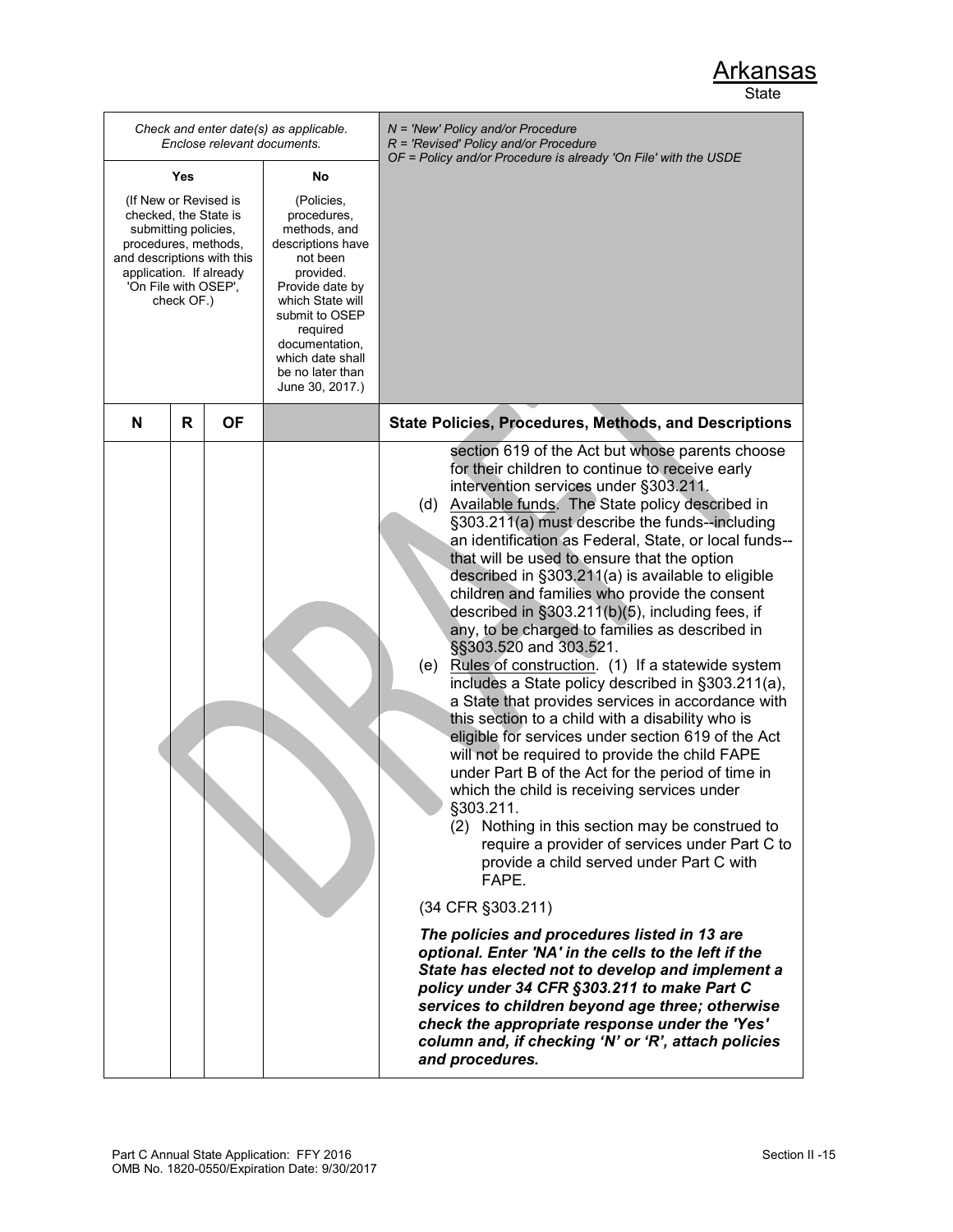|                                                                                                                                                                                               | Enclose relevant documents. | Check and enter date(s) as applicable.                                                                                                                                                                                                    | $N =$ 'New' Policy and/or Procedure<br>$R$ = 'Revised' Policy and/or Procedure                                                                                                                                                                                                                                                                                                                                                                                                                                                                                                                                                                                                                                                                                                                                                                                                                                                                                                                                                                                                                                                                                                                                                                                                                                                                                                                                                                                                                                                                                                                                            |  |
|-----------------------------------------------------------------------------------------------------------------------------------------------------------------------------------------------|-----------------------------|-------------------------------------------------------------------------------------------------------------------------------------------------------------------------------------------------------------------------------------------|---------------------------------------------------------------------------------------------------------------------------------------------------------------------------------------------------------------------------------------------------------------------------------------------------------------------------------------------------------------------------------------------------------------------------------------------------------------------------------------------------------------------------------------------------------------------------------------------------------------------------------------------------------------------------------------------------------------------------------------------------------------------------------------------------------------------------------------------------------------------------------------------------------------------------------------------------------------------------------------------------------------------------------------------------------------------------------------------------------------------------------------------------------------------------------------------------------------------------------------------------------------------------------------------------------------------------------------------------------------------------------------------------------------------------------------------------------------------------------------------------------------------------------------------------------------------------------------------------------------------------|--|
| Yes                                                                                                                                                                                           |                             | No                                                                                                                                                                                                                                        | OF = Policy and/or Procedure is already 'On File' with the USDE                                                                                                                                                                                                                                                                                                                                                                                                                                                                                                                                                                                                                                                                                                                                                                                                                                                                                                                                                                                                                                                                                                                                                                                                                                                                                                                                                                                                                                                                                                                                                           |  |
| (If New or Revised is<br>checked, the State is<br>submitting policies,<br>procedures, methods,<br>and descriptions with this<br>application. If already<br>'On File with OSEP',<br>check OF.) |                             | (Policies,<br>procedures,<br>methods, and<br>descriptions have<br>not been<br>provided.<br>Provide date by<br>which State will<br>submit to OSEP<br>required<br>documentation,<br>which date shall<br>be no later than<br>June 30, 2017.) |                                                                                                                                                                                                                                                                                                                                                                                                                                                                                                                                                                                                                                                                                                                                                                                                                                                                                                                                                                                                                                                                                                                                                                                                                                                                                                                                                                                                                                                                                                                                                                                                                           |  |
| N<br>R                                                                                                                                                                                        | ΟF                          |                                                                                                                                                                                                                                           | <b>State Policies, Procedures, Methods, and Descriptions</b>                                                                                                                                                                                                                                                                                                                                                                                                                                                                                                                                                                                                                                                                                                                                                                                                                                                                                                                                                                                                                                                                                                                                                                                                                                                                                                                                                                                                                                                                                                                                                              |  |
|                                                                                                                                                                                               |                             |                                                                                                                                                                                                                                           | section 619 of the Act but whose parents choose<br>for their children to continue to receive early<br>intervention services under §303.211.<br>(d) Available funds. The State policy described in<br>§303.211(a) must describe the funds--including<br>an identification as Federal, State, or local funds--<br>that will be used to ensure that the option<br>described in §303.211(a) is available to eligible<br>children and families who provide the consent<br>described in §303.211(b)(5), including fees, if<br>any, to be charged to families as described in<br>§§303.520 and 303.521.<br>(e) Rules of construction. (1) If a statewide system<br>includes a State policy described in §303.211(a),<br>a State that provides services in accordance with<br>this section to a child with a disability who is<br>eligible for services under section 619 of the Act<br>will not be required to provide the child FAPE<br>under Part B of the Act for the period of time in<br>which the child is receiving services under<br>§303.211.<br>(2) Nothing in this section may be construed to<br>require a provider of services under Part C to<br>provide a child served under Part C with<br>FAPE.<br>(34 CFR §303.211)<br>The policies and procedures listed in 13 are<br>optional. Enter 'NA' in the cells to the left if the<br>State has elected not to develop and implement a<br>policy under 34 CFR §303.211 to make Part C<br>services to children beyond age three; otherwise<br>check the appropriate response under the 'Yes'<br>column and, if checking 'N' or 'R', attach policies<br>and procedures. |  |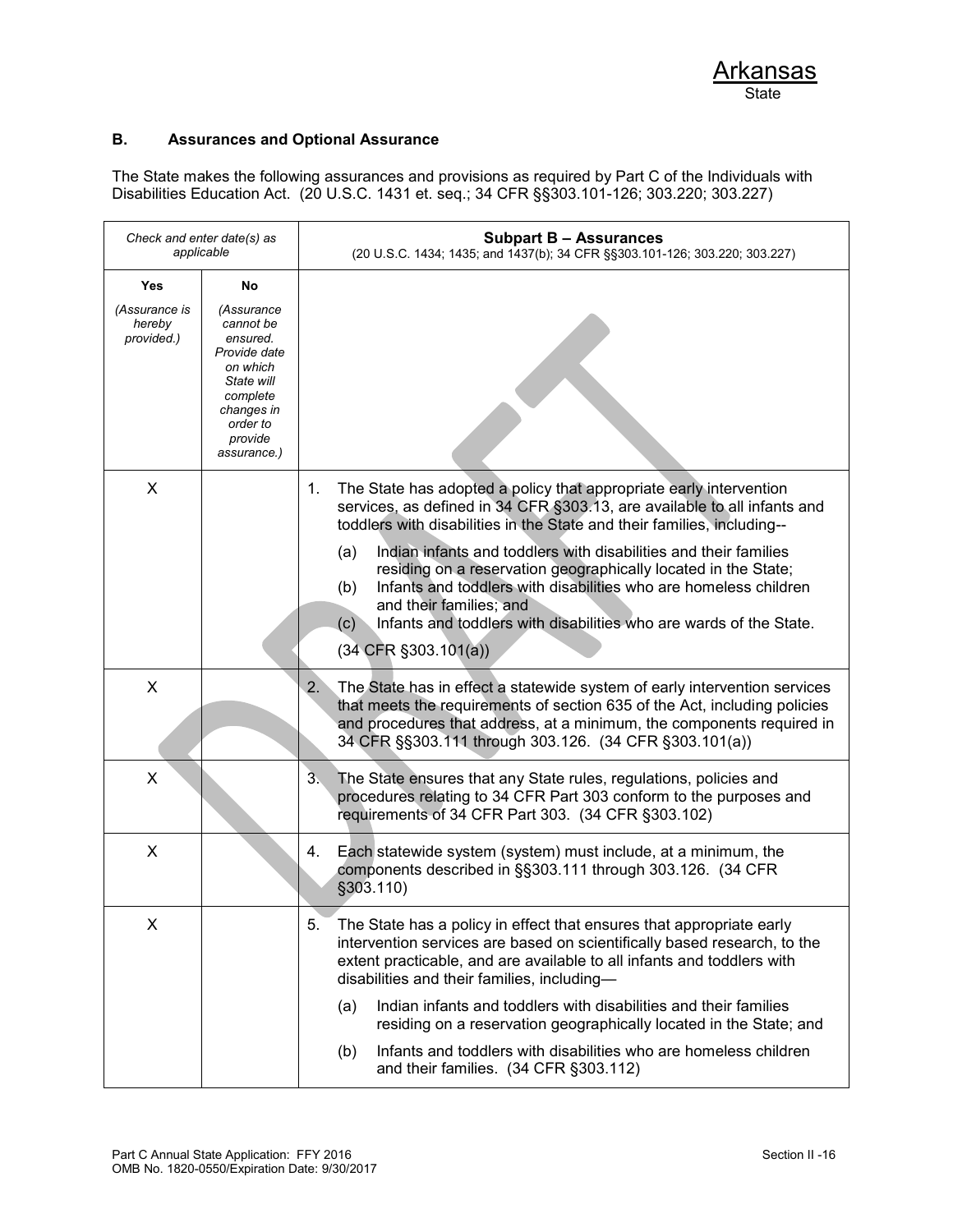### **B. Assurances and Optional Assurance**

The State makes the following assurances and provisions as required by Part C of the Individuals with Disabilities Education Act. (20 U.S.C. 1431 et. seq.; 34 CFR §§303.101-126; 303.220; 303.227)

| Check and enter date(s) as<br>applicable            |                                                                                                                                                     | <b>Subpart B - Assurances</b><br>(20 U.S.C. 1434; 1435; and 1437(b); 34 CFR §§303.101-126; 303.220; 303.227)                                                                                                                                                                                                                                                                                                                                                                                                                                                                                  |
|-----------------------------------------------------|-----------------------------------------------------------------------------------------------------------------------------------------------------|-----------------------------------------------------------------------------------------------------------------------------------------------------------------------------------------------------------------------------------------------------------------------------------------------------------------------------------------------------------------------------------------------------------------------------------------------------------------------------------------------------------------------------------------------------------------------------------------------|
| <b>Yes</b><br>(Assurance is<br>hereby<br>provided.) | No<br>(Assurance<br>cannot be<br>ensured.<br>Provide date<br>on which<br>State will<br>complete<br>changes in<br>order to<br>provide<br>assurance.) |                                                                                                                                                                                                                                                                                                                                                                                                                                                                                                                                                                                               |
| X                                                   |                                                                                                                                                     | The State has adopted a policy that appropriate early intervention<br>1.<br>services, as defined in 34 CFR §303.13, are available to all infants and<br>toddlers with disabilities in the State and their families, including--<br>Indian infants and toddlers with disabilities and their families<br>(a)<br>residing on a reservation geographically located in the State;<br>Infants and toddlers with disabilities who are homeless children<br>(b)<br>and their families; and<br>Infants and toddlers with disabilities who are wards of the State.<br>(c)<br>$(34$ CFR $\S 303.101(a))$ |
| X                                                   |                                                                                                                                                     | The State has in effect a statewide system of early intervention services<br>2.<br>that meets the requirements of section 635 of the Act, including policies<br>and procedures that address, at a minimum, the components required in<br>34 CFR §§303.111 through 303.126. (34 CFR §303.101(a))                                                                                                                                                                                                                                                                                               |
| X                                                   |                                                                                                                                                     | 3 <sub>1</sub><br>The State ensures that any State rules, regulations, policies and<br>procedures relating to 34 CFR Part 303 conform to the purposes and<br>requirements of 34 CFR Part 303. (34 CFR §303.102)                                                                                                                                                                                                                                                                                                                                                                               |
| X                                                   |                                                                                                                                                     | 4.<br>Each statewide system (system) must include, at a minimum, the<br>components described in §§303.111 through 303.126. (34 CFR<br>§303.110)                                                                                                                                                                                                                                                                                                                                                                                                                                               |
| Х                                                   |                                                                                                                                                     | The State has a policy in effect that ensures that appropriate early<br>5.<br>intervention services are based on scientifically based research, to the<br>extent practicable, and are available to all infants and toddlers with<br>disabilities and their families, including-<br>Indian infants and toddlers with disabilities and their families<br>(a)<br>residing on a reservation geographically located in the State; and<br>Infants and toddlers with disabilities who are homeless children<br>(b)<br>and their families. (34 CFR §303.112)                                          |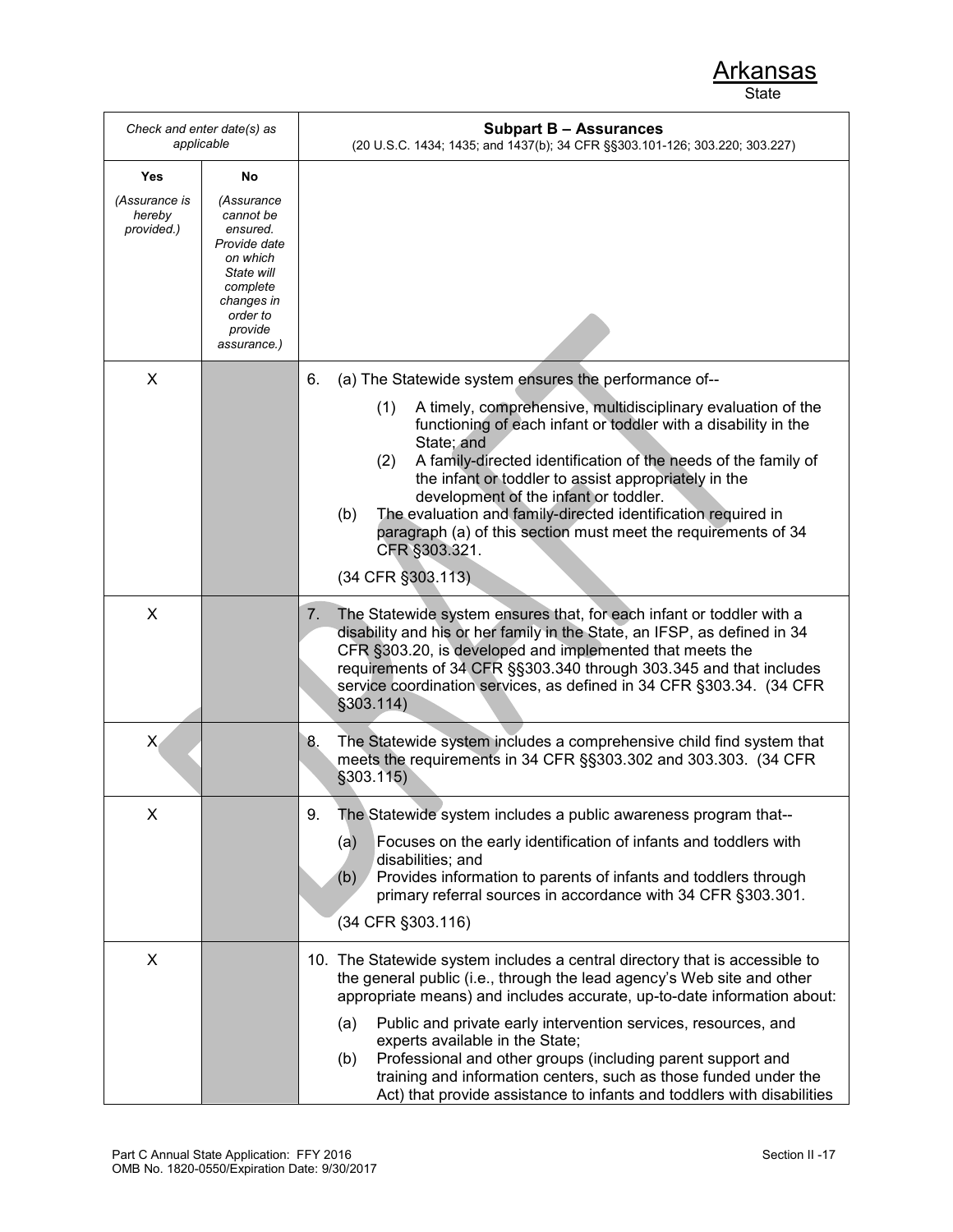| Check and enter date(s) as<br>applicable |                                                                                                                                               | <b>Subpart B - Assurances</b><br>(20 U.S.C. 1434; 1435; and 1437(b); 34 CFR §§303.101-126; 303.220; 303.227)                                                                                                                                                                                                                                                                                                                                                                                                  |
|------------------------------------------|-----------------------------------------------------------------------------------------------------------------------------------------------|---------------------------------------------------------------------------------------------------------------------------------------------------------------------------------------------------------------------------------------------------------------------------------------------------------------------------------------------------------------------------------------------------------------------------------------------------------------------------------------------------------------|
| Yes                                      | No                                                                                                                                            |                                                                                                                                                                                                                                                                                                                                                                                                                                                                                                               |
| (Assurance is<br>hereby<br>provided.)    | (Assurance<br>cannot be<br>ensured.<br>Provide date<br>on which<br>State will<br>complete<br>changes in<br>order to<br>provide<br>assurance.) |                                                                                                                                                                                                                                                                                                                                                                                                                                                                                                               |
| X                                        |                                                                                                                                               | (a) The Statewide system ensures the performance of--<br>6.                                                                                                                                                                                                                                                                                                                                                                                                                                                   |
|                                          |                                                                                                                                               | A timely, comprehensive, multidisciplinary evaluation of the<br>(1)<br>functioning of each infant or toddler with a disability in the<br>State; and<br>A family-directed identification of the needs of the family of<br>(2)<br>the infant or toddler to assist appropriately in the<br>development of the infant or toddler.<br>The evaluation and family-directed identification required in<br>(b)<br>paragraph (a) of this section must meet the requirements of 34<br>CFR §303.321.<br>(34 CFR §303.113) |
|                                          |                                                                                                                                               |                                                                                                                                                                                                                                                                                                                                                                                                                                                                                                               |
| X                                        |                                                                                                                                               | The Statewide system ensures that, for each infant or toddler with a<br>7.<br>disability and his or her family in the State, an IFSP, as defined in 34<br>CFR §303.20, is developed and implemented that meets the<br>requirements of 34 CFR §§303.340 through 303.345 and that includes<br>service coordination services, as defined in 34 CFR §303.34. (34 CFR<br>\$303.114)                                                                                                                                |
| X,                                       |                                                                                                                                               | 8.<br>The Statewide system includes a comprehensive child find system that<br>meets the requirements in 34 CFR §§303.302 and 303.303. (34 CFR<br>\$303.115)                                                                                                                                                                                                                                                                                                                                                   |
| X                                        |                                                                                                                                               | The Statewide system includes a public awareness program that--<br>9.<br>Focuses on the early identification of infants and toddlers with<br>(a)<br>disabilities; and<br>Provides information to parents of infants and toddlers through<br>(b)<br>primary referral sources in accordance with 34 CFR §303.301.<br>(34 CFR §303.116)                                                                                                                                                                          |
| X                                        |                                                                                                                                               | 10. The Statewide system includes a central directory that is accessible to<br>the general public (i.e., through the lead agency's Web site and other<br>appropriate means) and includes accurate, up-to-date information about:                                                                                                                                                                                                                                                                              |
|                                          |                                                                                                                                               | Public and private early intervention services, resources, and<br>(a)<br>experts available in the State;<br>Professional and other groups (including parent support and<br>(b)<br>training and information centers, such as those funded under the<br>Act) that provide assistance to infants and toddlers with disabilities                                                                                                                                                                                  |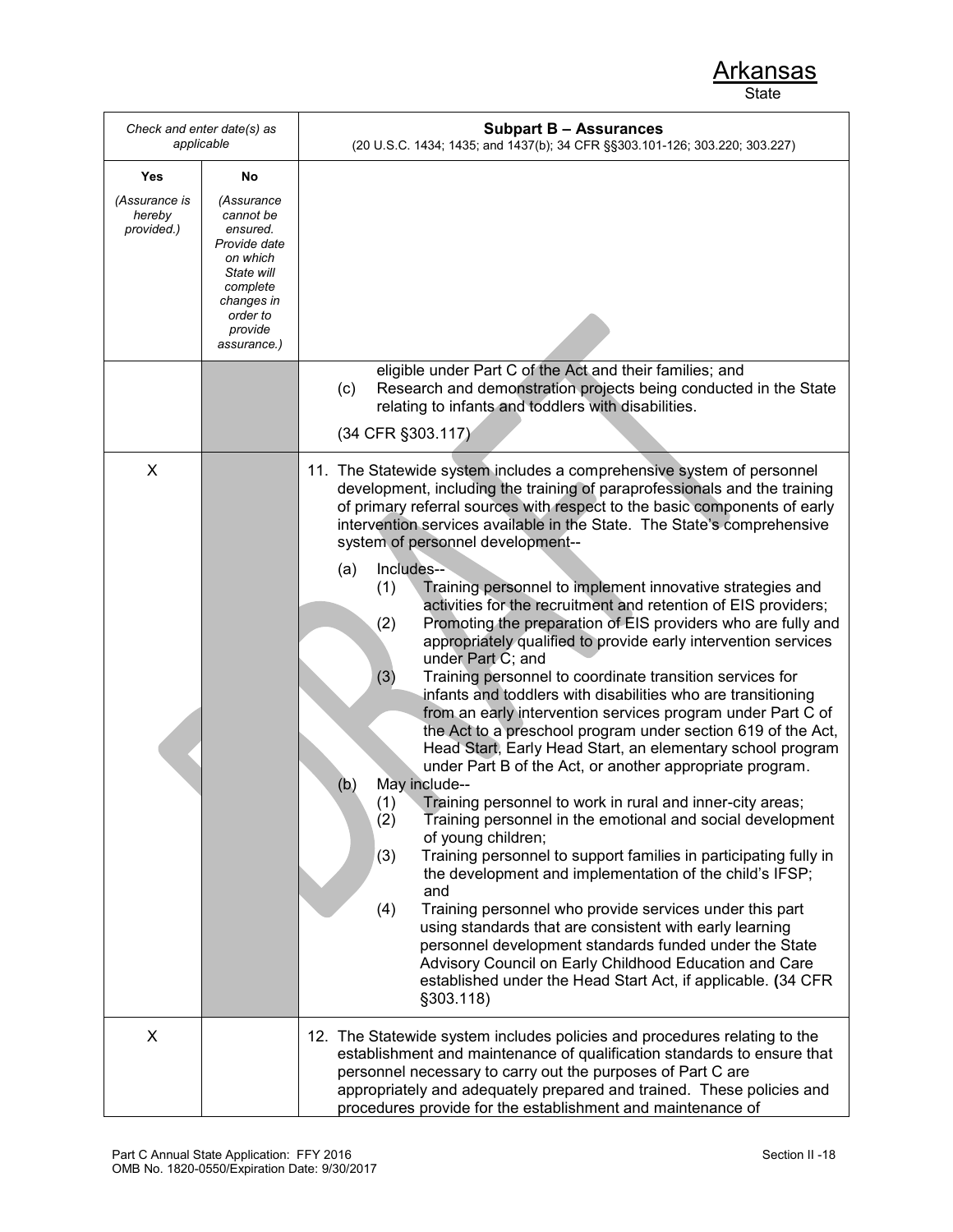| Check and enter date(s) as<br>applicable     |                                                                                                        | <b>Subpart B - Assurances</b><br>(20 U.S.C. 1434; 1435; and 1437(b); 34 CFR §§303.101-126; 303.220; 303.227)                                                                                                                                                                                                                                                                                                                                                                                                                                                                                                                                                                                                                                                                                                                                                                                                                                                                                                                                                                                                                                                                                                                                                                                                                                                                                                                                                               |
|----------------------------------------------|--------------------------------------------------------------------------------------------------------|----------------------------------------------------------------------------------------------------------------------------------------------------------------------------------------------------------------------------------------------------------------------------------------------------------------------------------------------------------------------------------------------------------------------------------------------------------------------------------------------------------------------------------------------------------------------------------------------------------------------------------------------------------------------------------------------------------------------------------------------------------------------------------------------------------------------------------------------------------------------------------------------------------------------------------------------------------------------------------------------------------------------------------------------------------------------------------------------------------------------------------------------------------------------------------------------------------------------------------------------------------------------------------------------------------------------------------------------------------------------------------------------------------------------------------------------------------------------------|
| Yes<br>(Assurance is<br>hereby<br>provided.) | No<br>(Assurance<br>cannot be<br>ensured.                                                              |                                                                                                                                                                                                                                                                                                                                                                                                                                                                                                                                                                                                                                                                                                                                                                                                                                                                                                                                                                                                                                                                                                                                                                                                                                                                                                                                                                                                                                                                            |
|                                              | Provide date<br>on which<br>State will<br>complete<br>changes in<br>order to<br>provide<br>assurance.) |                                                                                                                                                                                                                                                                                                                                                                                                                                                                                                                                                                                                                                                                                                                                                                                                                                                                                                                                                                                                                                                                                                                                                                                                                                                                                                                                                                                                                                                                            |
|                                              |                                                                                                        | eligible under Part C of the Act and their families; and<br>Research and demonstration projects being conducted in the State<br>(c)<br>relating to infants and toddlers with disabilities.                                                                                                                                                                                                                                                                                                                                                                                                                                                                                                                                                                                                                                                                                                                                                                                                                                                                                                                                                                                                                                                                                                                                                                                                                                                                                 |
|                                              |                                                                                                        | (34 CFR §303.117)                                                                                                                                                                                                                                                                                                                                                                                                                                                                                                                                                                                                                                                                                                                                                                                                                                                                                                                                                                                                                                                                                                                                                                                                                                                                                                                                                                                                                                                          |
| X                                            |                                                                                                        | 11. The Statewide system includes a comprehensive system of personnel<br>development, including the training of paraprofessionals and the training<br>of primary referral sources with respect to the basic components of early<br>intervention services available in the State. The State's comprehensive<br>system of personnel development--<br>Includes--<br>(a)<br>Training personnel to implement innovative strategies and<br>(1)<br>activities for the recruitment and retention of EIS providers;<br>Promoting the preparation of EIS providers who are fully and<br>(2)<br>appropriately qualified to provide early intervention services<br>under Part C; and<br>(3)<br>Training personnel to coordinate transition services for<br>infants and toddlers with disabilities who are transitioning<br>from an early intervention services program under Part C of<br>the Act to a preschool program under section 619 of the Act,<br>Head Start, Early Head Start, an elementary school program<br>under Part B of the Act, or another appropriate program.<br>May include--<br>(b)<br>Training personnel to work in rural and inner-city areas;<br>(1)<br>(2)<br>Training personnel in the emotional and social development<br>of young children;<br>Training personnel to support families in participating fully in<br>(3)<br>the development and implementation of the child's IFSP;<br>and<br>(4)<br>Training personnel who provide services under this part |
|                                              |                                                                                                        | using standards that are consistent with early learning<br>personnel development standards funded under the State<br>Advisory Council on Early Childhood Education and Care<br>established under the Head Start Act, if applicable. (34 CFR<br>§303.118)                                                                                                                                                                                                                                                                                                                                                                                                                                                                                                                                                                                                                                                                                                                                                                                                                                                                                                                                                                                                                                                                                                                                                                                                                   |
| X                                            |                                                                                                        | 12. The Statewide system includes policies and procedures relating to the<br>establishment and maintenance of qualification standards to ensure that<br>personnel necessary to carry out the purposes of Part C are<br>appropriately and adequately prepared and trained. These policies and<br>procedures provide for the establishment and maintenance of                                                                                                                                                                                                                                                                                                                                                                                                                                                                                                                                                                                                                                                                                                                                                                                                                                                                                                                                                                                                                                                                                                                |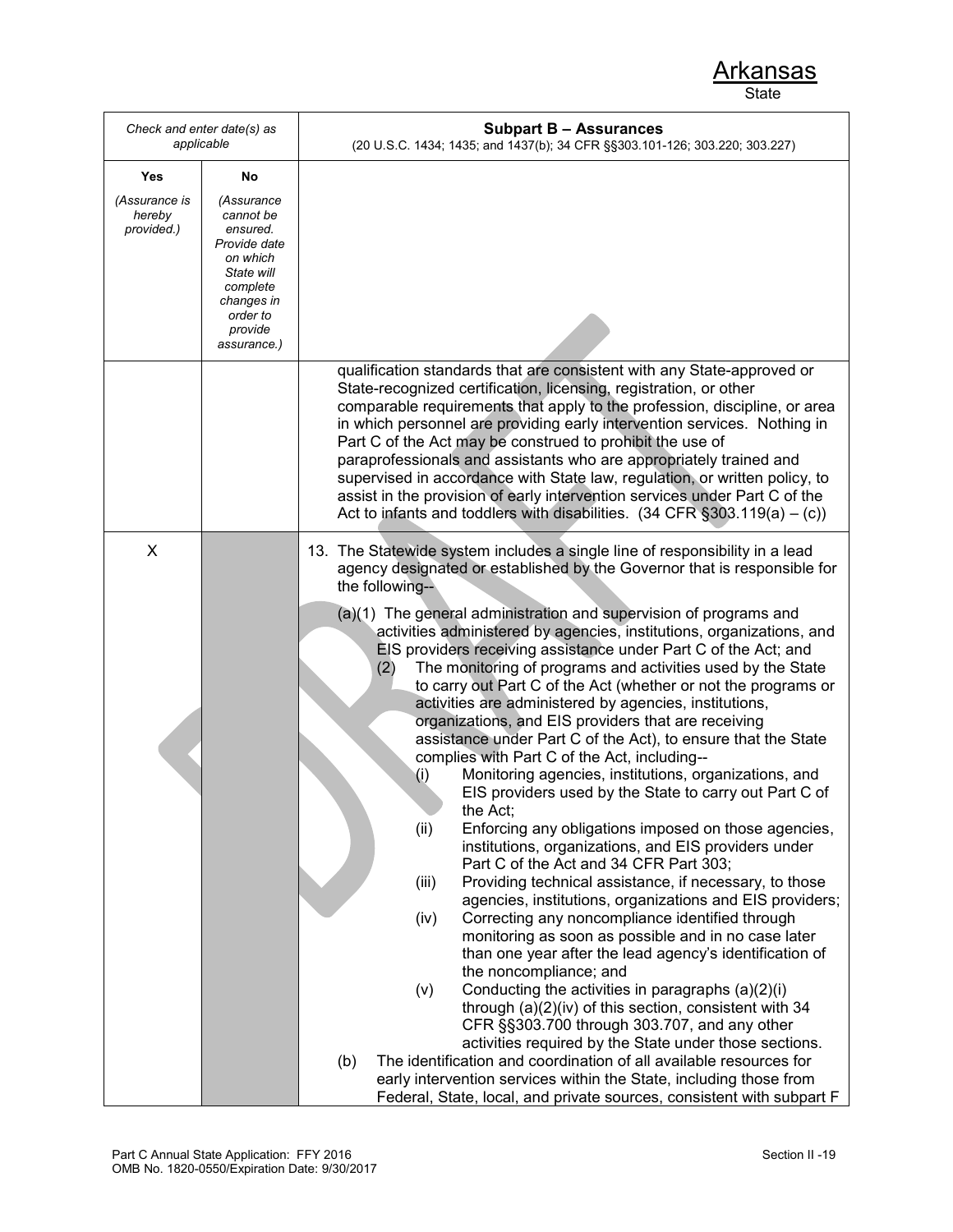| Check and enter date(s) as<br>applicable |                                                                                                                                               | <b>Subpart B - Assurances</b><br>(20 U.S.C. 1434; 1435; and 1437(b); 34 CFR §§303.101-126; 303.220; 303.227)                                                                                                                                                                                                                                                                                                                                                                                                                                                                                                                                                                                  |
|------------------------------------------|-----------------------------------------------------------------------------------------------------------------------------------------------|-----------------------------------------------------------------------------------------------------------------------------------------------------------------------------------------------------------------------------------------------------------------------------------------------------------------------------------------------------------------------------------------------------------------------------------------------------------------------------------------------------------------------------------------------------------------------------------------------------------------------------------------------------------------------------------------------|
| Yes                                      | No                                                                                                                                            |                                                                                                                                                                                                                                                                                                                                                                                                                                                                                                                                                                                                                                                                                               |
| (Assurance is<br>hereby<br>provided.)    | (Assurance<br>cannot be<br>ensured.<br>Provide date<br>on which<br>State will<br>complete<br>changes in<br>order to<br>provide<br>assurance.) |                                                                                                                                                                                                                                                                                                                                                                                                                                                                                                                                                                                                                                                                                               |
|                                          |                                                                                                                                               | qualification standards that are consistent with any State-approved or<br>State-recognized certification, licensing, registration, or other<br>comparable requirements that apply to the profession, discipline, or area<br>in which personnel are providing early intervention services. Nothing in<br>Part C of the Act may be construed to prohibit the use of<br>paraprofessionals and assistants who are appropriately trained and<br>supervised in accordance with State law, regulation, or written policy, to<br>assist in the provision of early intervention services under Part C of the<br>Act to infants and toddlers with disabilities. $(34 \text{ CFR } \S 303.119(a) - (c))$ |
| $\boldsymbol{\mathsf{X}}$                |                                                                                                                                               | 13. The Statewide system includes a single line of responsibility in a lead<br>agency designated or established by the Governor that is responsible for<br>the following--                                                                                                                                                                                                                                                                                                                                                                                                                                                                                                                    |
|                                          |                                                                                                                                               | (a)(1) The general administration and supervision of programs and<br>activities administered by agencies, institutions, organizations, and<br>EIS providers receiving assistance under Part C of the Act; and<br>The monitoring of programs and activities used by the State<br>(2)<br>to carry out Part C of the Act (whether or not the programs or<br>activities are administered by agencies, institutions,<br>organizations, and EIS providers that are receiving                                                                                                                                                                                                                        |
|                                          |                                                                                                                                               | assistance under Part C of the Act), to ensure that the State                                                                                                                                                                                                                                                                                                                                                                                                                                                                                                                                                                                                                                 |
|                                          |                                                                                                                                               | complies with Part C of the Act, including--<br>Monitoring agencies, institutions, organizations, and<br>(i)                                                                                                                                                                                                                                                                                                                                                                                                                                                                                                                                                                                  |
|                                          |                                                                                                                                               | EIS providers used by the State to carry out Part C of                                                                                                                                                                                                                                                                                                                                                                                                                                                                                                                                                                                                                                        |
|                                          |                                                                                                                                               | the Act;<br>(ii)<br>Enforcing any obligations imposed on those agencies,<br>institutions, organizations, and EIS providers under<br>Part C of the Act and 34 CFR Part 303;                                                                                                                                                                                                                                                                                                                                                                                                                                                                                                                    |
|                                          |                                                                                                                                               | Providing technical assistance, if necessary, to those<br>(iii)                                                                                                                                                                                                                                                                                                                                                                                                                                                                                                                                                                                                                               |
|                                          |                                                                                                                                               | agencies, institutions, organizations and EIS providers;<br>Correcting any noncompliance identified through<br>(iv)                                                                                                                                                                                                                                                                                                                                                                                                                                                                                                                                                                           |
|                                          |                                                                                                                                               | monitoring as soon as possible and in no case later<br>than one year after the lead agency's identification of                                                                                                                                                                                                                                                                                                                                                                                                                                                                                                                                                                                |
|                                          |                                                                                                                                               | the noncompliance; and                                                                                                                                                                                                                                                                                                                                                                                                                                                                                                                                                                                                                                                                        |
|                                          |                                                                                                                                               | Conducting the activities in paragraphs (a)(2)(i)<br>(v)<br>through (a)(2)(iv) of this section, consistent with 34                                                                                                                                                                                                                                                                                                                                                                                                                                                                                                                                                                            |
|                                          |                                                                                                                                               | CFR §§303.700 through 303.707, and any other                                                                                                                                                                                                                                                                                                                                                                                                                                                                                                                                                                                                                                                  |
|                                          |                                                                                                                                               | activities required by the State under those sections.<br>The identification and coordination of all available resources for<br>(b)                                                                                                                                                                                                                                                                                                                                                                                                                                                                                                                                                           |
|                                          |                                                                                                                                               | early intervention services within the State, including those from                                                                                                                                                                                                                                                                                                                                                                                                                                                                                                                                                                                                                            |
|                                          |                                                                                                                                               | Federal, State, local, and private sources, consistent with subpart F                                                                                                                                                                                                                                                                                                                                                                                                                                                                                                                                                                                                                         |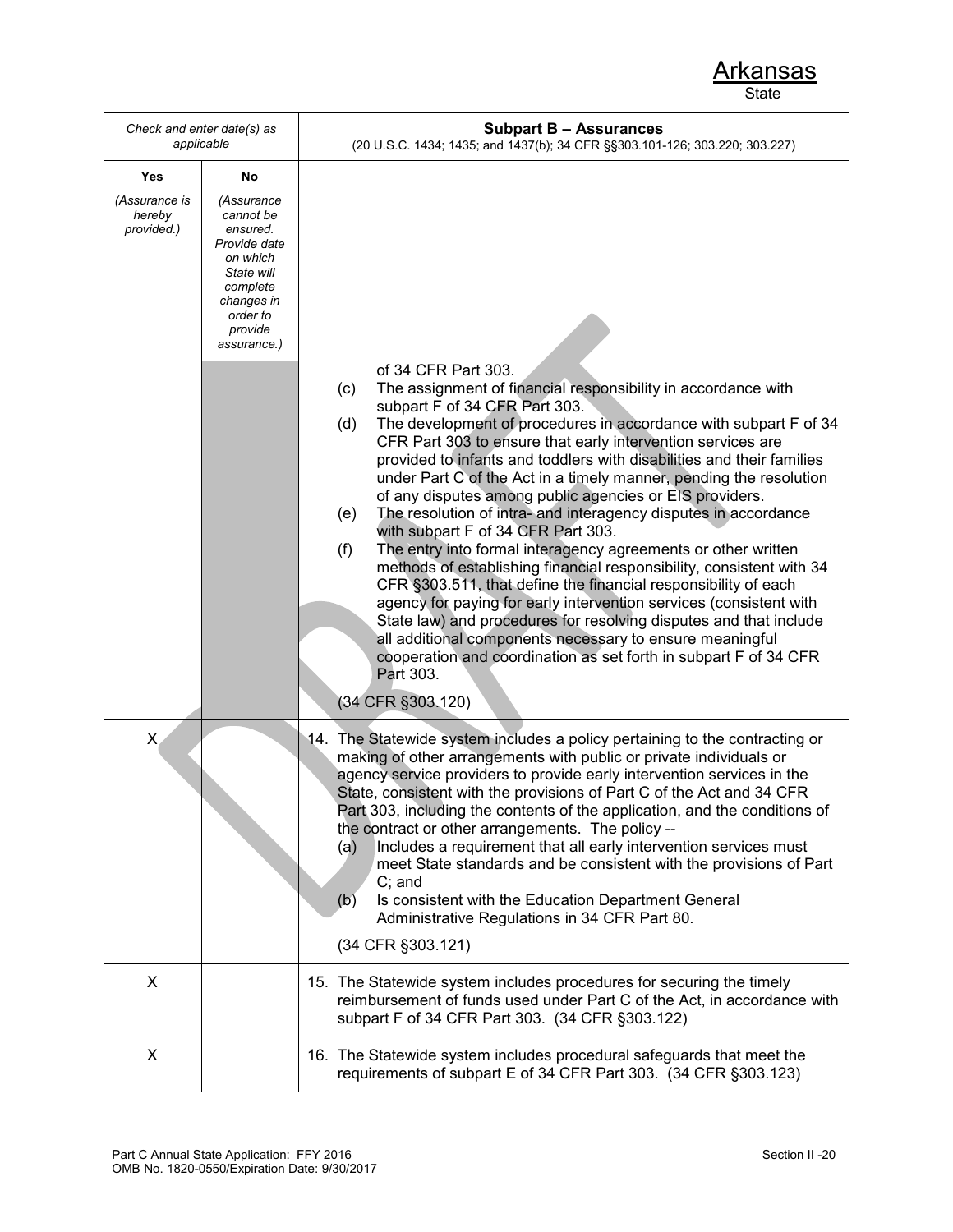| Check and enter date(s) as<br>applicable     |                                                                                     | <b>Subpart B - Assurances</b><br>(20 U.S.C. 1434; 1435; and 1437(b); 34 CFR §§303.101-126; 303.220; 303.227)                                                                                                                                                                                                                                                                                                                                                                                                                                                                                                                                                                                                                                                                                                                                                                                                                                                                                                                                                                                                                    |
|----------------------------------------------|-------------------------------------------------------------------------------------|---------------------------------------------------------------------------------------------------------------------------------------------------------------------------------------------------------------------------------------------------------------------------------------------------------------------------------------------------------------------------------------------------------------------------------------------------------------------------------------------------------------------------------------------------------------------------------------------------------------------------------------------------------------------------------------------------------------------------------------------------------------------------------------------------------------------------------------------------------------------------------------------------------------------------------------------------------------------------------------------------------------------------------------------------------------------------------------------------------------------------------|
| Yes<br>(Assurance is<br>hereby<br>provided.) | No<br>(Assurance<br>cannot be<br>ensured.<br>Provide date<br>on which<br>State will |                                                                                                                                                                                                                                                                                                                                                                                                                                                                                                                                                                                                                                                                                                                                                                                                                                                                                                                                                                                                                                                                                                                                 |
|                                              | complete<br>changes in<br>order to<br>provide<br>assurance.)                        |                                                                                                                                                                                                                                                                                                                                                                                                                                                                                                                                                                                                                                                                                                                                                                                                                                                                                                                                                                                                                                                                                                                                 |
|                                              |                                                                                     | of 34 CFR Part 303.<br>The assignment of financial responsibility in accordance with<br>(c)<br>subpart F of 34 CFR Part 303.<br>The development of procedures in accordance with subpart F of 34<br>(d)<br>CFR Part 303 to ensure that early intervention services are<br>provided to infants and toddlers with disabilities and their families<br>under Part C of the Act in a timely manner, pending the resolution<br>of any disputes among public agencies or EIS providers.<br>The resolution of intra- and interagency disputes in accordance<br>(e)<br>with subpart F of 34 CFR Part 303.<br>The entry into formal interagency agreements or other written<br>(f)<br>methods of establishing financial responsibility, consistent with 34<br>CFR §303.511, that define the financial responsibility of each<br>agency for paying for early intervention services (consistent with<br>State law) and procedures for resolving disputes and that include<br>all additional components necessary to ensure meaningful<br>cooperation and coordination as set forth in subpart F of 34 CFR<br>Part 303.<br>(34 CFR §303.120) |
| $\mathsf{X}$                                 |                                                                                     | 14. The Statewide system includes a policy pertaining to the contracting or<br>making of other arrangements with public or private individuals or<br>agency service providers to provide early intervention services in the<br>State, consistent with the provisions of Part C of the Act and 34 CFR<br>Part 303, including the contents of the application, and the conditions of<br>the contract or other arrangements. The policy --<br>Includes a requirement that all early intervention services must<br>(a)<br>meet State standards and be consistent with the provisions of Part<br>$C$ ; and<br>(b)<br>Is consistent with the Education Department General<br>Administrative Regulations in 34 CFR Part 80.<br>(34 CFR §303.121)                                                                                                                                                                                                                                                                                                                                                                                       |
| X                                            |                                                                                     | 15. The Statewide system includes procedures for securing the timely<br>reimbursement of funds used under Part C of the Act, in accordance with<br>subpart F of 34 CFR Part 303. (34 CFR §303.122)                                                                                                                                                                                                                                                                                                                                                                                                                                                                                                                                                                                                                                                                                                                                                                                                                                                                                                                              |
| X                                            |                                                                                     | 16. The Statewide system includes procedural safeguards that meet the<br>requirements of subpart E of 34 CFR Part 303. (34 CFR §303.123)                                                                                                                                                                                                                                                                                                                                                                                                                                                                                                                                                                                                                                                                                                                                                                                                                                                                                                                                                                                        |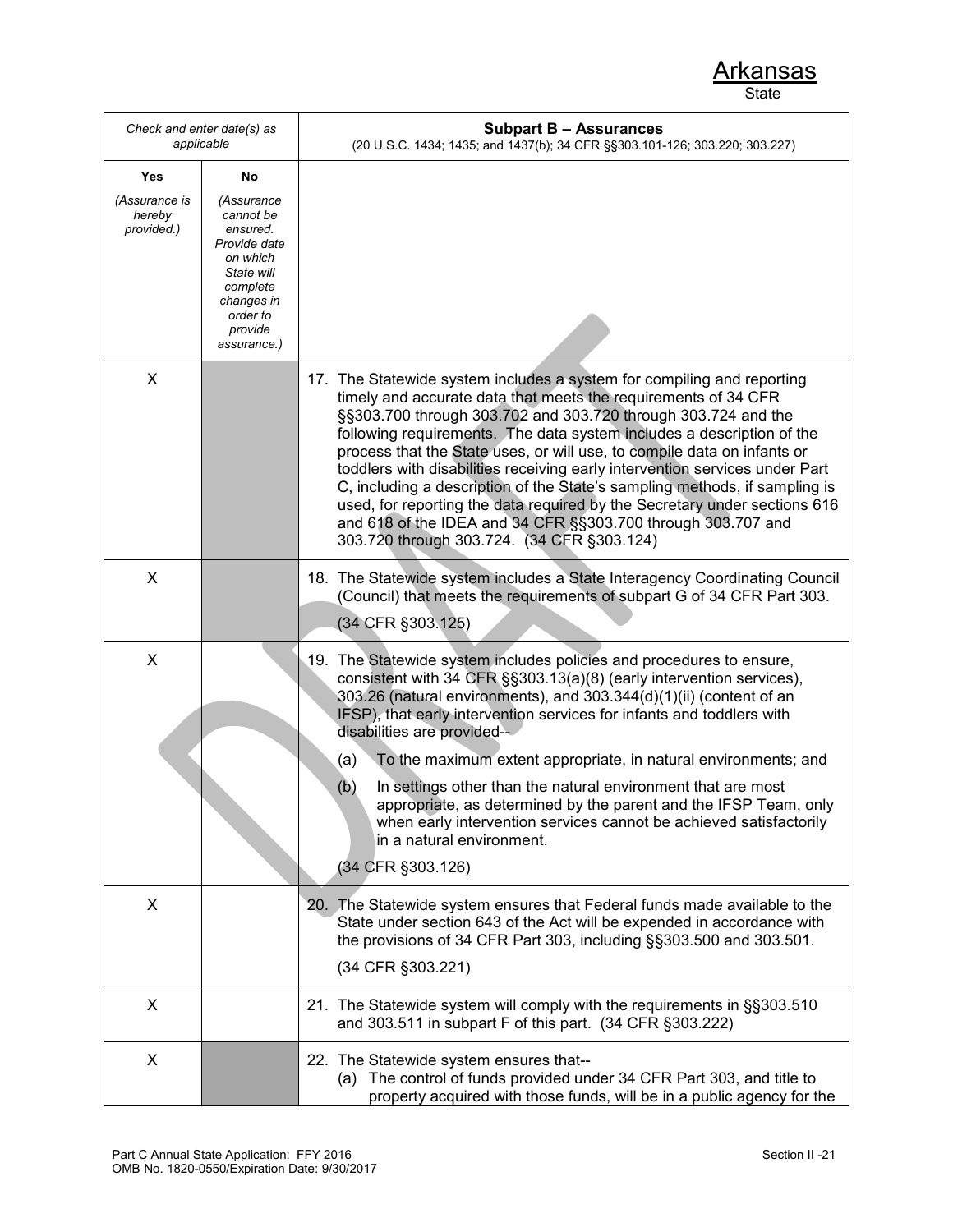| Check and enter date(s) as<br>applicable |                                                                                                                                               | <b>Subpart B - Assurances</b><br>(20 U.S.C. 1434; 1435; and 1437(b); 34 CFR §§303.101-126; 303.220; 303.227)                                                                                                                                                                                                                                                                                                                                                                                                                                                                                                                                                                                                          |
|------------------------------------------|-----------------------------------------------------------------------------------------------------------------------------------------------|-----------------------------------------------------------------------------------------------------------------------------------------------------------------------------------------------------------------------------------------------------------------------------------------------------------------------------------------------------------------------------------------------------------------------------------------------------------------------------------------------------------------------------------------------------------------------------------------------------------------------------------------------------------------------------------------------------------------------|
| Yes                                      | No                                                                                                                                            |                                                                                                                                                                                                                                                                                                                                                                                                                                                                                                                                                                                                                                                                                                                       |
| (Assurance is<br>hereby<br>provided.)    | (Assurance<br>cannot be<br>ensured.<br>Provide date<br>on which<br>State will<br>complete<br>changes in<br>order to<br>provide<br>assurance.) |                                                                                                                                                                                                                                                                                                                                                                                                                                                                                                                                                                                                                                                                                                                       |
| X                                        |                                                                                                                                               | 17. The Statewide system includes a system for compiling and reporting<br>timely and accurate data that meets the requirements of 34 CFR<br>§§303.700 through 303.702 and 303.720 through 303.724 and the<br>following requirements. The data system includes a description of the<br>process that the State uses, or will use, to compile data on infants or<br>toddlers with disabilities receiving early intervention services under Part<br>C, including a description of the State's sampling methods, if sampling is<br>used, for reporting the data required by the Secretary under sections 616<br>and 618 of the IDEA and 34 CFR §§303.700 through 303.707 and<br>303.720 through 303.724. (34 CFR §303.124) |
| X                                        |                                                                                                                                               | 18. The Statewide system includes a State Interagency Coordinating Council<br>(Council) that meets the requirements of subpart G of 34 CFR Part 303.<br>(34 CFR §303.125)                                                                                                                                                                                                                                                                                                                                                                                                                                                                                                                                             |
| X                                        |                                                                                                                                               | 19. The Statewide system includes policies and procedures to ensure,<br>consistent with 34 CFR §§303.13(a)(8) (early intervention services),<br>303.26 (natural environments), and 303.344(d)(1)(ii) (content of an<br>IFSP), that early intervention services for infants and toddlers with<br>disabilities are provided--<br>To the maximum extent appropriate, in natural environments; and<br>(a)<br>In settings other than the natural environment that are most<br>(b)<br>appropriate, as determined by the parent and the IFSP Team, only<br>when early intervention services cannot be achieved satisfactorily<br>in a natural environment.<br>(34 CFR §303.126)                                              |
| X                                        |                                                                                                                                               | 20. The Statewide system ensures that Federal funds made available to the<br>State under section 643 of the Act will be expended in accordance with<br>the provisions of 34 CFR Part 303, including §§303.500 and 303.501.<br>(34 CFR §303.221)                                                                                                                                                                                                                                                                                                                                                                                                                                                                       |
| X                                        |                                                                                                                                               | 21. The Statewide system will comply with the requirements in §§303.510<br>and 303.511 in subpart F of this part. (34 CFR §303.222)                                                                                                                                                                                                                                                                                                                                                                                                                                                                                                                                                                                   |
| X                                        |                                                                                                                                               | 22. The Statewide system ensures that--<br>(a) The control of funds provided under 34 CFR Part 303, and title to<br>property acquired with those funds, will be in a public agency for the                                                                                                                                                                                                                                                                                                                                                                                                                                                                                                                            |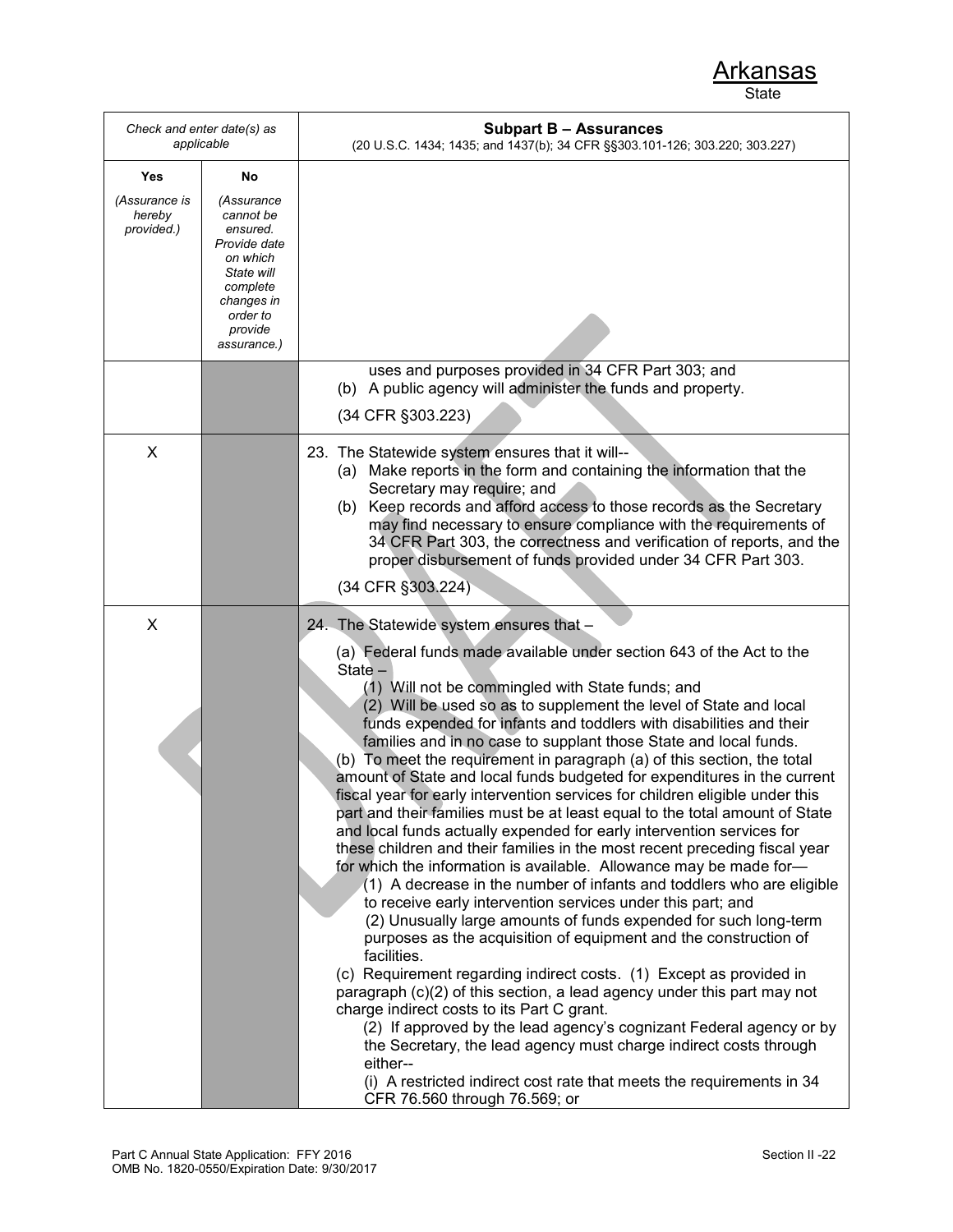| Check and enter date(s) as<br>applicable |                                                                                                                                               | <b>Subpart B - Assurances</b><br>(20 U.S.C. 1434; 1435; and 1437(b); 34 CFR §§303.101-126; 303.220; 303.227)                                                                                                                                                                                                                                                                                                                                                                                                                                                                                                                                                                                                                                                                                                                                                                                                                                                                                                                                                                                                                                                                                                                                                                                                                                                                                                                                                                                                                                                                                                                                                            |
|------------------------------------------|-----------------------------------------------------------------------------------------------------------------------------------------------|-------------------------------------------------------------------------------------------------------------------------------------------------------------------------------------------------------------------------------------------------------------------------------------------------------------------------------------------------------------------------------------------------------------------------------------------------------------------------------------------------------------------------------------------------------------------------------------------------------------------------------------------------------------------------------------------------------------------------------------------------------------------------------------------------------------------------------------------------------------------------------------------------------------------------------------------------------------------------------------------------------------------------------------------------------------------------------------------------------------------------------------------------------------------------------------------------------------------------------------------------------------------------------------------------------------------------------------------------------------------------------------------------------------------------------------------------------------------------------------------------------------------------------------------------------------------------------------------------------------------------------------------------------------------------|
| Yes                                      | No                                                                                                                                            |                                                                                                                                                                                                                                                                                                                                                                                                                                                                                                                                                                                                                                                                                                                                                                                                                                                                                                                                                                                                                                                                                                                                                                                                                                                                                                                                                                                                                                                                                                                                                                                                                                                                         |
| (Assurance is<br>hereby<br>provided.)    | (Assurance<br>cannot be<br>ensured.<br>Provide date<br>on which<br>State will<br>complete<br>changes in<br>order to<br>provide<br>assurance.) |                                                                                                                                                                                                                                                                                                                                                                                                                                                                                                                                                                                                                                                                                                                                                                                                                                                                                                                                                                                                                                                                                                                                                                                                                                                                                                                                                                                                                                                                                                                                                                                                                                                                         |
|                                          |                                                                                                                                               | uses and purposes provided in 34 CFR Part 303; and<br>(b) A public agency will administer the funds and property.<br>(34 CFR §303.223)                                                                                                                                                                                                                                                                                                                                                                                                                                                                                                                                                                                                                                                                                                                                                                                                                                                                                                                                                                                                                                                                                                                                                                                                                                                                                                                                                                                                                                                                                                                                  |
| X                                        |                                                                                                                                               | 23. The Statewide system ensures that it will--<br>(a) Make reports in the form and containing the information that the<br>Secretary may require; and<br>Keep records and afford access to those records as the Secretary<br>(b)<br>may find necessary to ensure compliance with the requirements of<br>34 CFR Part 303, the correctness and verification of reports, and the<br>proper disbursement of funds provided under 34 CFR Part 303.<br>(34 CFR §303.224)                                                                                                                                                                                                                                                                                                                                                                                                                                                                                                                                                                                                                                                                                                                                                                                                                                                                                                                                                                                                                                                                                                                                                                                                      |
| X                                        |                                                                                                                                               | 24. The Statewide system ensures that -                                                                                                                                                                                                                                                                                                                                                                                                                                                                                                                                                                                                                                                                                                                                                                                                                                                                                                                                                                                                                                                                                                                                                                                                                                                                                                                                                                                                                                                                                                                                                                                                                                 |
|                                          |                                                                                                                                               | (a) Federal funds made available under section 643 of the Act to the<br>State -<br>(1) Will not be commingled with State funds; and<br>(2) Will be used so as to supplement the level of State and local<br>funds expended for infants and toddlers with disabilities and their<br>families and in no case to supplant those State and local funds.<br>(b) To meet the requirement in paragraph (a) of this section, the total<br>amount of State and local funds budgeted for expenditures in the current<br>fiscal year for early intervention services for children eligible under this<br>part and their families must be at least equal to the total amount of State<br>and local funds actually expended for early intervention services for<br>these children and their families in the most recent preceding fiscal year<br>for which the information is available. Allowance may be made for-<br>(1) A decrease in the number of infants and toddlers who are eligible<br>to receive early intervention services under this part; and<br>(2) Unusually large amounts of funds expended for such long-term<br>purposes as the acquisition of equipment and the construction of<br>facilities.<br>(c) Requirement regarding indirect costs. (1) Except as provided in<br>paragraph (c)(2) of this section, a lead agency under this part may not<br>charge indirect costs to its Part C grant.<br>(2) If approved by the lead agency's cognizant Federal agency or by<br>the Secretary, the lead agency must charge indirect costs through<br>either--<br>(i) A restricted indirect cost rate that meets the requirements in 34<br>CFR 76.560 through 76.569; or |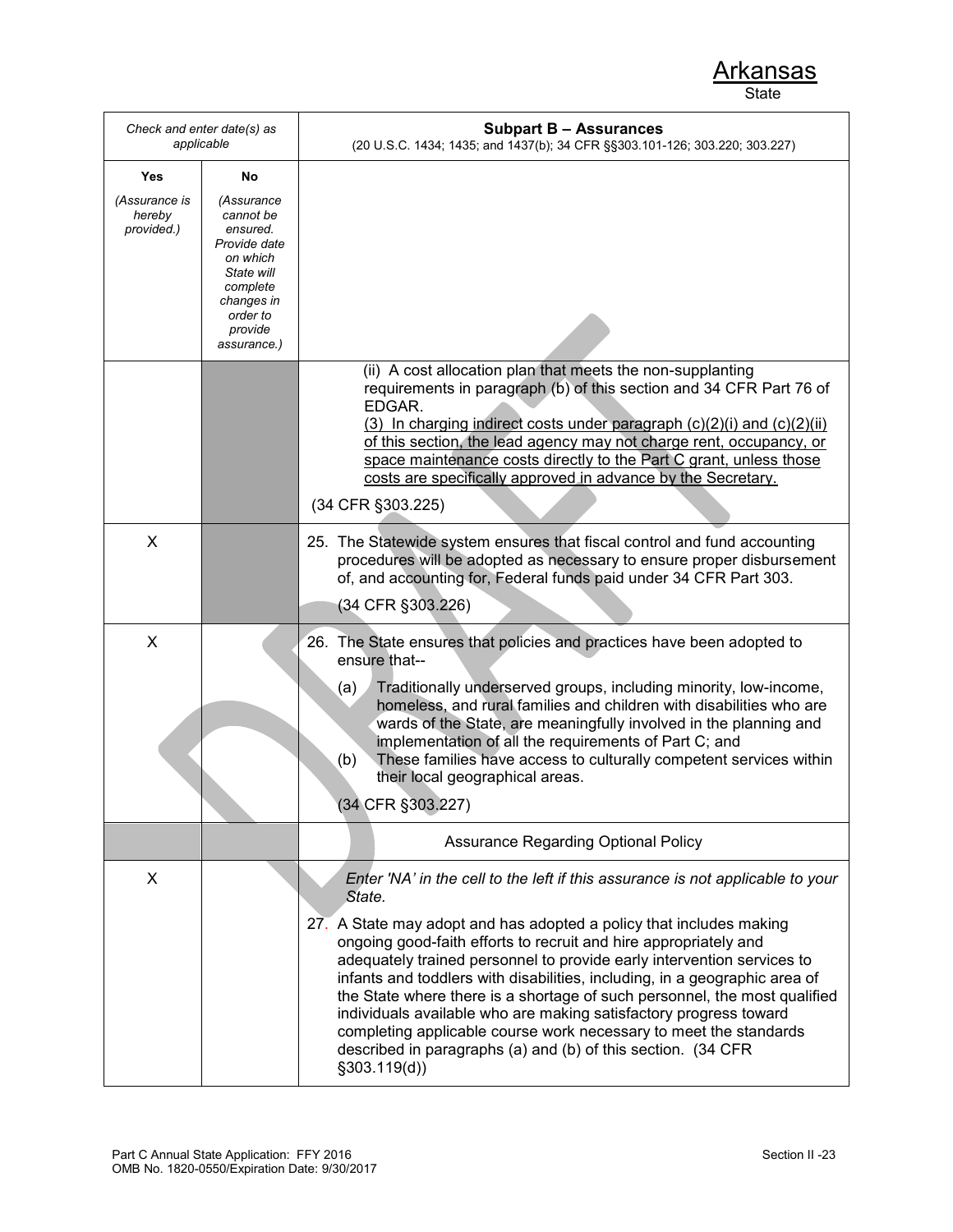| Check and enter date(s) as<br>applicable |                                                                                                                                               | <b>Subpart B - Assurances</b><br>(20 U.S.C. 1434; 1435; and 1437(b); 34 CFR §§303.101-126; 303.220; 303.227)                                                                                                                                                                                                                                                                                                                                                                                                                                                                                                                                                                                       |
|------------------------------------------|-----------------------------------------------------------------------------------------------------------------------------------------------|----------------------------------------------------------------------------------------------------------------------------------------------------------------------------------------------------------------------------------------------------------------------------------------------------------------------------------------------------------------------------------------------------------------------------------------------------------------------------------------------------------------------------------------------------------------------------------------------------------------------------------------------------------------------------------------------------|
| Yes                                      | No                                                                                                                                            |                                                                                                                                                                                                                                                                                                                                                                                                                                                                                                                                                                                                                                                                                                    |
| (Assurance is<br>hereby<br>provided.)    | (Assurance<br>cannot be<br>ensured.<br>Provide date<br>on which<br>State will<br>complete<br>changes in<br>order to<br>provide<br>assurance.) |                                                                                                                                                                                                                                                                                                                                                                                                                                                                                                                                                                                                                                                                                                    |
|                                          |                                                                                                                                               | (ii) A cost allocation plan that meets the non-supplanting<br>requirements in paragraph (b) of this section and 34 CFR Part 76 of<br>EDGAR.<br>(3) In charging indirect costs under paragraph $(c)(2)(i)$ and $(c)(2)(ii)$<br>of this section, the lead agency may not charge rent, occupancy, or<br>space maintenance costs directly to the Part C grant, unless those<br>costs are specifically approved in advance by the Secretary.<br>(34 CFR §303.225)                                                                                                                                                                                                                                       |
| X                                        |                                                                                                                                               | 25. The Statewide system ensures that fiscal control and fund accounting<br>procedures will be adopted as necessary to ensure proper disbursement<br>of, and accounting for, Federal funds paid under 34 CFR Part 303.<br>(34 CFR §303.226)                                                                                                                                                                                                                                                                                                                                                                                                                                                        |
| X                                        |                                                                                                                                               | 26. The State ensures that policies and practices have been adopted to<br>ensure that--<br>Traditionally underserved groups, including minority, low-income,<br>(a)<br>homeless, and rural families and children with disabilities who are<br>wards of the State, are meaningfully involved in the planning and<br>implementation of all the requirements of Part C; and<br>These families have access to culturally competent services within<br>(b)<br>their local geographical areas.<br>(34 CFR §303.227)                                                                                                                                                                                      |
|                                          |                                                                                                                                               | <b>Assurance Regarding Optional Policy</b>                                                                                                                                                                                                                                                                                                                                                                                                                                                                                                                                                                                                                                                         |
| X                                        |                                                                                                                                               | Enter 'NA' in the cell to the left if this assurance is not applicable to your<br>State.<br>27. A State may adopt and has adopted a policy that includes making<br>ongoing good-faith efforts to recruit and hire appropriately and<br>adequately trained personnel to provide early intervention services to<br>infants and toddlers with disabilities, including, in a geographic area of<br>the State where there is a shortage of such personnel, the most qualified<br>individuals available who are making satisfactory progress toward<br>completing applicable course work necessary to meet the standards<br>described in paragraphs (a) and (b) of this section. (34 CFR<br>§303.119(d)) |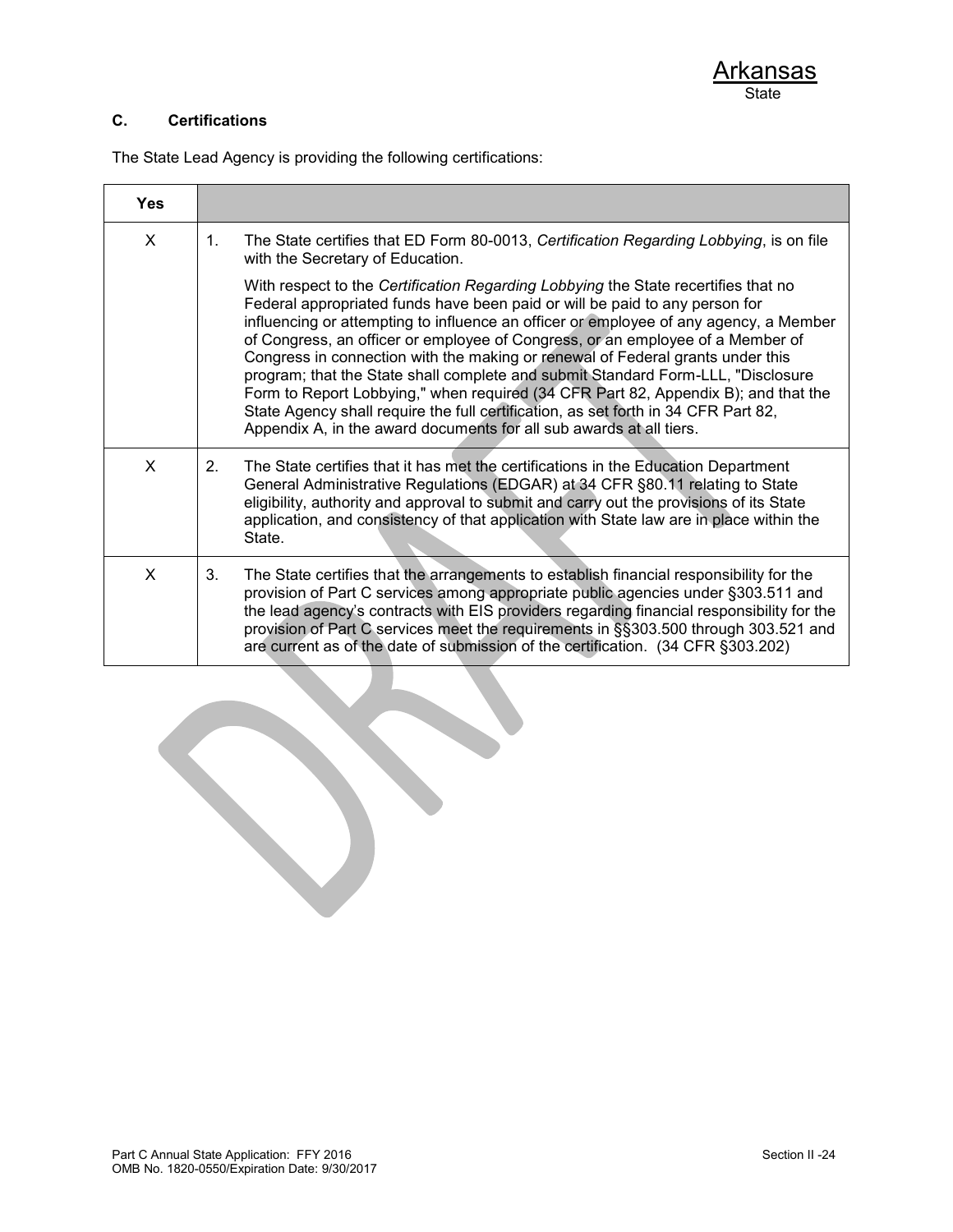### **C. Certifications**

The State Lead Agency is providing the following certifications:

| <b>Yes</b> |                                                                                                                                                                                                                                                                                                                                                                                                                                                                                                                                                                                                                                                                                                                                                                       |
|------------|-----------------------------------------------------------------------------------------------------------------------------------------------------------------------------------------------------------------------------------------------------------------------------------------------------------------------------------------------------------------------------------------------------------------------------------------------------------------------------------------------------------------------------------------------------------------------------------------------------------------------------------------------------------------------------------------------------------------------------------------------------------------------|
| X          | The State certifies that ED Form 80-0013, Certification Regarding Lobbying, is on file<br>$1_{-}$<br>with the Secretary of Education.                                                                                                                                                                                                                                                                                                                                                                                                                                                                                                                                                                                                                                 |
|            | With respect to the Certification Regarding Lobbying the State recertifies that no<br>Federal appropriated funds have been paid or will be paid to any person for<br>influencing or attempting to influence an officer or employee of any agency, a Member<br>of Congress, an officer or employee of Congress, or an employee of a Member of<br>Congress in connection with the making or renewal of Federal grants under this<br>program; that the State shall complete and submit Standard Form-LLL, "Disclosure<br>Form to Report Lobbying," when required (34 CFR Part 82, Appendix B); and that the<br>State Agency shall require the full certification, as set forth in 34 CFR Part 82,<br>Appendix A, in the award documents for all sub awards at all tiers. |
| X          | The State certifies that it has met the certifications in the Education Department<br>2 <sub>1</sub><br>General Administrative Regulations (EDGAR) at 34 CFR §80.11 relating to State<br>eligibility, authority and approval to submit and carry out the provisions of its State<br>application, and consistency of that application with State law are in place within the<br>State.                                                                                                                                                                                                                                                                                                                                                                                 |
| X          | The State certifies that the arrangements to establish financial responsibility for the<br>3.<br>provision of Part C services among appropriate public agencies under §303.511 and<br>the lead agency's contracts with EIS providers regarding financial responsibility for the<br>provision of Part C services meet the requirements in §§303.500 through 303.521 and<br>are current as of the date of submission of the certification. (34 CFR §303.202)                                                                                                                                                                                                                                                                                                            |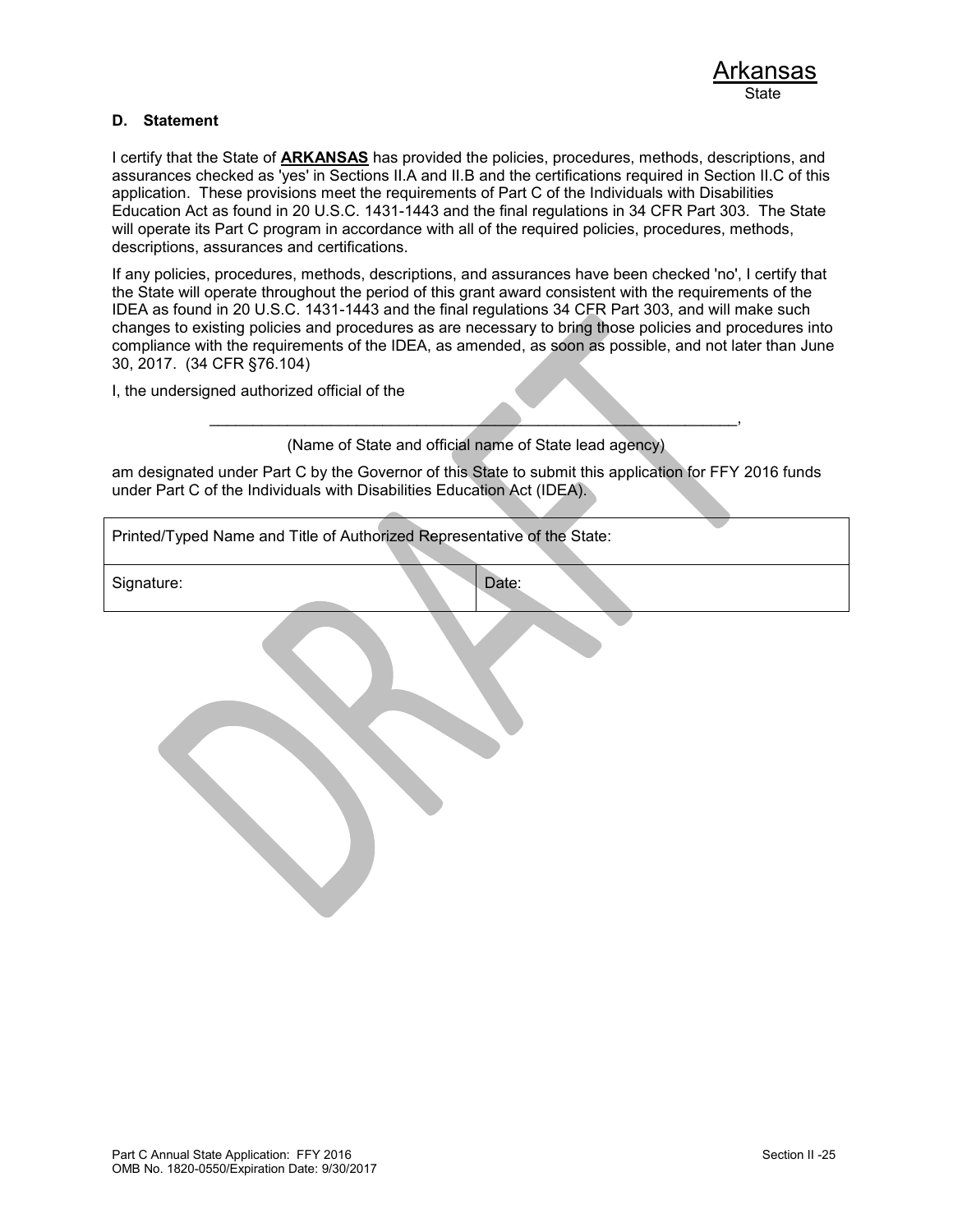#### **D. Statement**

I certify that the State of **ARKANSAS** has provided the policies, procedures, methods, descriptions, and assurances checked as 'yes' in Sections II.A and II.B and the certifications required in Section II.C of this application. These provisions meet the requirements of Part C of the Individuals with Disabilities Education Act as found in 20 U.S.C. 1431-1443 and the final regulations in 34 CFR Part 303. The State will operate its Part C program in accordance with all of the required policies, procedures, methods, descriptions, assurances and certifications.

If any policies, procedures, methods, descriptions, and assurances have been checked 'no', I certify that the State will operate throughout the period of this grant award consistent with the requirements of the IDEA as found in 20 U.S.C. 1431-1443 and the final regulations 34 CFR Part 303, and will make such changes to existing policies and procedures as are necessary to bring those policies and procedures into compliance with the requirements of the IDEA, as amended, as soon as possible, and not later than June 30, 2017. (34 CFR §76.104)

I, the undersigned authorized official of the

 $\overline{\phantom{a}}$  , and the contract of the contract of the contract of the contract of the contract of the contract of the contract of the contract of the contract of the contract of the contract of the contract of the contrac (Name of State and official name of State lead agency)

am designated under Part C by the Governor of this State to submit this application for FFY 2016 funds under Part C of the Individuals with Disabilities Education Act (IDEA).

| Printed/Typed Name and Title of Authorized Representative of the State: |       |  |  |  |
|-------------------------------------------------------------------------|-------|--|--|--|
| Signature:                                                              | Date: |  |  |  |
|                                                                         |       |  |  |  |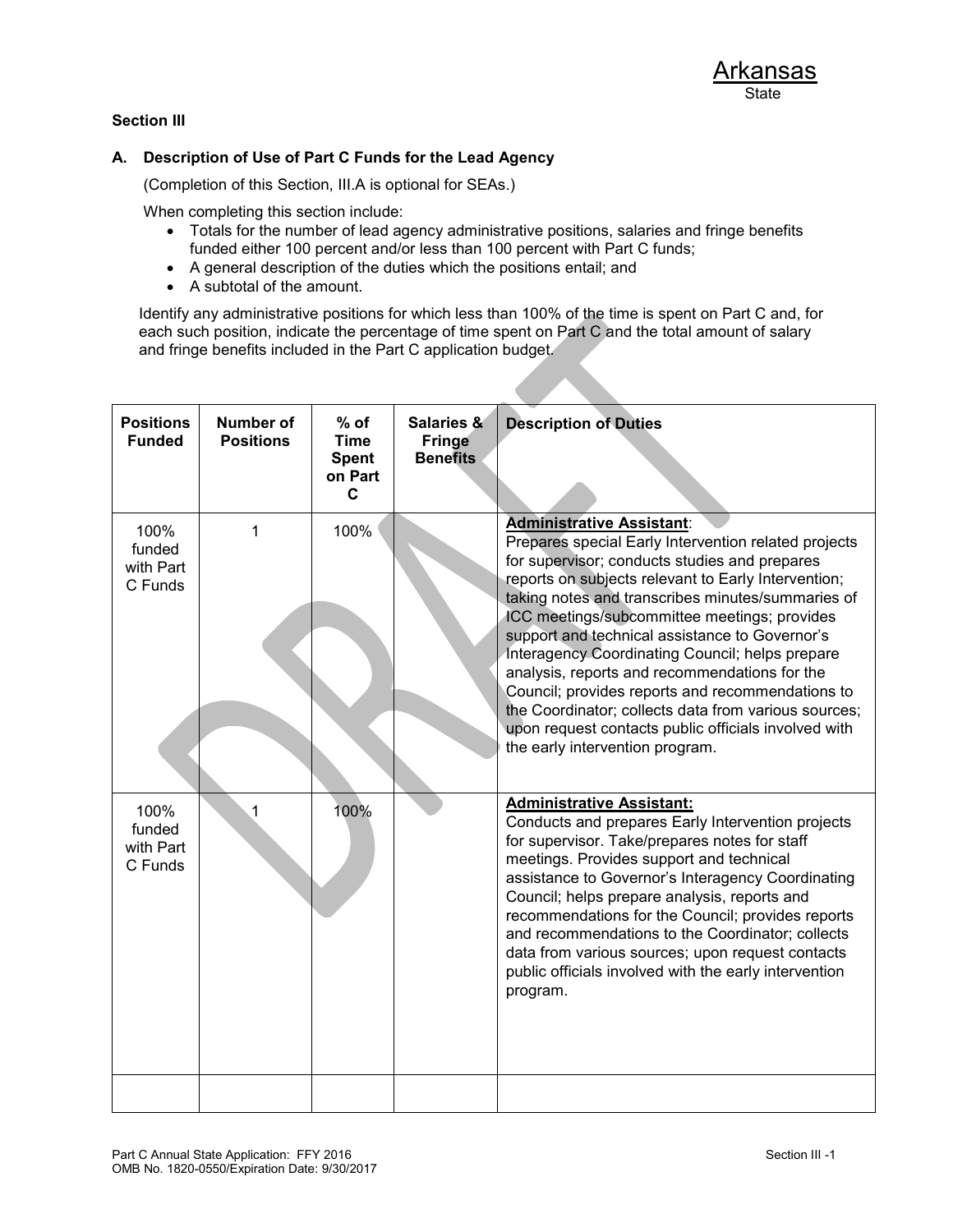### **Section III**

#### **A. Description of Use of Part C Funds for the Lead Agency**

(Completion of this Section, III.A is optional for SEAs.)

When completing this section include:

- Totals for the number of lead agency administrative positions, salaries and fringe benefits funded either 100 percent and/or less than 100 percent with Part C funds;
- A general description of the duties which the positions entail; and
- A subtotal of the amount.

Identify any administrative positions for which less than 100% of the time is spent on Part C and, for each such position, indicate the percentage of time spent on Part C and the total amount of salary and fringe benefits included in the Part C application budget.

| <b>Positions</b><br><b>Funded</b>      | <b>Number of</b><br><b>Positions</b> | $%$ of<br><b>Time</b><br><b>Spent</b><br>on Part<br>$\mathbf c$ | <b>Salaries &amp;</b><br><b>Fringe</b><br><b>Benefits</b> | <b>Description of Duties</b>                                                                                                                                                                                                                                                                                                                                                                                                                                                                                                                                                                                                                                       |
|----------------------------------------|--------------------------------------|-----------------------------------------------------------------|-----------------------------------------------------------|--------------------------------------------------------------------------------------------------------------------------------------------------------------------------------------------------------------------------------------------------------------------------------------------------------------------------------------------------------------------------------------------------------------------------------------------------------------------------------------------------------------------------------------------------------------------------------------------------------------------------------------------------------------------|
| 100%<br>funded<br>with Part<br>C Funds | 1                                    | 100%                                                            |                                                           | <b>Administrative Assistant:</b><br>Prepares special Early Intervention related projects<br>for supervisor; conducts studies and prepares<br>reports on subjects relevant to Early Intervention;<br>taking notes and transcribes minutes/summaries of<br>ICC meetings/subcommittee meetings; provides<br>support and technical assistance to Governor's<br>Interagency Coordinating Council; helps prepare<br>analysis, reports and recommendations for the<br>Council; provides reports and recommendations to<br>the Coordinator; collects data from various sources;<br>upon request contacts public officials involved with<br>the early intervention program. |
| 100%<br>funded<br>with Part<br>C Funds | 1                                    | 100%                                                            |                                                           | <b>Administrative Assistant:</b><br>Conducts and prepares Early Intervention projects<br>for supervisor. Take/prepares notes for staff<br>meetings. Provides support and technical<br>assistance to Governor's Interagency Coordinating<br>Council; helps prepare analysis, reports and<br>recommendations for the Council; provides reports<br>and recommendations to the Coordinator; collects<br>data from various sources; upon request contacts<br>public officials involved with the early intervention<br>program.                                                                                                                                          |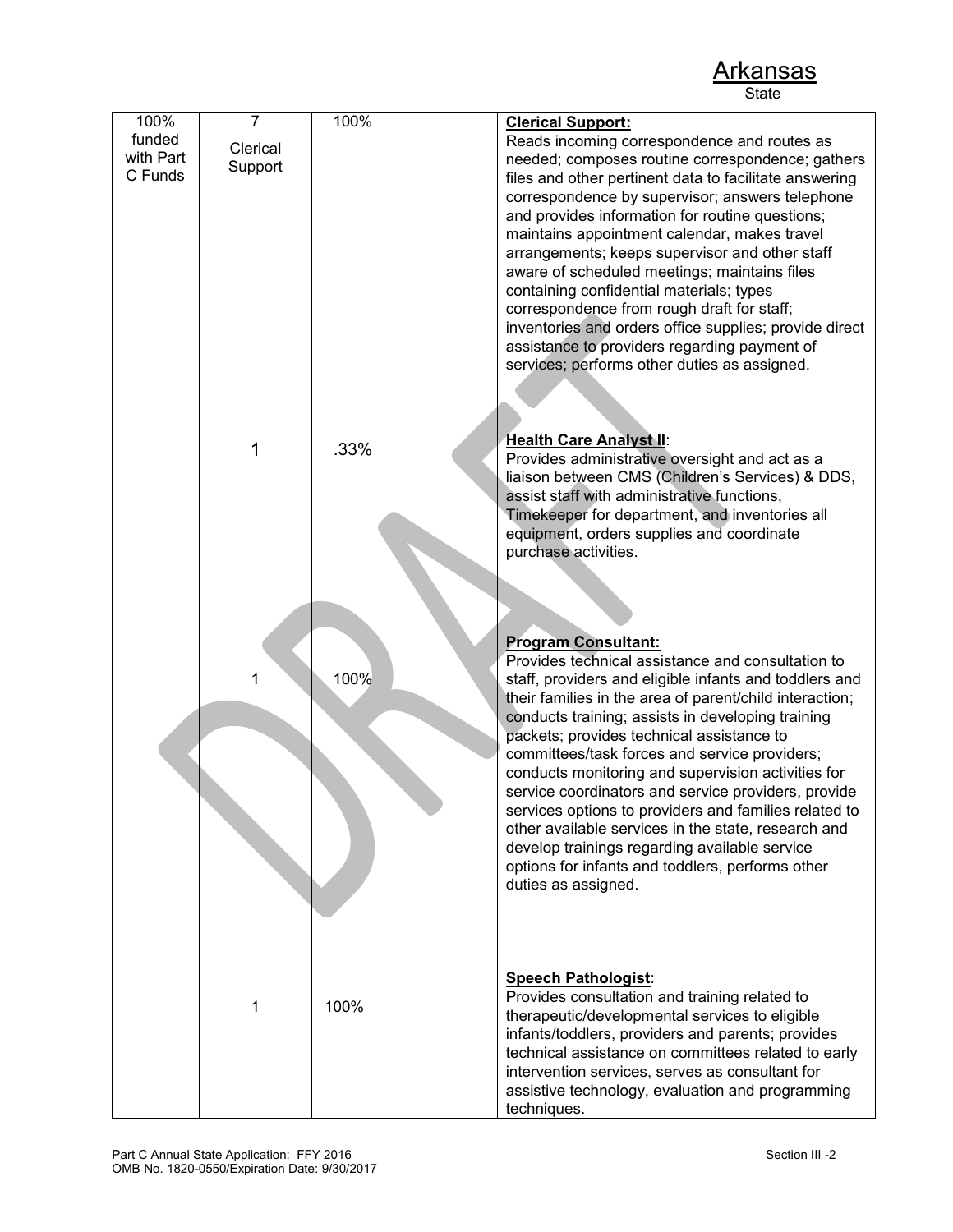100% funded with Part C Funds 7 Clerical **Support** 1 100% .33% **Clerical Support:** Reads incoming correspondence and routes as needed; composes routine correspondence; gathers files and other pertinent data to facilitate answering correspondence by supervisor; answers telephone and provides information for routine questions; maintains appointment calendar, makes travel arrangements; keeps supervisor and other staff aware of scheduled meetings; maintains files containing confidential materials; types correspondence from rough draft for staff; inventories and orders office supplies; provide direct assistance to providers regarding payment of services; performs other duties as assigned. **Health Care Analyst II**: Provides administrative oversight and act as a liaison between CMS (Children's Services) & DDS, assist staff with administrative functions, Timekeeper for department, and inventories all equipment, orders supplies and coordinate purchase activities. 1 1 100% 100% **Program Consultant:** Provides technical assistance and consultation to staff, providers and eligible infants and toddlers and their families in the area of parent/child interaction; conducts training; assists in developing training packets; provides technical assistance to committees/task forces and service providers; conducts monitoring and supervision activities for service coordinators and service providers, provide services options to providers and families related to other available services in the state, research and develop trainings regarding available service options for infants and toddlers, performs other duties as assigned. **Speech Pathologist**: Provides consultation and training related to therapeutic/developmental services to eligible infants/toddlers, providers and parents; provides technical assistance on committees related to early intervention services, serves as consultant for assistive technology, evaluation and programming techniques.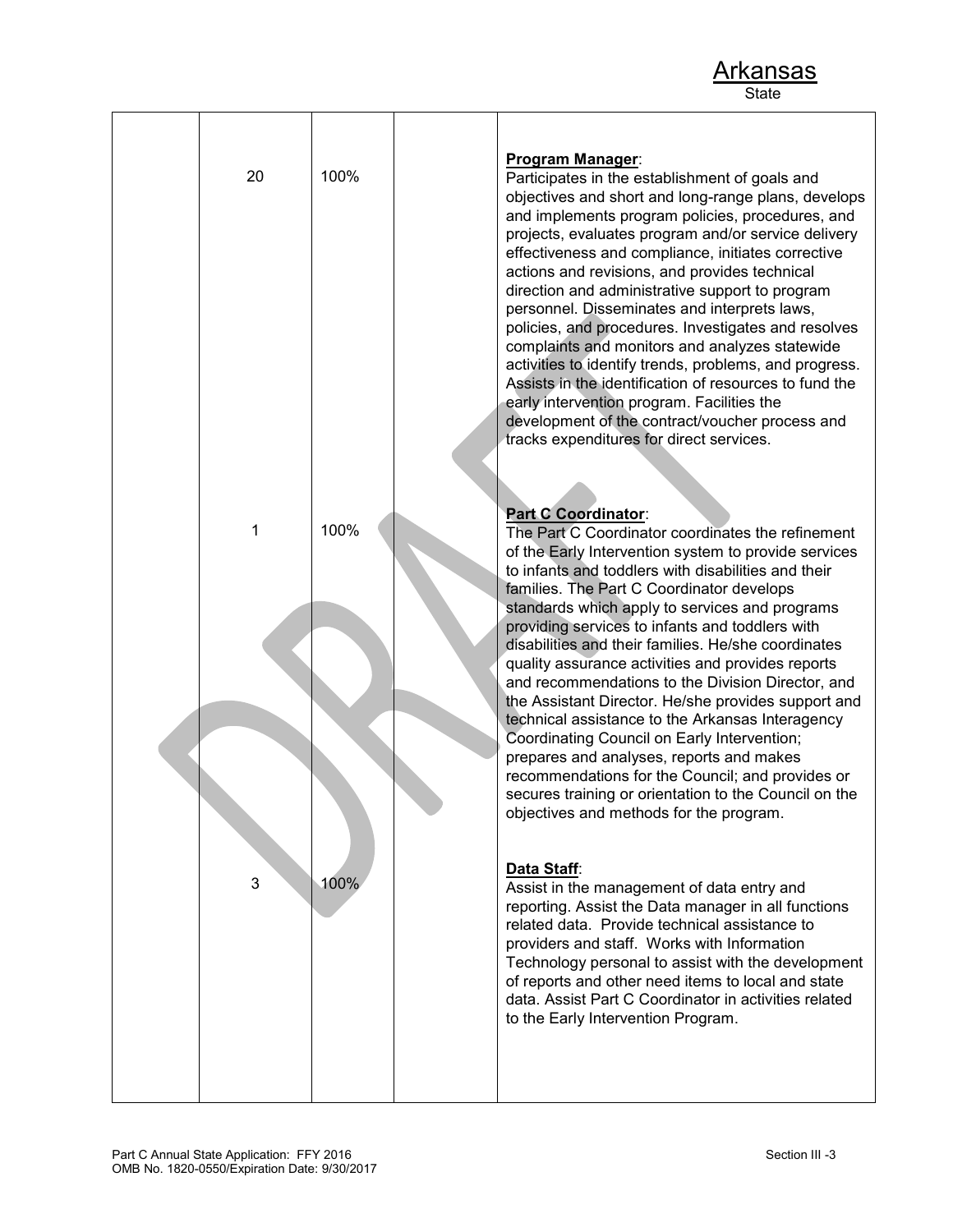| 20 | 100% | <b>Program Manager:</b><br>Participates in the establishment of goals and<br>objectives and short and long-range plans, develops<br>and implements program policies, procedures, and<br>projects, evaluates program and/or service delivery<br>effectiveness and compliance, initiates corrective<br>actions and revisions, and provides technical<br>direction and administrative support to program<br>personnel. Disseminates and interprets laws,<br>policies, and procedures. Investigates and resolves<br>complaints and monitors and analyzes statewide<br>activities to identify trends, problems, and progress.<br>Assists in the identification of resources to fund the<br>early intervention program. Facilities the<br>development of the contract/voucher process and<br>tracks expenditures for direct services.                                                 |
|----|------|---------------------------------------------------------------------------------------------------------------------------------------------------------------------------------------------------------------------------------------------------------------------------------------------------------------------------------------------------------------------------------------------------------------------------------------------------------------------------------------------------------------------------------------------------------------------------------------------------------------------------------------------------------------------------------------------------------------------------------------------------------------------------------------------------------------------------------------------------------------------------------|
| 1  | 100% | <b>Part C Coordinator:</b><br>The Part C Coordinator coordinates the refinement<br>of the Early Intervention system to provide services<br>to infants and toddlers with disabilities and their<br>families. The Part C Coordinator develops<br>standards which apply to services and programs<br>providing services to infants and toddlers with<br>disabilities and their families. He/she coordinates<br>quality assurance activities and provides reports<br>and recommendations to the Division Director, and<br>the Assistant Director. He/she provides support and<br>technical assistance to the Arkansas Interagency<br>Coordinating Council on Early Intervention;<br>prepares and analyses, reports and makes<br>recommendations for the Council; and provides or<br>secures training or orientation to the Council on the<br>objectives and methods for the program. |
| 3  | 100% | Data Staff:<br>Assist in the management of data entry and<br>reporting. Assist the Data manager in all functions<br>related data. Provide technical assistance to<br>providers and staff. Works with Information<br>Technology personal to assist with the development<br>of reports and other need items to local and state<br>data. Assist Part C Coordinator in activities related<br>to the Early Intervention Program.                                                                                                                                                                                                                                                                                                                                                                                                                                                     |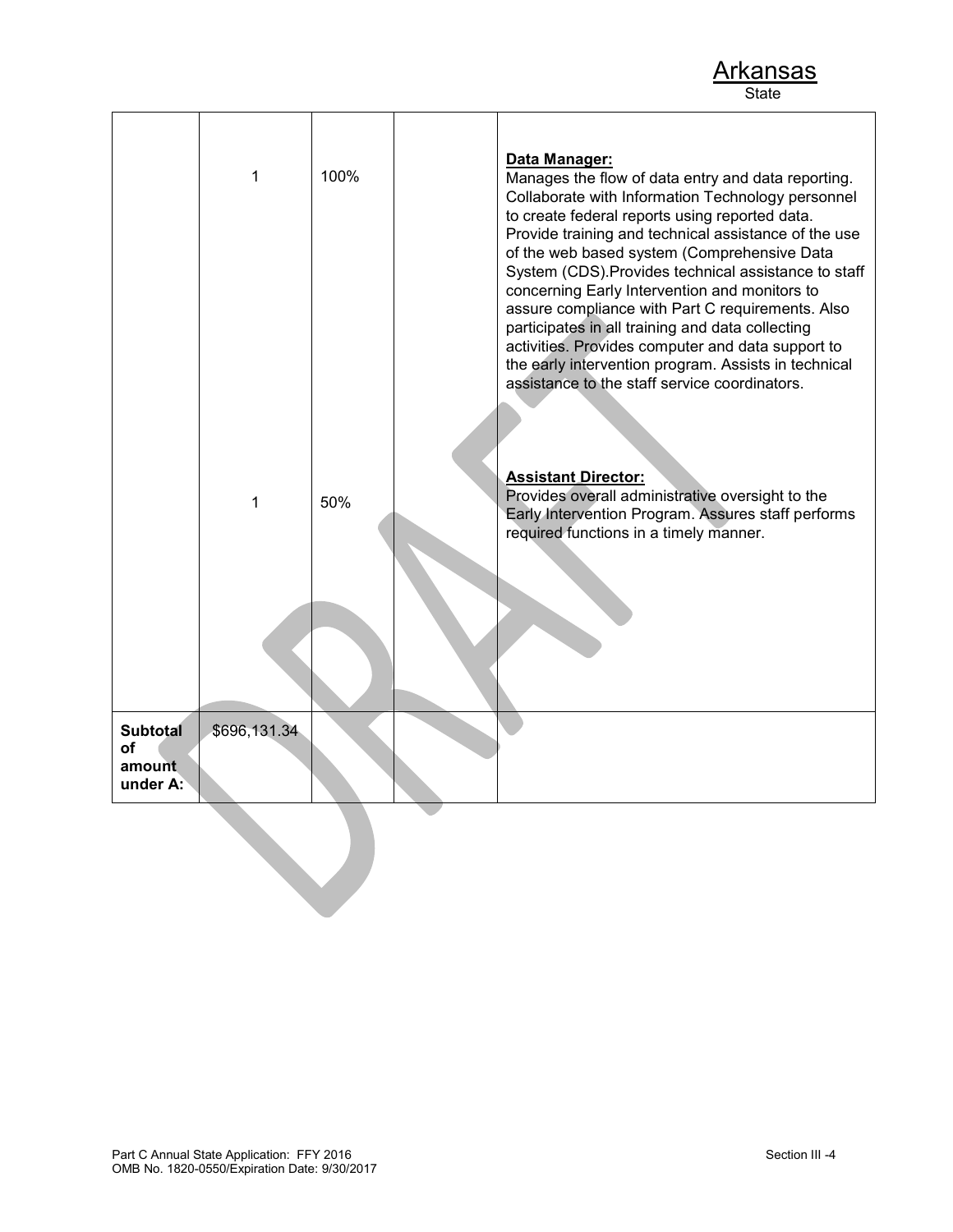|                                             | 1            | 100% | Data Manager:<br>Manages the flow of data entry and data reporting.<br>Collaborate with Information Technology personnel<br>to create federal reports using reported data.<br>Provide training and technical assistance of the use<br>of the web based system (Comprehensive Data<br>System (CDS). Provides technical assistance to staff<br>concerning Early Intervention and monitors to<br>assure compliance with Part C requirements. Also<br>participates in all training and data collecting<br>activities. Provides computer and data support to<br>the early intervention program. Assists in technical<br>assistance to the staff service coordinators. |
|---------------------------------------------|--------------|------|------------------------------------------------------------------------------------------------------------------------------------------------------------------------------------------------------------------------------------------------------------------------------------------------------------------------------------------------------------------------------------------------------------------------------------------------------------------------------------------------------------------------------------------------------------------------------------------------------------------------------------------------------------------|
|                                             | 1            | 50%  | <b>Assistant Director:</b><br>Provides overall administrative oversight to the<br>Early Intervention Program. Assures staff performs<br>required functions in a timely manner.                                                                                                                                                                                                                                                                                                                                                                                                                                                                                   |
|                                             |              |      |                                                                                                                                                                                                                                                                                                                                                                                                                                                                                                                                                                                                                                                                  |
| <b>Subtotal</b><br>of<br>amount<br>under A: | \$696,131.34 |      |                                                                                                                                                                                                                                                                                                                                                                                                                                                                                                                                                                                                                                                                  |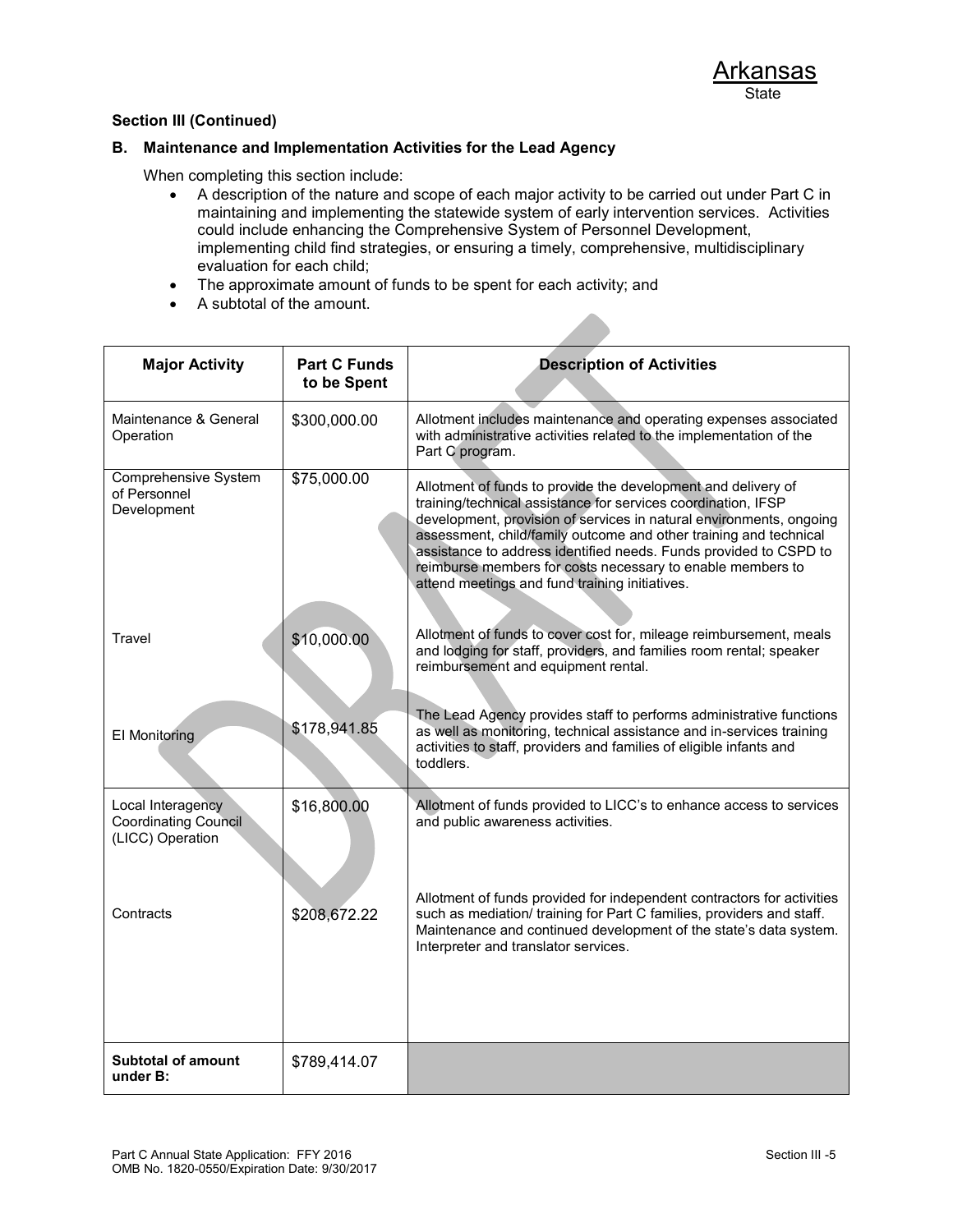### **B. Maintenance and Implementation Activities for the Lead Agency**

When completing this section include:

- A description of the nature and scope of each major activity to be carried out under Part C in maintaining and implementing the statewide system of early intervention services. Activities could include enhancing the Comprehensive System of Personnel Development, implementing child find strategies, or ensuring a timely, comprehensive, multidisciplinary evaluation for each child;
- The approximate amount of funds to be spent for each activity; and
- A subtotal of the amount.

| <b>Major Activity</b>                                                | <b>Part C Funds</b><br>to be Spent | <b>Description of Activities</b>                                                                                                                                                                                                                                                                                                                                                                                                                                |
|----------------------------------------------------------------------|------------------------------------|-----------------------------------------------------------------------------------------------------------------------------------------------------------------------------------------------------------------------------------------------------------------------------------------------------------------------------------------------------------------------------------------------------------------------------------------------------------------|
| Maintenance & General<br>Operation                                   | \$300,000.00                       | Allotment includes maintenance and operating expenses associated<br>with administrative activities related to the implementation of the<br>Part C program.                                                                                                                                                                                                                                                                                                      |
| <b>Comprehensive System</b><br>of Personnel<br>Development           | \$75,000.00                        | Allotment of funds to provide the development and delivery of<br>training/technical assistance for services coordination, IFSP<br>development, provision of services in natural environments, ongoing<br>assessment, child/family outcome and other training and technical<br>assistance to address identified needs. Funds provided to CSPD to<br>reimburse members for costs necessary to enable members to<br>attend meetings and fund training initiatives. |
| Travel                                                               | \$10,000.00                        | Allotment of funds to cover cost for, mileage reimbursement, meals<br>and lodging for staff, providers, and families room rental; speaker<br>reimbursement and equipment rental.                                                                                                                                                                                                                                                                                |
| El Monitoring                                                        | \$178,941.85                       | The Lead Agency provides staff to performs administrative functions<br>as well as monitoring, technical assistance and in-services training<br>activities to staff, providers and families of eligible infants and<br>toddlers.                                                                                                                                                                                                                                 |
| Local Interagency<br><b>Coordinating Council</b><br>(LICC) Operation | \$16,800.00                        | Allotment of funds provided to LICC's to enhance access to services<br>and public awareness activities.                                                                                                                                                                                                                                                                                                                                                         |
| Contracts                                                            | \$208,672.22                       | Allotment of funds provided for independent contractors for activities<br>such as mediation/ training for Part C families, providers and staff.<br>Maintenance and continued development of the state's data system.<br>Interpreter and translator services.                                                                                                                                                                                                    |
| <b>Subtotal of amount</b><br>under B:                                | \$789,414.07                       |                                                                                                                                                                                                                                                                                                                                                                                                                                                                 |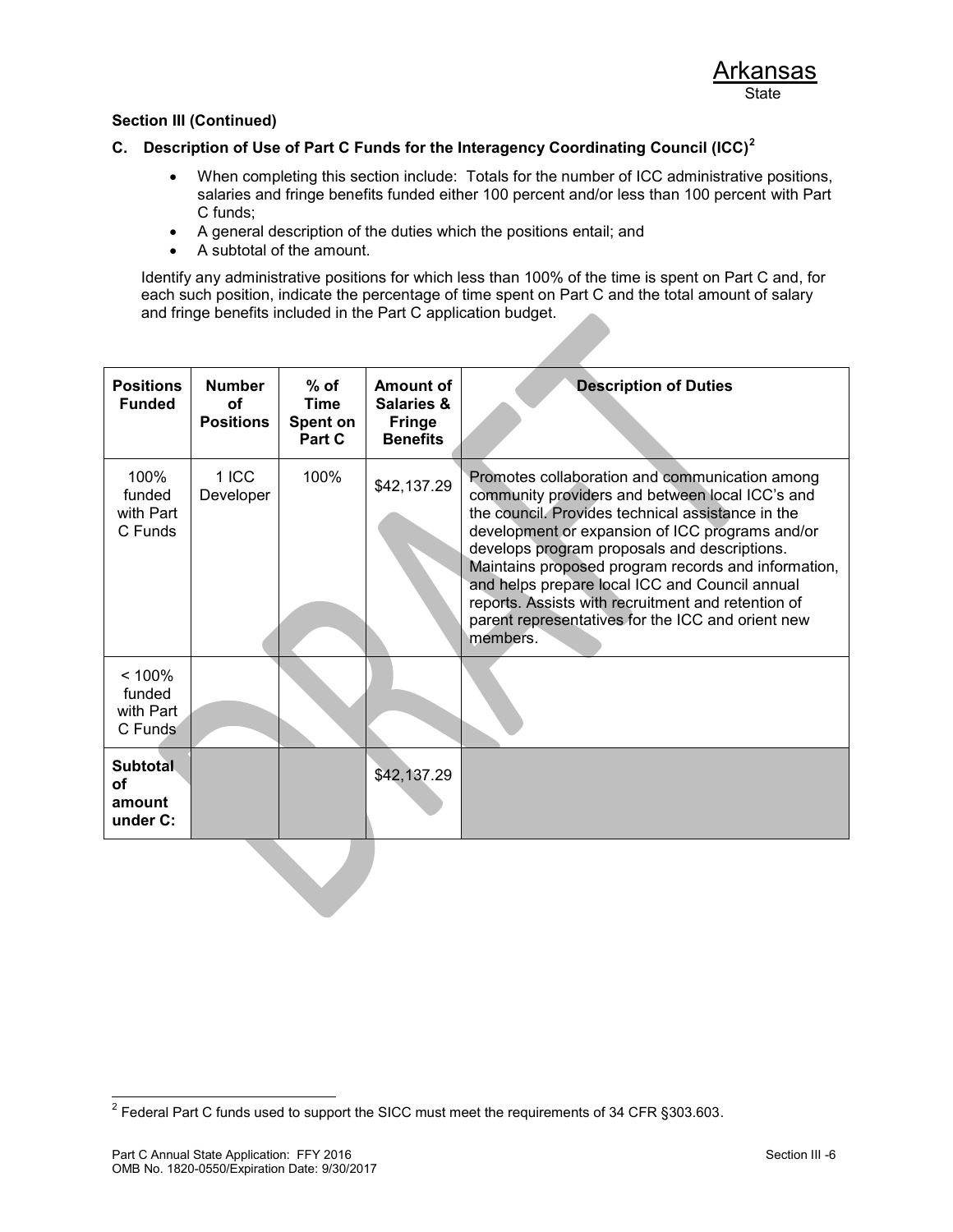## **C. Description of Use of Part C Funds for the Interagency Coordinating Council (ICC)<sup>2</sup>**

- When completing this section include: Totals for the number of ICC administrative positions, salaries and fringe benefits funded either 100 percent and/or less than 100 percent with Part C funds;
- A general description of the duties which the positions entail; and
- A subtotal of the amount.

Identify any administrative positions for which less than 100% of the time is spent on Part C and, for each such position, indicate the percentage of time spent on Part C and the total amount of salary and fringe benefits included in the Part C application budget.

| <b>Positions</b><br><b>Funded</b>           | <b>Number</b><br><b>of</b><br><b>Positions</b> | $%$ of<br><b>Time</b><br>Spent on<br>Part C | Amount of<br><b>Salaries &amp;</b><br><b>Fringe</b><br><b>Benefits</b> | <b>Description of Duties</b>                                                                                                                                                                                                                                                                                                                                                                                                                                                              |
|---------------------------------------------|------------------------------------------------|---------------------------------------------|------------------------------------------------------------------------|-------------------------------------------------------------------------------------------------------------------------------------------------------------------------------------------------------------------------------------------------------------------------------------------------------------------------------------------------------------------------------------------------------------------------------------------------------------------------------------------|
| 100%<br>funded<br>with Part<br>C Funds      | 1 ICC<br>Developer                             | 100%                                        | \$42,137.29                                                            | Promotes collaboration and communication among<br>community providers and between local ICC's and<br>the council. Provides technical assistance in the<br>development or expansion of ICC programs and/or<br>develops program proposals and descriptions.<br>Maintains proposed program records and information,<br>and helps prepare local ICC and Council annual<br>reports. Assists with recruitment and retention of<br>parent representatives for the ICC and orient new<br>members. |
| < 100%<br>funded<br>with Part<br>C Funds    |                                                |                                             |                                                                        |                                                                                                                                                                                                                                                                                                                                                                                                                                                                                           |
| <b>Subtotal</b><br>οf<br>amount<br>under C: |                                                |                                             | \$42,137.29                                                            |                                                                                                                                                                                                                                                                                                                                                                                                                                                                                           |

 2 Federal Part C funds used to support the SICC must meet the requirements of 34 CFR §303.603.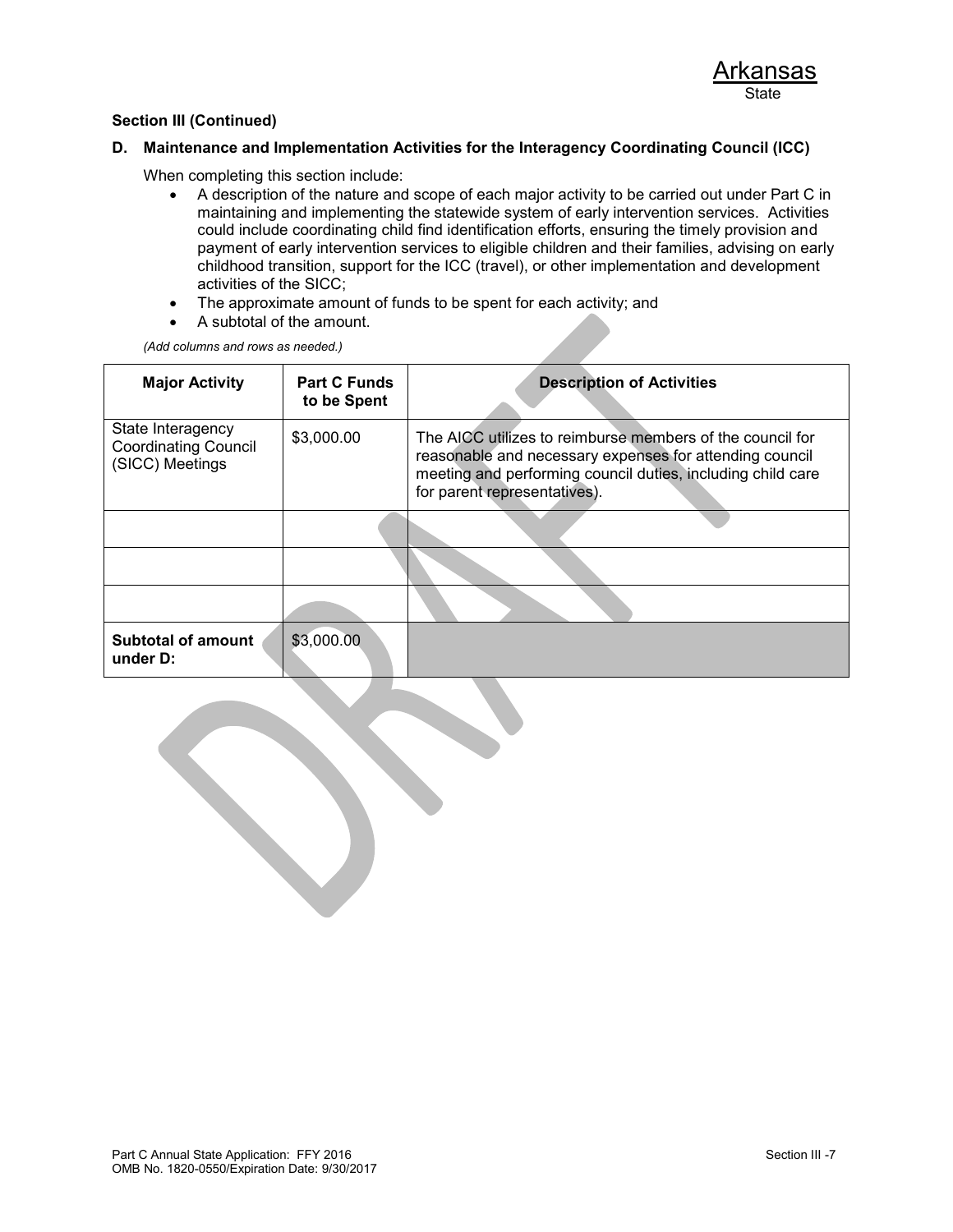#### **D. Maintenance and Implementation Activities for the Interagency Coordinating Council (ICC)**

When completing this section include:

- A description of the nature and scope of each major activity to be carried out under Part C in maintaining and implementing the statewide system of early intervention services. Activities could include coordinating child find identification efforts, ensuring the timely provision and payment of early intervention services to eligible children and their families, advising on early childhood transition, support for the ICC (travel), or other implementation and development activities of the SICC;
- The approximate amount of funds to be spent for each activity; and
- A subtotal of the amount.

*(Add columns and rows as needed.)*

| <b>Major Activity</b>                                               | <b>Part C Funds</b><br>to be Spent | <b>Description of Activities</b>                                                                                                                                                                                    |
|---------------------------------------------------------------------|------------------------------------|---------------------------------------------------------------------------------------------------------------------------------------------------------------------------------------------------------------------|
| State Interagency<br><b>Coordinating Council</b><br>(SICC) Meetings | \$3,000.00                         | The AICC utilizes to reimburse members of the council for<br>reasonable and necessary expenses for attending council<br>meeting and performing council duties, including child care<br>for parent representatives). |
|                                                                     |                                    |                                                                                                                                                                                                                     |
|                                                                     |                                    |                                                                                                                                                                                                                     |
|                                                                     |                                    |                                                                                                                                                                                                                     |
| <b>Subtotal of amount</b><br>under D:                               | \$3,000.00                         |                                                                                                                                                                                                                     |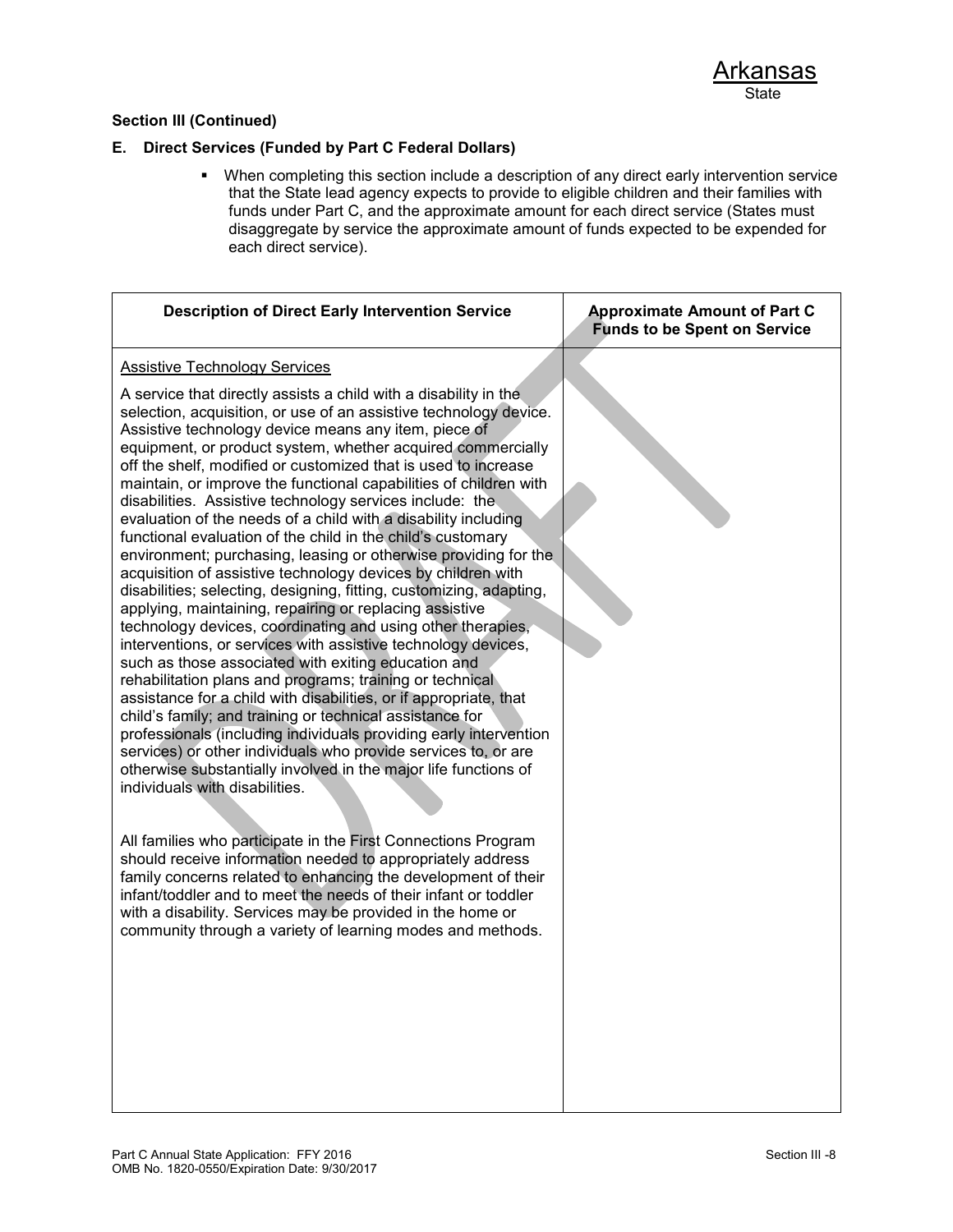### **E. Direct Services (Funded by Part C Federal Dollars)**

 When completing this section include a description of any direct early intervention service that the State lead agency expects to provide to eligible children and their families with funds under Part C, and the approximate amount for each direct service (States must disaggregate by service the approximate amount of funds expected to be expended for each direct service).

| <b>Description of Direct Early Intervention Service</b>                                                                                                                                                                                                                                                                                                                                                                                                                                                                                                                                                                                                                                                                                                                                                                                                                                                                                                                                                                                                                                                                                                                                                                                                                                                                                                                                                                                                                                                                                                                                                                                                                                                                                                                                                                                                                                              | <b>Approximate Amount of Part C</b><br><b>Funds to be Spent on Service</b> |
|------------------------------------------------------------------------------------------------------------------------------------------------------------------------------------------------------------------------------------------------------------------------------------------------------------------------------------------------------------------------------------------------------------------------------------------------------------------------------------------------------------------------------------------------------------------------------------------------------------------------------------------------------------------------------------------------------------------------------------------------------------------------------------------------------------------------------------------------------------------------------------------------------------------------------------------------------------------------------------------------------------------------------------------------------------------------------------------------------------------------------------------------------------------------------------------------------------------------------------------------------------------------------------------------------------------------------------------------------------------------------------------------------------------------------------------------------------------------------------------------------------------------------------------------------------------------------------------------------------------------------------------------------------------------------------------------------------------------------------------------------------------------------------------------------------------------------------------------------------------------------------------------------|----------------------------------------------------------------------------|
| <b>Assistive Technology Services</b>                                                                                                                                                                                                                                                                                                                                                                                                                                                                                                                                                                                                                                                                                                                                                                                                                                                                                                                                                                                                                                                                                                                                                                                                                                                                                                                                                                                                                                                                                                                                                                                                                                                                                                                                                                                                                                                                 |                                                                            |
| A service that directly assists a child with a disability in the<br>selection, acquisition, or use of an assistive technology device.<br>Assistive technology device means any item, piece of<br>equipment, or product system, whether acquired commercially<br>off the shelf, modified or customized that is used to increase<br>maintain, or improve the functional capabilities of children with<br>disabilities. Assistive technology services include: the<br>evaluation of the needs of a child with a disability including<br>functional evaluation of the child in the child's customary<br>environment; purchasing, leasing or otherwise providing for the<br>acquisition of assistive technology devices by children with<br>disabilities; selecting, designing, fitting, customizing, adapting,<br>applying, maintaining, repairing or replacing assistive<br>technology devices, coordinating and using other therapies,<br>interventions, or services with assistive technology devices,<br>such as those associated with exiting education and<br>rehabilitation plans and programs; training or technical<br>assistance for a child with disabilities, or if appropriate, that<br>child's family; and training or technical assistance for<br>professionals (including individuals providing early intervention<br>services) or other individuals who provide services to, or are<br>otherwise substantially involved in the major life functions of<br>individuals with disabilities.<br>All families who participate in the First Connections Program<br>should receive information needed to appropriately address<br>family concerns related to enhancing the development of their<br>infant/toddler and to meet the needs of their infant or toddler<br>with a disability. Services may be provided in the home or<br>community through a variety of learning modes and methods. |                                                                            |
|                                                                                                                                                                                                                                                                                                                                                                                                                                                                                                                                                                                                                                                                                                                                                                                                                                                                                                                                                                                                                                                                                                                                                                                                                                                                                                                                                                                                                                                                                                                                                                                                                                                                                                                                                                                                                                                                                                      |                                                                            |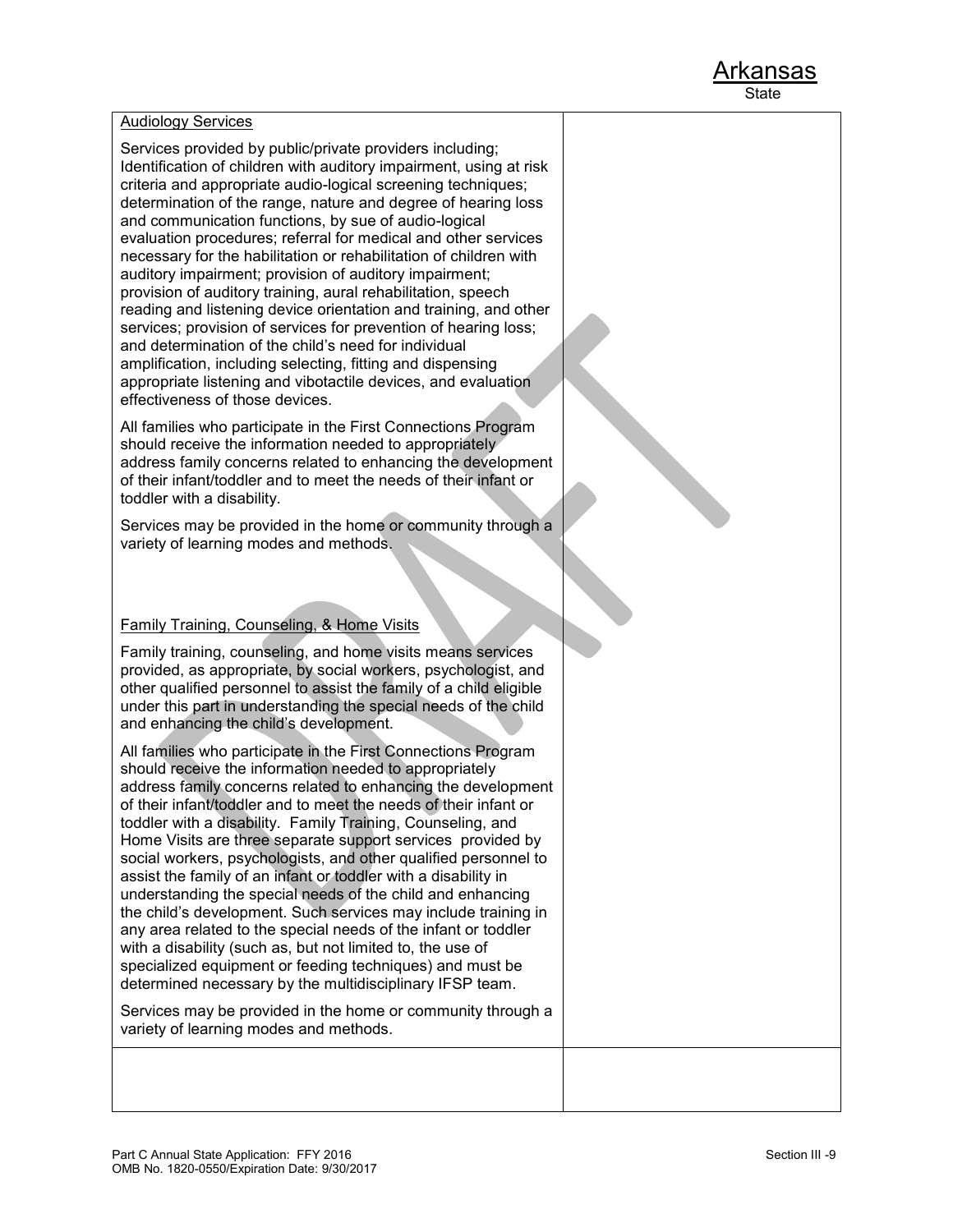#### Audiology Services

Services provided by public/private providers including; Identification of children with auditory impairment, using at risk criteria and appropriate audio-logical screening techniques; determination of the range, nature and degree of hearing loss and communication functions, by sue of audio-logical evaluation procedures; referral for medical and other services necessary for the habilitation or rehabilitation of children with auditory impairment; provision of auditory impairment; provision of auditory training, aural rehabilitation, speech reading and listening device orientation and training, and other services; provision of services for prevention of hearing loss; and determination of the child's need for individual amplification, including selecting, fitting and dispensing appropriate listening and vibotactile devices, and evaluation effectiveness of those devices.

All families who participate in the First Connections Program should receive the information needed to appropriately address family concerns related to enhancing the development of their infant/toddler and to meet the needs of their infant or toddler with a disability.

Services may be provided in the home or community through a variety of learning modes and methods.

### Family Training, Counseling, & Home Visits

Family training, counseling, and home visits means services provided, as appropriate, by social workers, psychologist, and other qualified personnel to assist the family of a child eligible under this part in understanding the special needs of the child and enhancing the child's development.

All families who participate in the First Connections Program should receive the information needed to appropriately address family concerns related to enhancing the development of their infant/toddler and to meet the needs of their infant or toddler with a disability. Family Training, Counseling, and Home Visits are three separate support services provided by social workers, psychologists, and other qualified personnel to assist the family of an infant or toddler with a disability in understanding the special needs of the child and enhancing the child's development. Such services may include training in any area related to the special needs of the infant or toddler with a disability (such as, but not limited to, the use of specialized equipment or feeding techniques) and must be determined necessary by the multidisciplinary IFSP team.

Services may be provided in the home or community through a variety of learning modes and methods.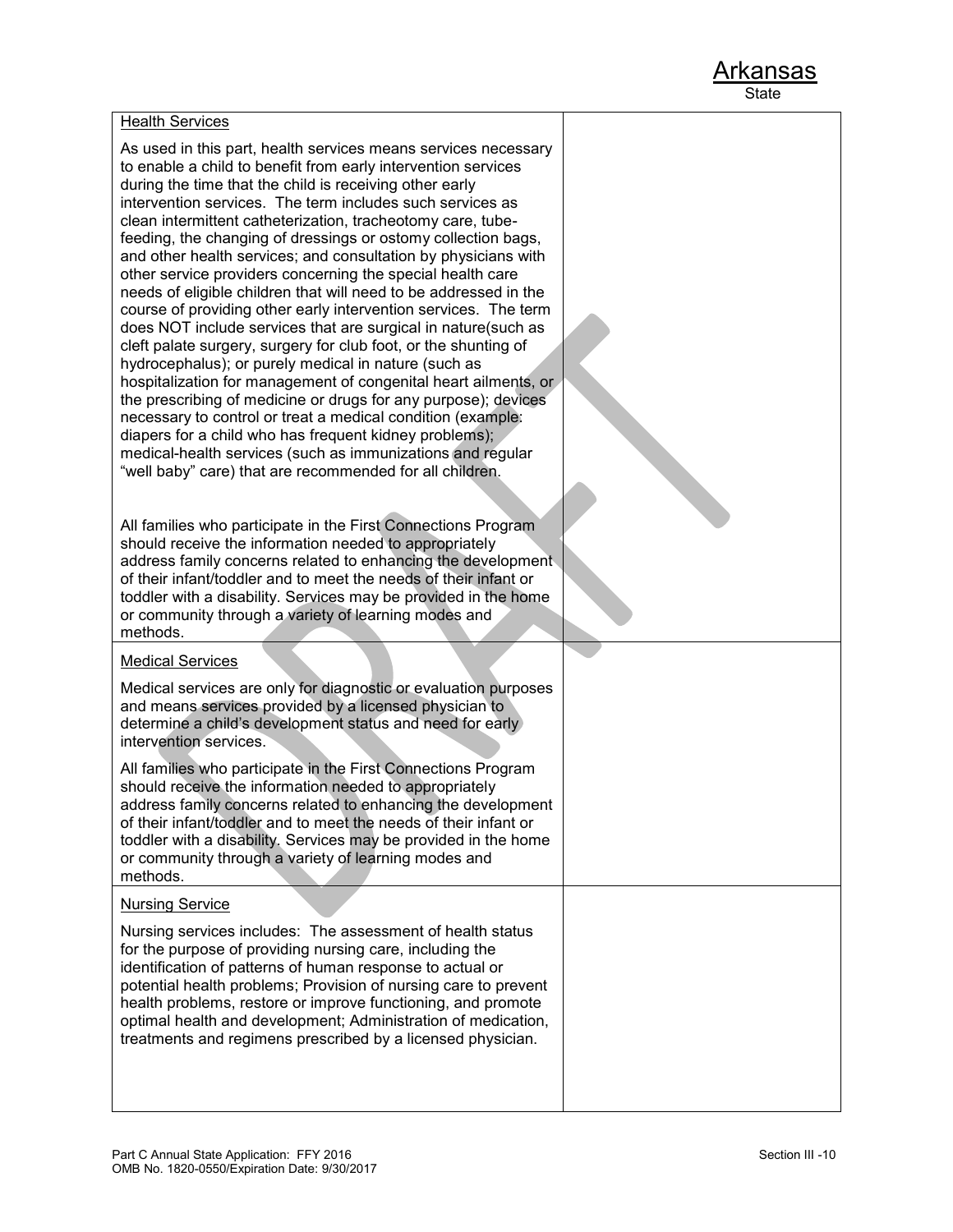#### Health Services

As used in this part, health services means services necessary to enable a child to benefit from early intervention services during the time that the child is receiving other early intervention services. The term includes such services as clean intermittent catheterization, tracheotomy care, tubefeeding, the changing of dressings or ostomy collection bags, and other health services; and consultation by physicians with other service providers concerning the special health care needs of eligible children that will need to be addressed in the course of providing other early intervention services. The term does NOT include services that are surgical in nature(such as cleft palate surgery, surgery for club foot, or the shunting of hydrocephalus); or purely medical in nature (such as hospitalization for management of congenital heart ailments, or the prescribing of medicine or drugs for any purpose); devices necessary to control or treat a medical condition (example: diapers for a child who has frequent kidney problems); medical-health services (such as immunizations and regular "well baby" care) that are recommended for all children.

All families who participate in the First Connections Program should receive the information needed to appropriately address family concerns related to enhancing the development of their infant/toddler and to meet the needs of their infant or toddler with a disability. Services may be provided in the home or community through a variety of learning modes and methods.

#### Medical Services

Medical services are only for diagnostic or evaluation purposes and means services provided by a licensed physician to determine a child's development status and need for early intervention services.

All families who participate in the First Connections Program should receive the information needed to appropriately address family concerns related to enhancing the development of their infant/toddler and to meet the needs of their infant or toddler with a disability. Services may be provided in the home or community through a variety of learning modes and methods.

#### Nursing Service

Nursing services includes: The assessment of health status for the purpose of providing nursing care, including the identification of patterns of human response to actual or potential health problems; Provision of nursing care to prevent health problems, restore or improve functioning, and promote optimal health and development; Administration of medication, treatments and regimens prescribed by a licensed physician.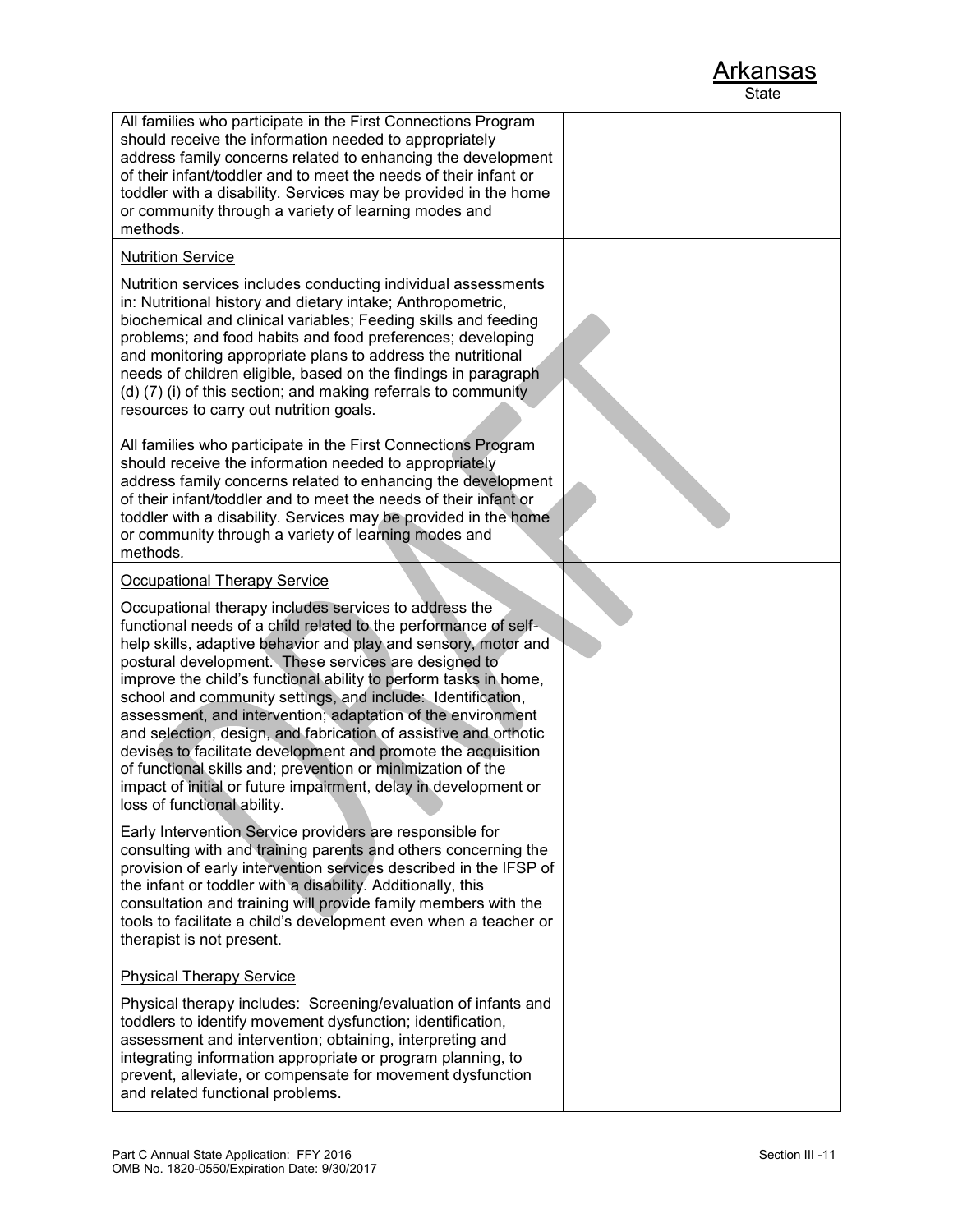| All families who participate in the First Connections Program<br>should receive the information needed to appropriately<br>address family concerns related to enhancing the development<br>of their infant/toddler and to meet the needs of their infant or<br>toddler with a disability. Services may be provided in the home<br>or community through a variety of learning modes and<br>methods.                                                                                                                                                                                                                                                                                                                                                         |  |
|------------------------------------------------------------------------------------------------------------------------------------------------------------------------------------------------------------------------------------------------------------------------------------------------------------------------------------------------------------------------------------------------------------------------------------------------------------------------------------------------------------------------------------------------------------------------------------------------------------------------------------------------------------------------------------------------------------------------------------------------------------|--|
| <b>Nutrition Service</b>                                                                                                                                                                                                                                                                                                                                                                                                                                                                                                                                                                                                                                                                                                                                   |  |
| Nutrition services includes conducting individual assessments<br>in: Nutritional history and dietary intake; Anthropometric,<br>biochemical and clinical variables; Feeding skills and feeding<br>problems; and food habits and food preferences; developing<br>and monitoring appropriate plans to address the nutritional<br>needs of children eligible, based on the findings in paragraph<br>(d) (7) (i) of this section; and making referrals to community<br>resources to carry out nutrition goals.                                                                                                                                                                                                                                                 |  |
| All families who participate in the First Connections Program<br>should receive the information needed to appropriately<br>address family concerns related to enhancing the development<br>of their infant/toddler and to meet the needs of their infant or<br>toddler with a disability. Services may be provided in the home<br>or community through a variety of learning modes and<br>methods.                                                                                                                                                                                                                                                                                                                                                         |  |
| <b>Occupational Therapy Service</b>                                                                                                                                                                                                                                                                                                                                                                                                                                                                                                                                                                                                                                                                                                                        |  |
| Occupational therapy includes services to address the<br>functional needs of a child related to the performance of self-<br>help skills, adaptive behavior and play and sensory, motor and<br>postural development. These services are designed to<br>improve the child's functional ability to perform tasks in home,<br>school and community settings, and include: Identification,<br>assessment, and intervention; adaptation of the environment<br>and selection, design, and fabrication of assistive and orthotic<br>devises to facilitate development and promote the acquisition<br>of functional skills and; prevention or minimization of the<br>impact of initial or future impairment, delay in development or<br>loss of functional ability. |  |
| Early Intervention Service providers are responsible for<br>consulting with and training parents and others concerning the<br>provision of early intervention services described in the IFSP of<br>the infant or toddler with a disability. Additionally, this<br>consultation and training will provide family members with the<br>tools to facilitate a child's development even when a teacher or<br>therapist is not present.                                                                                                                                                                                                                                                                                                                          |  |
| <b>Physical Therapy Service</b>                                                                                                                                                                                                                                                                                                                                                                                                                                                                                                                                                                                                                                                                                                                            |  |
| Physical therapy includes: Screening/evaluation of infants and<br>toddlers to identify movement dysfunction; identification,<br>assessment and intervention; obtaining, interpreting and<br>integrating information appropriate or program planning, to<br>prevent, alleviate, or compensate for movement dysfunction<br>and related functional problems.                                                                                                                                                                                                                                                                                                                                                                                                  |  |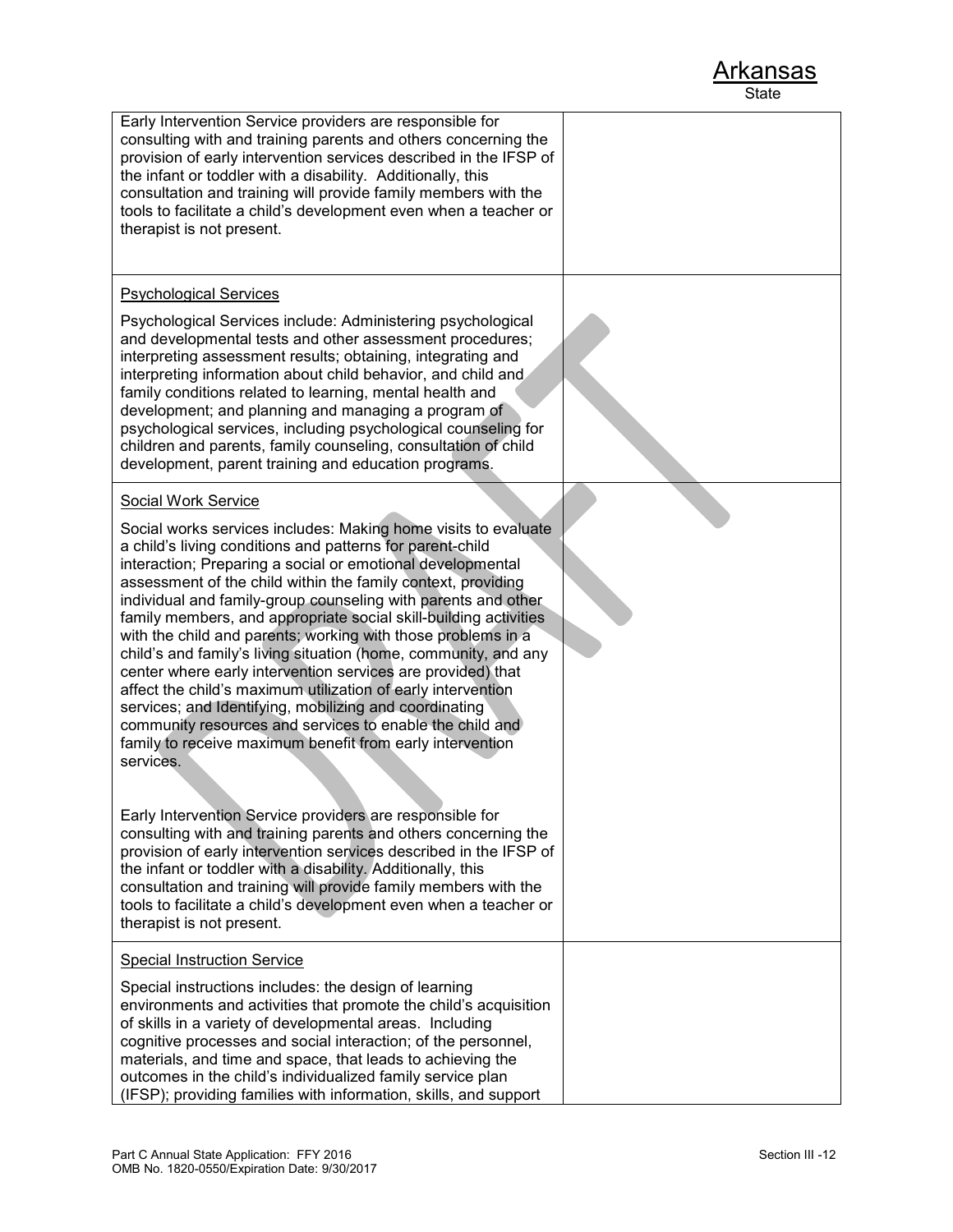| Early Intervention Service providers are responsible for<br>consulting with and training parents and others concerning the<br>provision of early intervention services described in the IFSP of<br>the infant or toddler with a disability. Additionally, this<br>consultation and training will provide family members with the<br>tools to facilitate a child's development even when a teacher or<br>therapist is not present.                                                                                                                                                                                                                                                                                                                                                                                                                                                                                                                                                                                                                                                                                                                                                                                                                                                                                                   |  |
|-------------------------------------------------------------------------------------------------------------------------------------------------------------------------------------------------------------------------------------------------------------------------------------------------------------------------------------------------------------------------------------------------------------------------------------------------------------------------------------------------------------------------------------------------------------------------------------------------------------------------------------------------------------------------------------------------------------------------------------------------------------------------------------------------------------------------------------------------------------------------------------------------------------------------------------------------------------------------------------------------------------------------------------------------------------------------------------------------------------------------------------------------------------------------------------------------------------------------------------------------------------------------------------------------------------------------------------|--|
| <b>Psychological Services</b><br>Psychological Services include: Administering psychological<br>and developmental tests and other assessment procedures;<br>interpreting assessment results; obtaining, integrating and<br>interpreting information about child behavior, and child and<br>family conditions related to learning, mental health and<br>development; and planning and managing a program of<br>psychological services, including psychological counseling for<br>children and parents, family counseling, consultation of child<br>development, parent training and education programs.                                                                                                                                                                                                                                                                                                                                                                                                                                                                                                                                                                                                                                                                                                                              |  |
| <b>Social Work Service</b><br>Social works services includes: Making home visits to evaluate<br>a child's living conditions and patterns for parent-child<br>interaction; Preparing a social or emotional developmental<br>assessment of the child within the family context, providing<br>individual and family-group counseling with parents and other<br>family members, and appropriate social skill-building activities<br>with the child and parents; working with those problems in a<br>child's and family's living situation (home, community, and any<br>center where early intervention services are provided) that<br>affect the child's maximum utilization of early intervention<br>services; and Identifying, mobilizing and coordinating<br>community resources and services to enable the child and<br>family to receive maximum benefit from early intervention<br>services.<br>Early Intervention Service providers are responsible for<br>consulting with and training parents and others concerning the<br>provision of early intervention services described in the IFSP of<br>the infant or toddler with a disability. Additionally, this<br>consultation and training will provide family members with the<br>tools to facilitate a child's development even when a teacher or<br>therapist is not present. |  |
| <b>Special Instruction Service</b><br>Special instructions includes: the design of learning<br>environments and activities that promote the child's acquisition<br>of skills in a variety of developmental areas. Including<br>cognitive processes and social interaction; of the personnel,<br>materials, and time and space, that leads to achieving the<br>outcomes in the child's individualized family service plan<br>(IFSP); providing families with information, skills, and support                                                                                                                                                                                                                                                                                                                                                                                                                                                                                                                                                                                                                                                                                                                                                                                                                                        |  |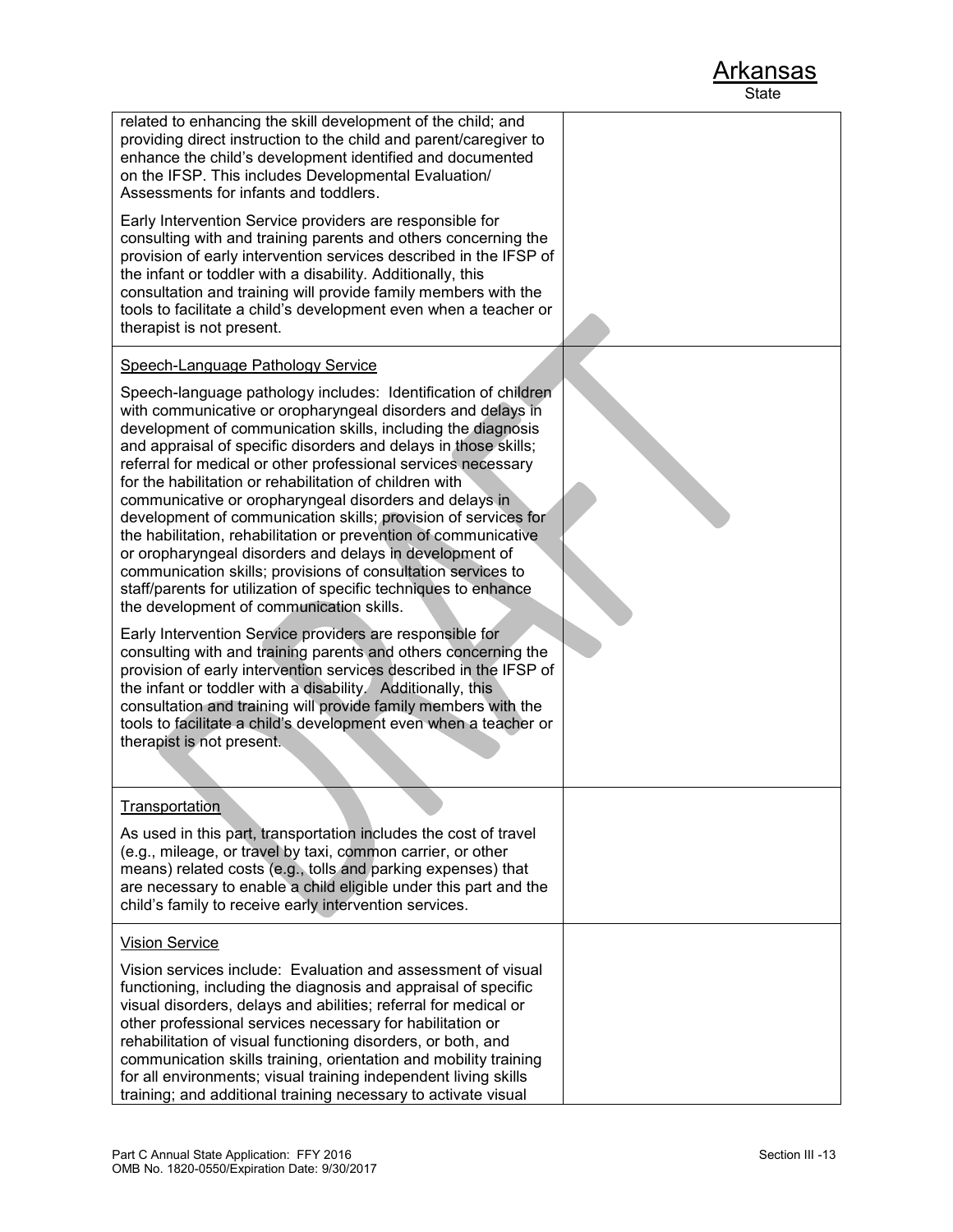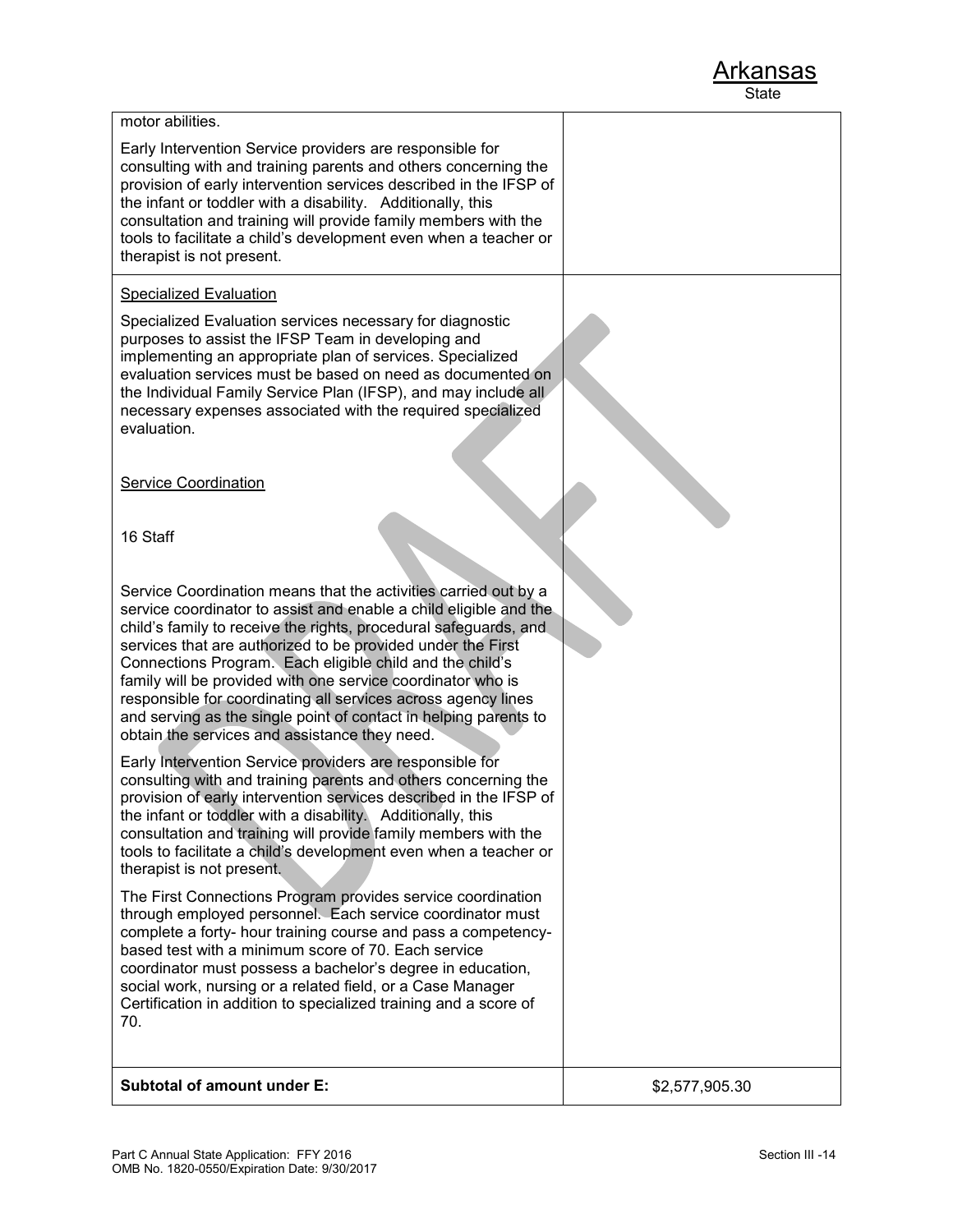motor abilities.

Early Intervention Service providers are responsible for

consulting with and training parents and others concerning the provision of early intervention services described in the IFSP of

| <b>Subtotal of amount under E:</b>                                                                                                                                                                                                                                                                                                                                                                                                                                                                                                                                                       | \$2,577,905.30 |
|------------------------------------------------------------------------------------------------------------------------------------------------------------------------------------------------------------------------------------------------------------------------------------------------------------------------------------------------------------------------------------------------------------------------------------------------------------------------------------------------------------------------------------------------------------------------------------------|----------------|
| The First Connections Program provides service coordination<br>through employed personnel. Each service coordinator must<br>complete a forty- hour training course and pass a competency-<br>based test with a minimum score of 70. Each service<br>coordinator must possess a bachelor's degree in education,<br>social work, nursing or a related field, or a Case Manager<br>Certification in addition to specialized training and a score of<br>70.                                                                                                                                  |                |
| Early Intervention Service providers are responsible for<br>consulting with and training parents and others concerning the<br>provision of early intervention services described in the IFSP of<br>the infant or toddler with a disability. Additionally, this<br>consultation and training will provide family members with the<br>tools to facilitate a child's development even when a teacher or<br>therapist is not present.                                                                                                                                                        |                |
| Service Coordination means that the activities carried out by a<br>service coordinator to assist and enable a child eligible and the<br>child's family to receive the rights, procedural safeguards, and<br>services that are authorized to be provided under the First<br>Connections Program. Each eligible child and the child's<br>family will be provided with one service coordinator who is<br>responsible for coordinating all services across agency lines<br>and serving as the single point of contact in helping parents to<br>obtain the services and assistance they need. |                |
| 16 Staff                                                                                                                                                                                                                                                                                                                                                                                                                                                                                                                                                                                 |                |
| <b>Service Coordination</b>                                                                                                                                                                                                                                                                                                                                                                                                                                                                                                                                                              |                |
| Specialized Evaluation services necessary for diagnostic<br>purposes to assist the IFSP Team in developing and<br>implementing an appropriate plan of services. Specialized<br>evaluation services must be based on need as documented on<br>the Individual Family Service Plan (IFSP), and may include all<br>necessary expenses associated with the required specialized<br>evaluation.                                                                                                                                                                                                |                |
| Specialized Evaluation                                                                                                                                                                                                                                                                                                                                                                                                                                                                                                                                                                   |                |
| the infant or toddler with a disability. Additionally, this<br>consultation and training will provide family members with the<br>tools to facilitate a child's development even when a teacher or<br>therapist is not present.                                                                                                                                                                                                                                                                                                                                                           |                |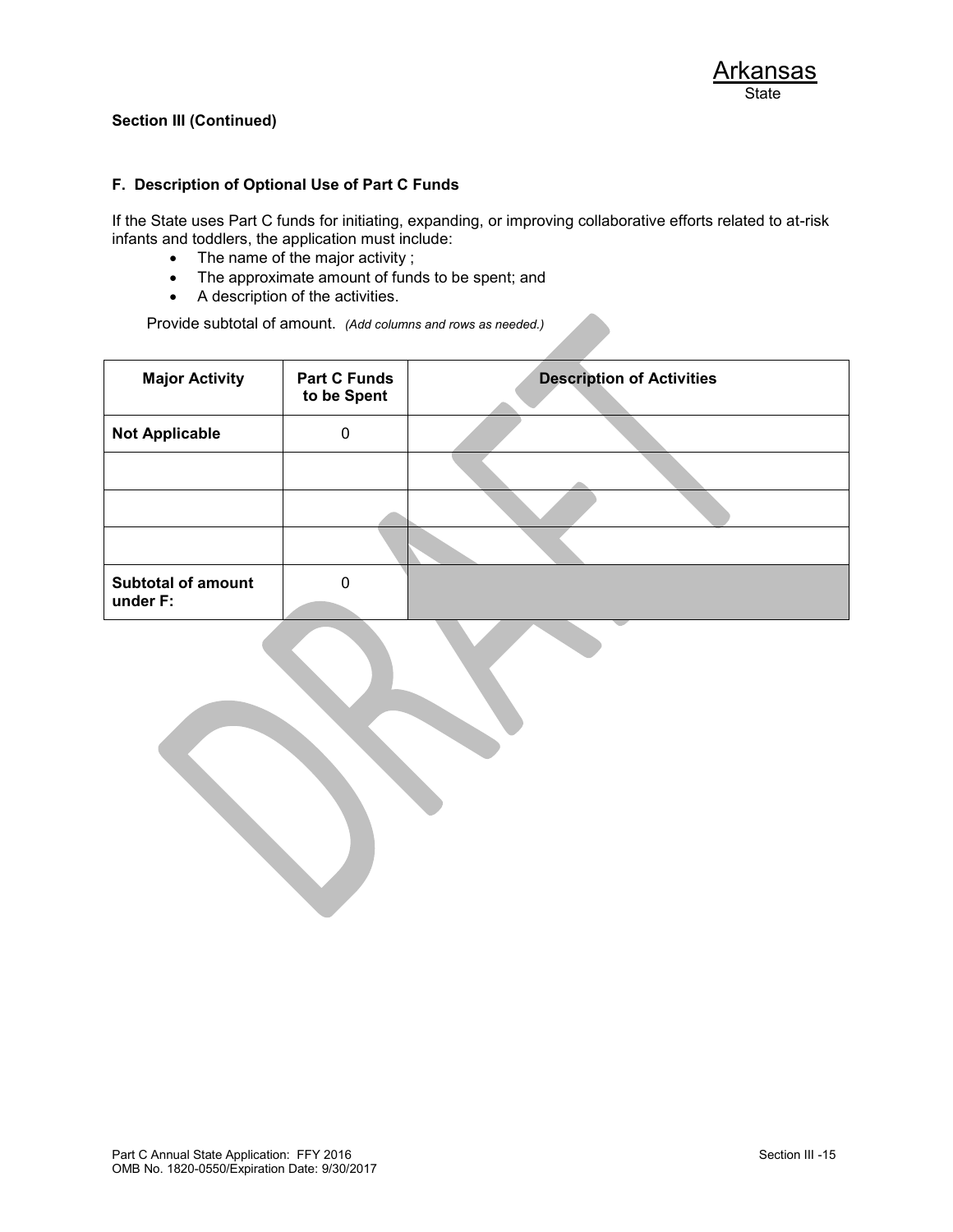#### **F. Description of Optional Use of Part C Funds**

If the State uses Part C funds for initiating, expanding, or improving collaborative efforts related to at-risk infants and toddlers, the application must include:

- The name of the major activity ;
- The approximate amount of funds to be spent; and
- A description of the activities.

Provide subtotal of amount. *(Add columns and rows as needed.)*

| <b>Major Activity</b><br><b>Part C Funds</b><br>to be Spent |   | <b>Description of Activities</b> |  |
|-------------------------------------------------------------|---|----------------------------------|--|
| <b>Not Applicable</b>                                       | 0 |                                  |  |
|                                                             |   |                                  |  |
|                                                             |   |                                  |  |
|                                                             |   |                                  |  |
| <b>Subtotal of amount</b>                                   | 0 |                                  |  |
| under F:                                                    |   |                                  |  |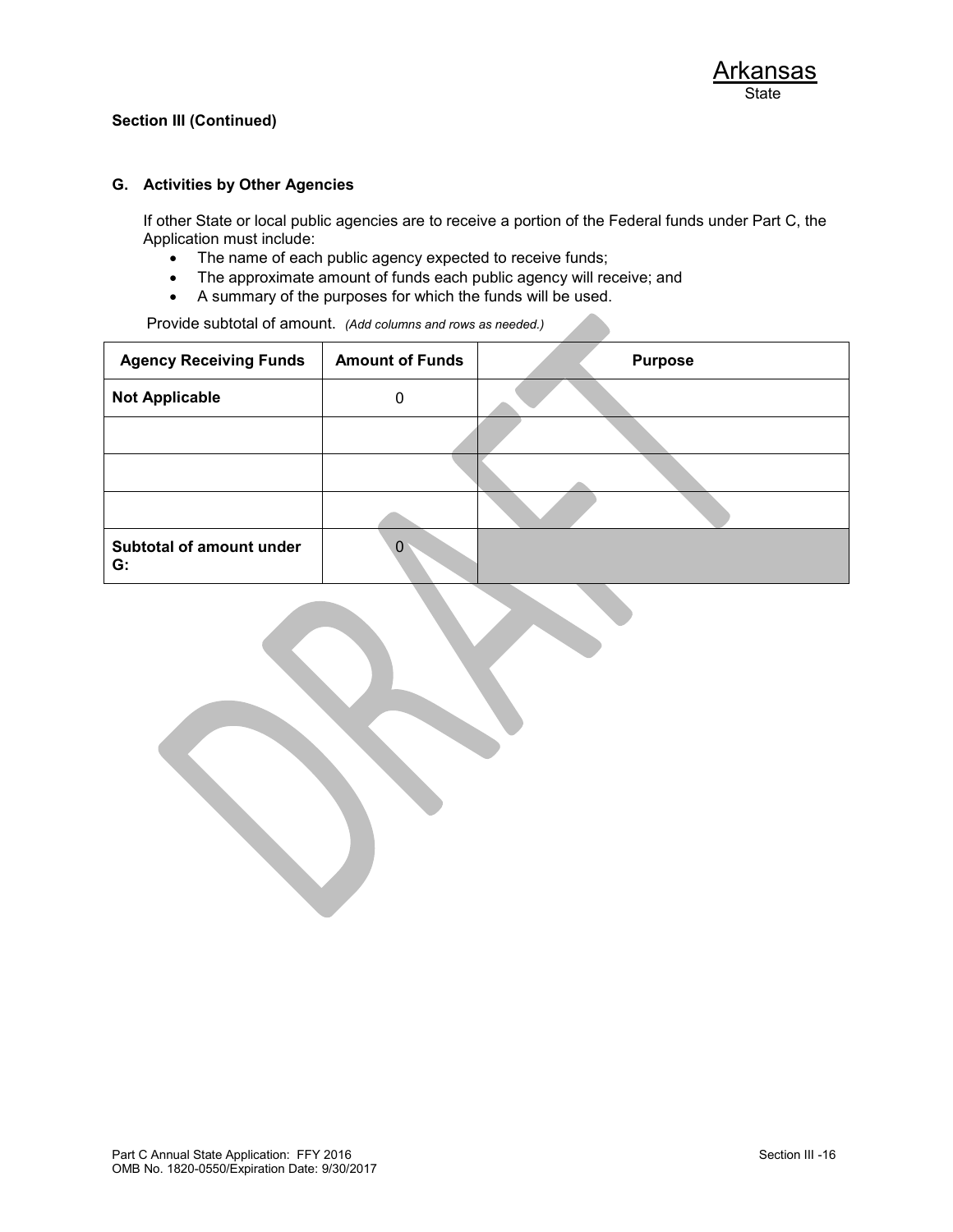### **G. Activities by Other Agencies**

If other State or local public agencies are to receive a portion of the Federal funds under Part C, the Application must include:

- The name of each public agency expected to receive funds;
- The approximate amount of funds each public agency will receive; and
- A summary of the purposes for which the funds will be used.

Provide subtotal of amount. *(Add columns and rows as needed.)*

| <b>Agency Receiving Funds</b>  | <b>Amount of Funds</b> | <b>Purpose</b> |
|--------------------------------|------------------------|----------------|
| <b>Not Applicable</b>          | 0                      |                |
|                                |                        |                |
|                                |                        |                |
|                                |                        |                |
| Subtotal of amount under<br>G: | 0                      |                |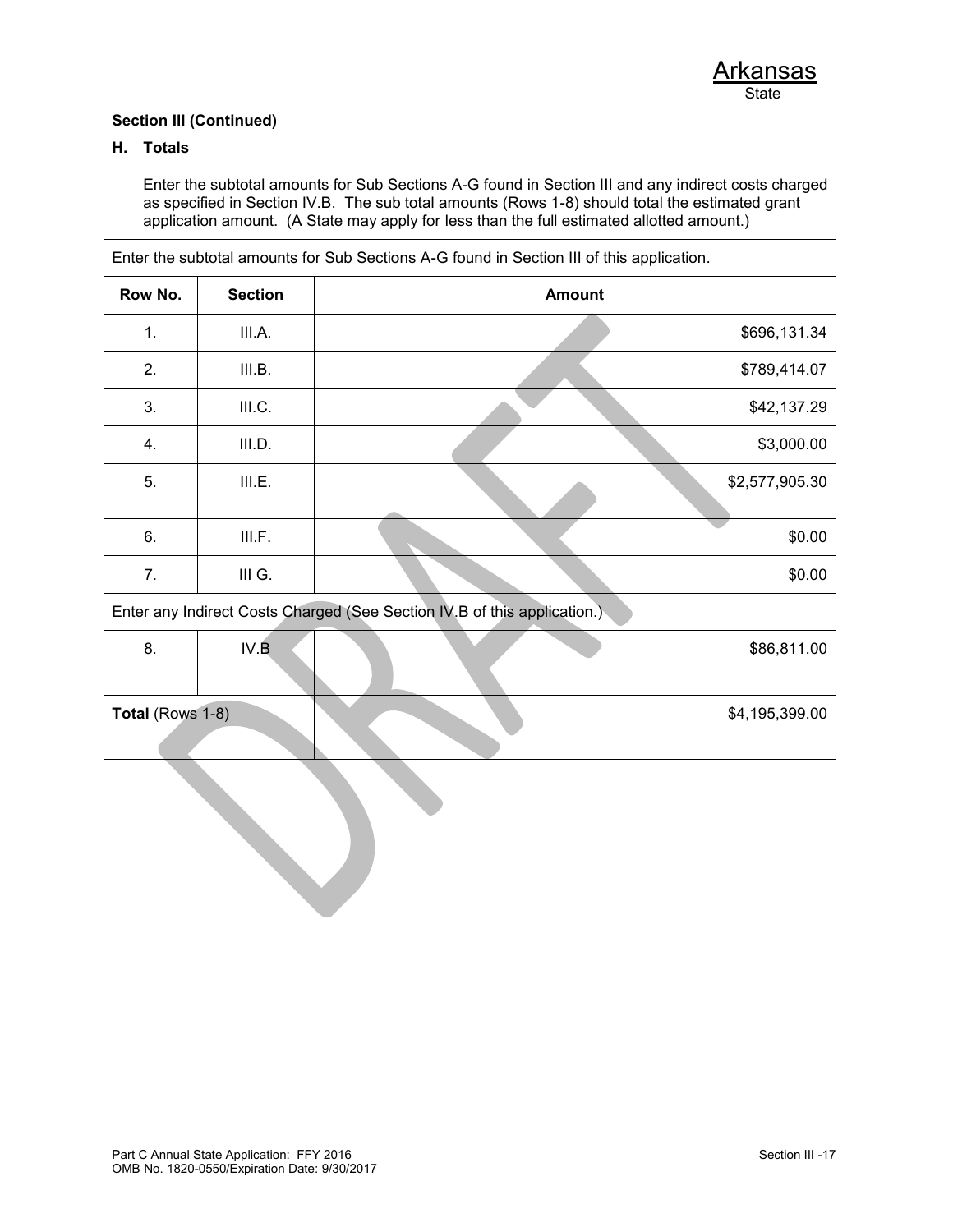### **H. Totals**

Enter the subtotal amounts for Sub Sections A-G found in Section III and any indirect costs charged as specified in Section IV.B. The sub total amounts (Rows 1-8) should total the estimated grant application amount. (A State may apply for less than the full estimated allotted amount.)

|                  | Enter the subtotal amounts for Sub Sections A-G found in Section III of this application. |                                                                          |                |  |  |
|------------------|-------------------------------------------------------------------------------------------|--------------------------------------------------------------------------|----------------|--|--|
| Row No.          | <b>Section</b>                                                                            | <b>Amount</b>                                                            |                |  |  |
| 1.               | III.A.                                                                                    |                                                                          | \$696,131.34   |  |  |
| 2.               | III.B.                                                                                    |                                                                          | \$789,414.07   |  |  |
| 3.               | III.C.                                                                                    |                                                                          | \$42,137.29    |  |  |
| 4.               | III.D.                                                                                    |                                                                          | \$3,000.00     |  |  |
| 5.               | III.E.                                                                                    |                                                                          | \$2,577,905.30 |  |  |
| 6.               | III.F.                                                                                    |                                                                          | \$0.00         |  |  |
| 7.               | III G.                                                                                    |                                                                          | \$0.00         |  |  |
|                  |                                                                                           | Enter any Indirect Costs Charged (See Section IV.B of this application.) |                |  |  |
| 8.               | IV.B                                                                                      |                                                                          | \$86,811.00    |  |  |
| Total (Rows 1-8) |                                                                                           |                                                                          | \$4,195,399.00 |  |  |
|                  |                                                                                           |                                                                          |                |  |  |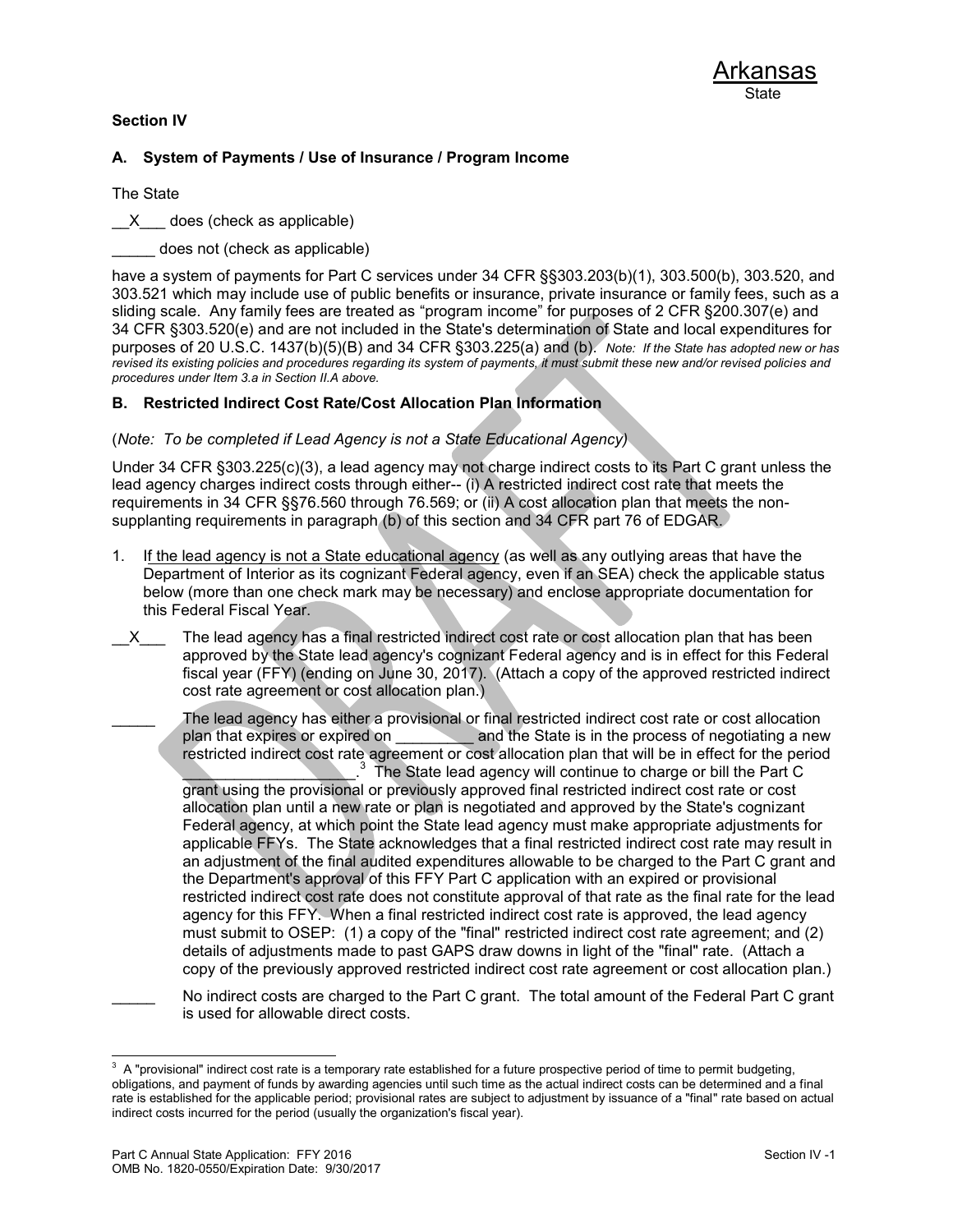### **Section IV**

### **A. System of Payments / Use of Insurance / Program Income**

The State

X does (check as applicable)

does not (check as applicable)

have a system of payments for Part C services under 34 CFR §§303.203(b)(1), 303.500(b), 303.520, and 303.521 which may include use of public benefits or insurance, private insurance or family fees, such as a sliding scale. Any family fees are treated as "program income" for purposes of 2 CFR §200.307(e) and 34 CFR §303.520(e) and are not included in the State's determination of State and local expenditures for purposes of 20 U.S.C. 1437(b)(5)(B) and 34 CFR §303.225(a) and (b). *Note: If the State has adopted new or has revised its existing policies and procedures regarding its system of payments, it must submit these new and/or revised policies and procedures under Item 3.a in Section II.A above.*

### **B. Restricted Indirect Cost Rate/Cost Allocation Plan Information**

(*Note: To be completed if Lead Agency is not a State Educational Agency)* 

Under 34 CFR §303.225(c)(3), a lead agency may not charge indirect costs to its Part C grant unless the lead agency charges indirect costs through either-- (i) A restricted indirect cost rate that meets the requirements in 34 CFR §§76.560 through 76.569; or (ii) A cost allocation plan that meets the nonsupplanting requirements in paragraph (b) of this section and 34 CFR part 76 of EDGAR.

- 1. If the lead agency is not a State educational agency (as well as any outlying areas that have the Department of Interior as its cognizant Federal agency, even if an SEA) check the applicable status below (more than one check mark may be necessary) and enclose appropriate documentation for this Federal Fiscal Year.
- X The lead agency has a final restricted indirect cost rate or cost allocation plan that has been approved by the State lead agency's cognizant Federal agency and is in effect for this Federal fiscal year (FFY) (ending on June 30, 2017). (Attach a copy of the approved restricted indirect cost rate agreement or cost allocation plan.)
	- The lead agency has either a provisional or final restricted indirect cost rate or cost allocation plan that expires or expired on \_\_\_\_\_\_\_\_\_\_ and the State is in the process of negotiating a new restricted indirect cost rate agreement or cost allocation plan that will be in effect for the period  $\overline{\phantom{a}}$  $3$  The State lead agency will continue to charge or bill the Part C grant using the provisional or previously approved final restricted indirect cost rate or cost allocation plan until a new rate or plan is negotiated and approved by the State's cognizant Federal agency, at which point the State lead agency must make appropriate adjustments for applicable FFYs. The State acknowledges that a final restricted indirect cost rate may result in an adjustment of the final audited expenditures allowable to be charged to the Part C grant and the Department's approval of this FFY Part C application with an expired or provisional restricted indirect cost rate does not constitute approval of that rate as the final rate for the lead agency for this FFY. When a final restricted indirect cost rate is approved, the lead agency must submit to OSEP: (1) a copy of the "final" restricted indirect cost rate agreement; and (2) details of adjustments made to past GAPS draw downs in light of the "final" rate. (Attach a copy of the previously approved restricted indirect cost rate agreement or cost allocation plan.)
	- No indirect costs are charged to the Part C grant. The total amount of the Federal Part C grant is used for allowable direct costs.

<sup>&</sup>lt;sup>3</sup> A "provisional" indirect cost rate is a temporary rate established for a future prospective period of time to permit budgeting, obligations, and payment of funds by awarding agencies until such time as the actual indirect costs can be determined and a final rate is established for the applicable period; provisional rates are subject to adjustment by issuance of a "final" rate based on actual indirect costs incurred for the period (usually the organization's fiscal year).